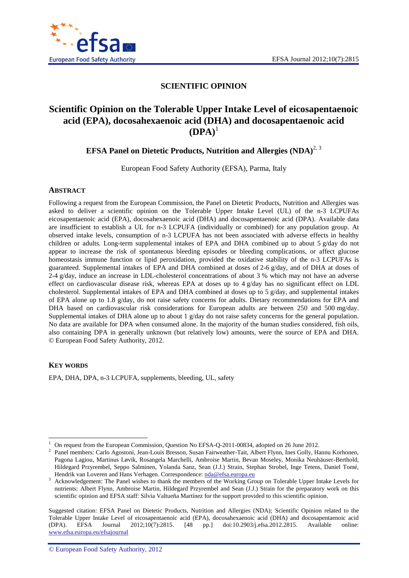

# **SCIENTIFIC OPINION**

# **Scientific Opinion on the Tolerable Upper Intake Level of eicosapentaenoic acid (EPA), docosahexaenoic acid (DHA) and docosapentaenoic acid**   $(DPA)^1$

**EFSA** Panel on Dietetic Products, Nutrition and Allergies (NDA)<sup>2, 3</sup>

European Food Safety Authority (EFSA), Parma, Italy

#### <span id="page-0-0"></span>**ABSTRACT**

Following a request from the European Commission, the Panel on Dietetic Products, Nutrition and Allergies was asked to deliver a scientific opinion on the Tolerable Upper Intake Level (UL) of the n-3 LCPUFAs eicosapentaenoic acid (EPA), docosahexaenoic acid (DHA) and docosapentaenoic acid (DPA). Available data are insufficient to establish a UL for n-3 LCPUFA (individually or combined) for any population group. At observed intake levels, consumption of n-3 LCPUFA has not been associated with adverse effects in healthy children or adults. Long-term supplemental intakes of EPA and DHA combined up to about 5 g/day do not appear to increase the risk of spontaneous bleeding episodes or bleeding complications, or affect glucose homeostasis immune function or lipid peroxidation, provided the oxidative stability of the n-3 LCPUFAs is guaranteed. Supplemental intakes of EPA and DHA combined at doses of 2-6 g/day, and of DHA at doses of 2-4 g/day, induce an increase in LDL-cholesterol concentrations of about 3 % which may not have an adverse effect on cardiovascular disease risk, whereas EPA at doses up to 4 g/day has no significant effect on LDL cholesterol. Supplemental intakes of EPA and DHA combined at doses up to 5  $g$ /day, and supplemental intakes of EPA alone up to 1.8 g/day, do not raise safety concerns for adults. Dietary recommendations for EPA and DHA based on cardiovascular risk considerations for European adults are between 250 and 500 mg/day. Supplemental intakes of DHA alone up to about 1 g/day do not raise safety concerns for the general population. No data are available for DPA when consumed alone. In the majority of the human studies considered, fish oils, also containing DPA in generally unknown (but relatively low) amounts, were the source of EPA and DHA. © European Food Safety Authority, 2012.

#### **KEY WORDS**

l

EPA, DHA, DPA, n-3 LCPUFA, supplements, bleeding, UL, safety

<sup>1</sup> On request from the European Commission, Question No EFSA-Q-2011-00834, adopted on 26 June 2012.

<sup>&</sup>lt;sup>2</sup> Panel members: Carlo Agostoni, Jean-Louis Bresson, Susan Fairweather-Tait, Albert Flynn, Ines Golly, Hannu Korhonen, Pagona Lagiou, Martinus Løvik, Rosangela Marchelli, Ambroise Martin, Bevan Moseley, Monika Neuhäuser-Berthold, Hildegard Przyrembel, Seppo Salminen, Yolanda Sanz, Sean (J.J.) Strain, Stephan Strobel, Inge Tetens, Daniel Tomé, Hendrik van Loveren and Hans Verhagen. Correspondence: [nda@efsa.europa.eu](mailto:nda@efsa.europa.eu)

<sup>&</sup>lt;sup>3</sup> Acknowledgement: The Panel wishes to thank the members of the Working Group on Tolerable Upper Intake Levels for nutrients: Albert Flynn, Ambroise Martin, Hildegard Przyrembel and Sean (J.J.) Strain for the preparatory work on this scientific opinion and EFSA staff: Silvia Valtueña Martínez for the support provided to this scientific opinion.

Suggested citation: EFSA Panel on Dietetic Products, Nutrition and Allergies (NDA); Scientific Opinion related to the Tolerable Upper Intake Level of eicosapentaenoic acid (EPA), docosahexaenoic acid (DHA) and docosapentaenoic acid (DPA). EFSA Journal 2012;10(7):2815. [48 pp.] doi:10.2903/j.efsa.2012.2815. Available online: www.efsa.europa.eu/efsajournal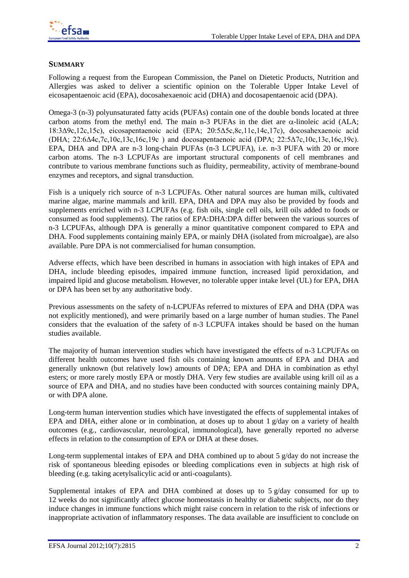

# <span id="page-1-0"></span>**SUMMARY**

Following a request from the European Commission, the Panel on Dietetic Products, Nutrition and Allergies was asked to deliver a scientific opinion on the Tolerable Upper Intake Level of eicosapentaenoic acid (EPA), docosahexaenoic acid (DHA) and docosapentaenoic acid (DPA).

Omega-3 (n-3) polyunsaturated fatty acids (PUFAs) contain one of the double bonds located at three carbon atoms from the methyl end. The main n-3 PUFAs in the diet are  $\alpha$ -linoleic acid (ALA; 18:3Δ9c,12c,15c), eicosapentaenoic acid (EPA; 20:5Δ5c,8c,11c,14c,17c), docosahexaenoic acid (DHA; 22:6Δ4c,7c,10c,13c,16c,19c ) and docosapentaenoic acid (DPA; 22:5Δ7c,10c,13c,16c,19c). EPA, DHA and DPA are n-3 long-chain PUFAs (n-3 LCPUFA), i.e. n-3 PUFA with 20 or more carbon atoms. The n-3 LCPUFAs are important structural components of cell membranes and contribute to various membrane functions such as fluidity, permeability, activity of membrane-bound enzymes and receptors, and signal transduction.

Fish is a uniquely rich source of n-3 LCPUFAs. Other natural sources are human milk, cultivated marine algae, marine mammals and krill. EPA, DHA and DPA may also be provided by foods and supplements enriched with n-3 LCPUFAs (e.g. fish oils, single cell oils, krill oils added to foods or consumed as food supplements). The ratios of EPA:DHA:DPA differ between the various sources of n-3 LCPUFAs, although DPA is generally a minor quantitative component compared to EPA and DHA. Food supplements containing mainly EPA, or mainly DHA (isolated from microalgae), are also available. Pure DPA is not commercialised for human consumption.

Adverse effects, which have been described in humans in association with high intakes of EPA and DHA, include bleeding episodes, impaired immune function, increased lipid peroxidation, and impaired lipid and glucose metabolism. However, no tolerable upper intake level (UL) for EPA, DHA or DPA has been set by any authoritative body.

Previous assessments on the safety of n-LCPUFAs referred to mixtures of EPA and DHA (DPA was not explicitly mentioned), and were primarily based on a large number of human studies. The Panel considers that the evaluation of the safety of n-3 LCPUFA intakes should be based on the human studies available.

The majority of human intervention studies which have investigated the effects of n-3 LCPUFAs on different health outcomes have used fish oils containing known amounts of EPA and DHA and generally unknown (but relatively low) amounts of DPA; EPA and DHA in combination as ethyl esters; or more rarely mostly EPA or mostly DHA. Very few studies are available using krill oil as a source of EPA and DHA, and no studies have been conducted with sources containing mainly DPA, or with DPA alone.

Long-term human intervention studies which have investigated the effects of supplemental intakes of EPA and DHA, either alone or in combination, at doses up to about 1 g/day on a variety of health outcomes (e.g., cardiovascular, neurological, immunological), have generally reported no adverse effects in relation to the consumption of EPA or DHA at these doses.

Long-term supplemental intakes of EPA and DHA combined up to about 5 g/day do not increase the risk of spontaneous bleeding episodes or bleeding complications even in subjects at high risk of bleeding (e.g. taking acetylsalicylic acid or anti-coagulants).

Supplemental intakes of EPA and DHA combined at doses up to 5 g/day consumed for up to 12 weeks do not significantly affect glucose homeostasis in healthy or diabetic subjects, nor do they induce changes in immune functions which might raise concern in relation to the risk of infections or inappropriate activation of inflammatory responses. The data available are insufficient to conclude on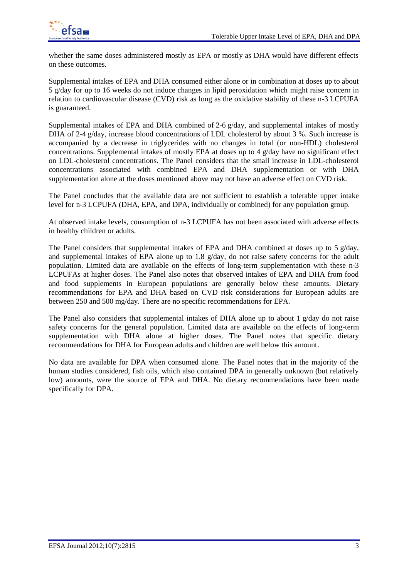whether the same doses administered mostly as EPA or mostly as DHA would have different effects on these outcomes.

Supplemental intakes of EPA and DHA consumed either alone or in combination at doses up to about 5 g/day for up to 16 weeks do not induce changes in lipid peroxidation which might raise concern in relation to cardiovascular disease (CVD) risk as long as the oxidative stability of these n-3 LCPUFA is guaranteed.

Supplemental intakes of EPA and DHA combined of 2-6 g/day, and supplemental intakes of mostly DHA of 2-4 g/day, increase blood concentrations of LDL cholesterol by about 3 %. Such increase is accompanied by a decrease in triglycerides with no changes in total (or non-HDL) cholesterol concentrations. Supplemental intakes of mostly EPA at doses up to 4  $g$ /day have no significant effect on LDL-cholesterol concentrations. The Panel considers that the small increase in LDL-cholesterol concentrations associated with combined EPA and DHA supplementation or with DHA supplementation alone at the doses mentioned above may not have an adverse effect on CVD risk.

The Panel concludes that the available data are not sufficient to establish a tolerable upper intake level for n-3 LCPUFA (DHA, EPA, and DPA, individually or combined) for any population group.

At observed intake levels, consumption of n-3 LCPUFA has not been associated with adverse effects in healthy children or adults.

The Panel considers that supplemental intakes of EPA and DHA combined at doses up to 5 g/day, and supplemental intakes of EPA alone up to 1.8 g/day, do not raise safety concerns for the adult population. Limited data are available on the effects of long-term supplementation with these n-3 LCPUFAs at higher doses. The Panel also notes that observed intakes of EPA and DHA from food and food supplements in European populations are generally below these amounts. Dietary recommendations for EPA and DHA based on CVD risk considerations for European adults are between 250 and 500 mg/day. There are no specific recommendations for EPA.

The Panel also considers that supplemental intakes of DHA alone up to about 1 g/day do not raise safety concerns for the general population. Limited data are available on the effects of long-term supplementation with DHA alone at higher doses. The Panel notes that specific dietary recommendations for DHA for European adults and children are well below this amount.

No data are available for DPA when consumed alone. The Panel notes that in the majority of the human studies considered, fish oils, which also contained DPA in generally unknown (but relatively low) amounts, were the source of EPA and DHA. No dietary recommendations have been made specifically for DPA.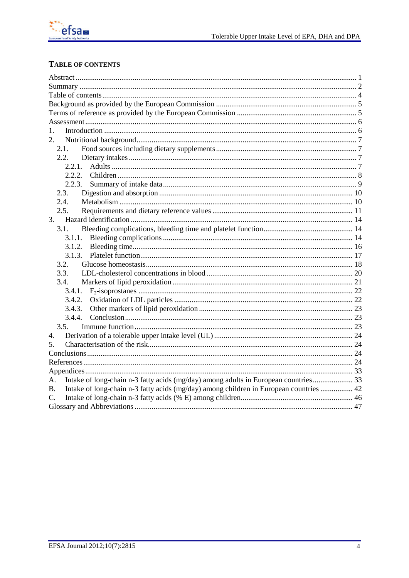

# <span id="page-3-0"></span>TABLE OF CONTENTS

| 1.                                                                                           |  |
|----------------------------------------------------------------------------------------------|--|
| 2.                                                                                           |  |
| 2.1.                                                                                         |  |
| 2.2.                                                                                         |  |
| 2.2.1.                                                                                       |  |
| 2.2.2.                                                                                       |  |
| 2.2.3.                                                                                       |  |
| 2.3.                                                                                         |  |
| 2.4.                                                                                         |  |
| 2.5.                                                                                         |  |
| 3.                                                                                           |  |
| $3.1$ .                                                                                      |  |
| 3.1.1.                                                                                       |  |
| 3.1.2.                                                                                       |  |
| 3.1.3.                                                                                       |  |
| 3.2.                                                                                         |  |
| 3.3.                                                                                         |  |
| 3.4.                                                                                         |  |
| 3.4.1.                                                                                       |  |
| 3.4.2.                                                                                       |  |
| 3.4.3.                                                                                       |  |
| 3.4.4.                                                                                       |  |
| 3.5.                                                                                         |  |
| 4.                                                                                           |  |
| 5.                                                                                           |  |
|                                                                                              |  |
|                                                                                              |  |
|                                                                                              |  |
| Intake of long-chain n-3 fatty acids (mg/day) among adults in European countries 33<br>A.    |  |
| Intake of long-chain n-3 fatty acids (mg/day) among children in European countries  42<br>Β. |  |
| C.                                                                                           |  |
|                                                                                              |  |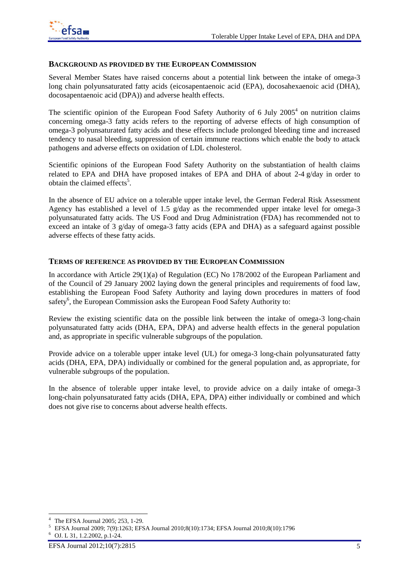

#### <span id="page-4-0"></span>**BACKGROUND AS PROVIDED BY THE EUROPEAN COMMISSION**

Several Member States have raised concerns about a potential link between the intake of omega-3 long chain polyunsaturated fatty acids (eicosapentaenoic acid (EPA), docosahexaenoic acid (DHA), docosapentaenoic acid (DPA)) and adverse health effects.

The scientific opinion of the European Food Safety Authority of 6 July 2005<sup>4</sup> on nutrition claims concerning omega-3 fatty acids refers to the reporting of adverse effects of high consumption of omega-3 polyunsaturated fatty acids and these effects include prolonged bleeding time and increased tendency to nasal bleeding, suppression of certain immune reactions which enable the body to attack pathogens and adverse effects on oxidation of LDL cholesterol.

Scientific opinions of the European Food Safety Authority on the substantiation of health claims related to EPA and DHA have proposed intakes of EPA and DHA of about 2-4 g/day in order to obtain the claimed effects<sup>5</sup>.

In the absence of EU advice on a tolerable upper intake level, the German Federal Risk Assessment Agency has established a level of 1.5 g/day as the recommended upper intake level for omega-3 polyunsaturated fatty acids. The US Food and Drug Administration (FDA) has recommended not to exceed an intake of 3 g/day of omega-3 fatty acids (EPA and DHA) as a safeguard against possible adverse effects of these fatty acids.

#### <span id="page-4-1"></span>**TERMS OF REFERENCE AS PROVIDED BY THE EUROPEAN COMMISSION**

In accordance with Article 29(1)(a) of Regulation (EC) No 178/2002 of the European Parliament and of the Council of 29 January 2002 laying down the general principles and requirements of food law, establishing the European Food Safety Authority and laying down procedures in matters of food safety<sup>6</sup>, the European Commission asks the European Food Safety Authority to:

Review the existing scientific data on the possible link between the intake of omega-3 long-chain polyunsaturated fatty acids (DHA, EPA, DPA) and adverse health effects in the general population and, as appropriate in specific vulnerable subgroups of the population.

Provide advice on a tolerable upper intake level (UL) for omega-3 long-chain polyunsaturated fatty acids (DHA, EPA, DPA) individually or combined for the general population and, as appropriate, for vulnerable subgroups of the population.

In the absence of tolerable upper intake level, to provide advice on a daily intake of omega-3 long-chain polyunsaturated fatty acids (DHA, EPA, DPA) either individually or combined and which does not give rise to concerns about adverse health effects.

 $\overline{a}$ 

<sup>4</sup> The EFSA Journal 2005; 253, 1-29.

<sup>5</sup> EFSA Journal 2009; 7(9):1263; EFSA Journal 2010;8(10):1734; EFSA Journal 2010;8(10):1796

<sup>6</sup> OJ. L 31, 1.2.2002, p.1-24.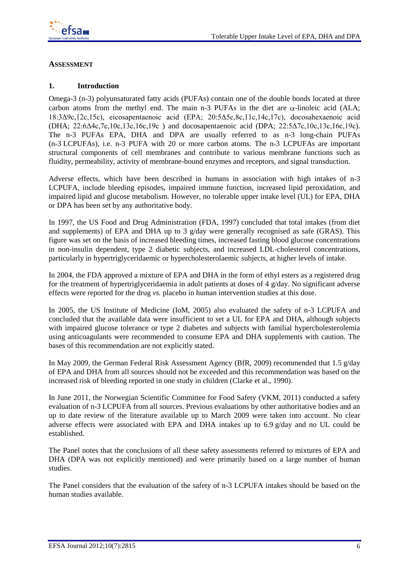

# <span id="page-5-0"></span>**ASSESSMENT**

# <span id="page-5-1"></span>**1. Introduction**

Omega-3 (n-3) polyunsaturated fatty acids (PUFAs) contain one of the double bonds located at three carbon atoms from the methyl end. The main n-3 PUFAs in the diet are  $\alpha$ -linoleic acid (ALA; 18:3Δ9c,12c,15c), eicosapentaenoic acid (EPA; 20:5Δ5c,8c,11c,14c,17c), docosahexaenoic acid (DHA; 22:6Δ4c,7c,10c,13c,16c,19c ) and docosapentaenoic acid (DPA; 22:5Δ7c,10c,13c,16c,19c). The n-3 PUFAs EPA, DHA and DPA are usually referred to as n-3 long-chain PUFAs (n-3 LCPUFAs), i.e. n-3 PUFA with 20 or more carbon atoms. The n-3 LCPUFAs are important structural components of cell membranes and contribute to various membrane functions such as fluidity, permeability, activity of membrane-bound enzymes and receptors, and signal transduction.

Adverse effects, which have been described in humans in association with high intakes of n-3 LCPUFA, include bleeding episodes, impaired immune function, increased lipid peroxidation, and impaired lipid and glucose metabolism. However, no tolerable upper intake level (UL) for EPA, DHA or DPA has been set by any authoritative body.

In 1997, the US Food and Drug Administration [\(FDA, 1997\)](#page-26-0) concluded that total intakes (from diet and supplements) of EPA and DHA up to 3 g/day were generally recognised as safe (GRAS). This figure was set on the basis of increased bleeding times, increased fasting blood glucose concentrations in non-insulin dependent, type 2 diabetic subjects, and increased LDL-cholesterol concentrations, particularly in hypertriglyceridaemic or hypercholesterolaemic subjects, at higher levels of intake.

In 2004, the FDA approved a mixture of EPA and DHA in the form of ethyl esters as a registered drug for the treatment of hypertriglyceridaemia in adult patients at doses of 4  $g$ /day. No significant adverse effects were reported for the drug *vs.* placebo in human intervention studies at this dose.

In 2005, the US Institute of Medicine [\(IoM, 2005\)](#page-27-0) also evaluated the safety of n-3 LCPUFA and concluded that the available data were insufficient to set a UL for EPA and DHA, although subjects with impaired glucose tolerance or type 2 diabetes and subjects with familial hypercholesterolemia using anticoagulants were recommended to consume EPA and DHA supplements with caution. The bases of this recommendation are not explicitly stated.

In May 2009, the German Federal Risk Assessment Agency [\(BfR, 2009\)](#page-24-0) recommended that 1.5 g/day of EPA and DHA from all sources should not be exceeded and this recommendation was based on the increased risk of bleeding reported in one study in children [\(Clarke et al., 1990\)](#page-24-1).

In June 2011, the Norwegian Scientific Committee for Food Safety [\(VKM, 2011\)](#page-31-0) conducted a safety evaluation of n-3 LCPUFA from all sources. Previous evaluations by other authoritative bodies and an up to date review of the literature available up to March 2009 were taken into account. No clear adverse effects were associated with EPA and DHA intakes up to 6.9 g/day and no UL could be established.

The Panel notes that the conclusions of all these safety assessments referred to mixtures of EPA and DHA (DPA was not explicitly mentioned) and were primarily based on a large number of human studies.

The Panel considers that the evaluation of the safety of n-3 LCPUFA intakes should be based on the human studies available.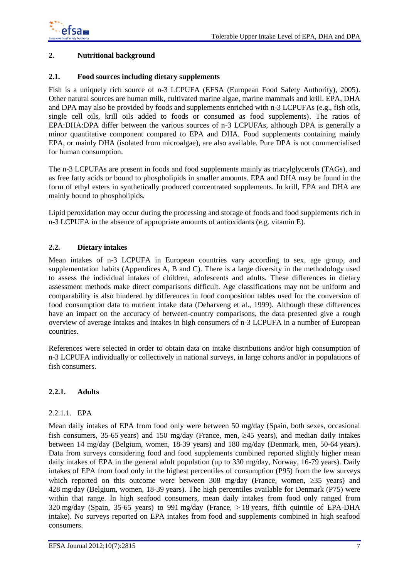

# <span id="page-6-0"></span>**2. Nutritional background**

#### <span id="page-6-1"></span>**2.1. Food sources including dietary supplements**

Fish is a uniquely rich source of n-3 LCPUFA [\(EFSA \(European Food Safety Authority\), 2005\)](#page-25-0). Other natural sources are human milk, cultivated marine algae, marine mammals and krill. EPA, DHA and DPA may also be provided by foods and supplements enriched with n-3 LCPUFAs (e.g., fish oils, single cell oils, krill oils added to foods or consumed as food supplements). The ratios of EPA:DHA:DPA differ between the various sources of n-3 LCPUFAs, although DPA is generally a minor quantitative component compared to EPA and DHA. Food supplements containing mainly EPA, or mainly DHA (isolated from microalgae), are also available. Pure DPA is not commercialised for human consumption.

The n-3 LCPUFAs are present in foods and food supplements mainly as triacylglycerols (TAGs), and as free fatty acids or bound to phospholipids in smaller amounts. EPA and DHA may be found in the form of ethyl esters in synthetically produced concentrated supplements. In krill, EPA and DHA are mainly bound to phospholipids.

Lipid peroxidation may occur during the processing and storage of foods and food supplements rich in n-3 LCPUFA in the absence of appropriate amounts of antioxidants (e.g. vitamin E).

#### <span id="page-6-2"></span>**2.2. Dietary intakes**

Mean intakes of n-3 LCPUFA in European countries vary according to sex, age group, and supplementation habits (Appendices A, B and C). There is a large diversity in the methodology used to assess the individual intakes of children, adolescents and adults. These differences in dietary assessment methods make direct comparisons difficult. Age classifications may not be uniform and comparability is also hindered by differences in food composition tables used for the conversion of food consumption data to nutrient intake data [\(Deharveng et al., 1999\)](#page-25-1). Although these differences have an impact on the accuracy of between-country comparisons, the data presented give a rough overview of average intakes and intakes in high consumers of n-3 LCPUFA in a number of European countries.

References were selected in order to obtain data on intake distributions and/or high consumption of n-3 LCPUFA individually or collectively in national surveys, in large cohorts and/or in populations of fish consumers.

#### <span id="page-6-3"></span>**2.2.1. Adults**

#### 2.2.1.1. EPA

Mean daily intakes of EPA from food only were between 50 mg/day (Spain, both sexes, occasional fish consumers, 35-65 years) and 150 mg/day (France, men,  $\geq$ 45 years), and median daily intakes between 14 mg/day (Belgium, women, 18-39 years) and 180 mg/day (Denmark, men, 50-64 years). Data from surveys considering food and food supplements combined reported slightly higher mean daily intakes of EPA in the general adult population (up to 330 mg/day, Norway, 16-79 years). Daily intakes of EPA from food only in the highest percentiles of consumption (P95) from the few surveys which reported on this outcome were between 308 mg/day (France, women,  $\geq 35$  years) and 428 mg/day (Belgium, women, 18-39 years). The high percentiles available for Denmark (P75) were within that range. In high seafood consumers, mean daily intakes from food only ranged from 320 mg/day (Spain, 35-65 years) to 991 mg/day (France,  $\geq 18$  years, fifth quintile of EPA-DHA intake). No surveys reported on EPA intakes from food and supplements combined in high seafood consumers.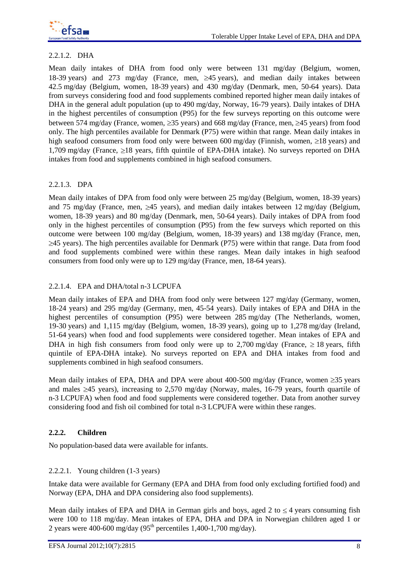

# 2.2.1.2. DHA

Mean daily intakes of DHA from food only were between 131 mg/day (Belgium, women, 18-39 years) and 273 mg/day (France, men,  $\geq 45$  years), and median daily intakes between 42.5 mg/day (Belgium, women, 18-39 years) and 430 mg/day (Denmark, men, 50-64 years). Data from surveys considering food and food supplements combined reported higher mean daily intakes of DHA in the general adult population (up to 490 mg/day, Norway, 16-79 years). Daily intakes of DHA in the highest percentiles of consumption (P95) for the few surveys reporting on this outcome were between 574 mg/day (France, women,  $\geq$ 35 years) and 668 mg/day (France, men,  $\geq$ 45 years) from food only. The high percentiles available for Denmark (P75) were within that range. Mean daily intakes in high seafood consumers from food only were between 600 mg/day (Finnish, women,  $\geq 18$  years) and 1,709 mg/day (France,  $\geq 18$  years, fifth quintile of EPA-DHA intake). No surveys reported on DHA intakes from food and supplements combined in high seafood consumers.

# 2.2.1.3. DPA

Mean daily intakes of DPA from food only were between 25 mg/day (Belgium, women, 18-39 years) and 75 mg/day (France, men,  $\geq 45$  years), and median daily intakes between 12 mg/day (Belgium, women, 18-39 years) and 80 mg/day (Denmark, men, 50-64 years). Daily intakes of DPA from food only in the highest percentiles of consumption (P95) from the few surveys which reported on this outcome were between 100 mg/day (Belgium, women, 18-39 years) and 138 mg/day (France, men,  $\geq$ 45 years). The high percentiles available for Denmark (P75) were within that range. Data from food and food supplements combined were within these ranges. Mean daily intakes in high seafood consumers from food only were up to 129 mg/day (France, men, 18-64 years).

# 2.2.1.4. EPA and DHA/total n-3 LCPUFA

Mean daily intakes of EPA and DHA from food only were between 127 mg/day (Germany, women, 18-24 years) and 295 mg/day (Germany, men, 45-54 years). Daily intakes of EPA and DHA in the highest percentiles of consumption (P95) were between 285 mg/day (The Netherlands, women, 19-30 years) and 1,115 mg/day (Belgium, women, 18-39 years), going up to 1,278 mg/day (Ireland, 51-64 years) when food and food supplements were considered together. Mean intakes of EPA and DHA in high fish consumers from food only were up to 2,700 mg/day (France,  $\geq 18$  years, fifth quintile of EPA-DHA intake). No surveys reported on EPA and DHA intakes from food and supplements combined in high seafood consumers.

Mean daily intakes of EPA, DHA and DPA were about  $400-500$  mg/day (France, women  $\geq 35$  years and males  $\geq$ 45 years), increasing to 2,570 mg/day (Norway, males, 16-79 years, fourth quartile of n-3 LCPUFA) when food and food supplements were considered together. Data from another survey considering food and fish oil combined for total n-3 LCPUFA were within these ranges.

# <span id="page-7-0"></span>**2.2.2. Children**

No population-based data were available for infants.

# 2.2.2.1. Young children (1-3 years)

Intake data were available for Germany (EPA and DHA from food only excluding fortified food) and Norway (EPA, DHA and DPA considering also food supplements).

Mean daily intakes of EPA and DHA in German girls and boys, aged 2 to  $\leq$  4 years consuming fish were 100 to 118 mg/day. Mean intakes of EPA, DHA and DPA in Norwegian children aged 1 or 2 years were 400-600 mg/day ( $95<sup>th</sup>$  percentiles 1,400-1,700 mg/day).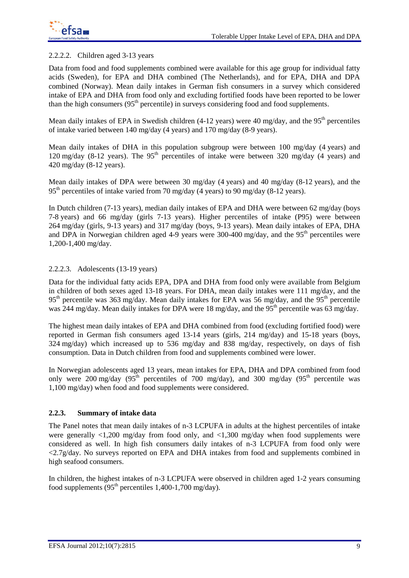

# 2.2.2.2. Children aged 3-13 years

Data from food and food supplements combined were available for this age group for individual fatty acids (Sweden), for EPA and DHA combined (The Netherlands), and for EPA, DHA and DPA combined (Norway). Mean daily intakes in German fish consumers in a survey which considered intake of EPA and DHA from food only and excluding fortified foods have been reported to be lower than the high consumers  $(95<sup>th</sup>$  percentile) in surveys considering food and food supplements.

Mean daily intakes of EPA in Swedish children  $(4-12 \text{ years})$  were 40 mg/day, and the 95<sup>th</sup> percentiles of intake varied between 140 mg/day (4 years) and 170 mg/day (8-9 years).

Mean daily intakes of DHA in this population subgroup were between 100 mg/day (4 years) and 120 mg/day (8-12 years). The 95<sup>th</sup> percentiles of intake were between 320 mg/day (4 years) and 420 mg/day (8-12 years).

Mean daily intakes of DPA were between 30 mg/day (4 years) and 40 mg/day (8-12 years), and the 95<sup>th</sup> percentiles of intake varied from 70 mg/day (4 years) to 90 mg/day (8-12 years).

In Dutch children (7-13 years), median daily intakes of EPA and DHA were between 62 mg/day (boys 7-8 years) and 66 mg/day (girls 7-13 years). Higher percentiles of intake (P95) were between 264 mg/day (girls, 9-13 years) and 317 mg/day (boys, 9-13 years). Mean daily intakes of EPA, DHA and DPA in Norwegian children aged 4-9 years were 300-400 mg/day, and the  $95<sup>th</sup>$  percentiles were 1,200-1,400 mg/day.

#### 2.2.2.3. Adolescents (13-19 years)

Data for the individual fatty acids EPA, DPA and DHA from food only were available from Belgium in children of both sexes aged 13-18 years. For DHA, mean daily intakes were 111 mg/day, and the  $95<sup>th</sup>$  percentile was 363 mg/day. Mean daily intakes for EPA was 56 mg/day, and the  $95<sup>th</sup>$  percentile was 244 mg/day. Mean daily intakes for DPA were 18 mg/day, and the  $95<sup>th</sup>$  percentile was 63 mg/day.

The highest mean daily intakes of EPA and DHA combined from food (excluding fortified food) were reported in German fish consumers aged 13-14 years (girls, 214 mg/day) and 15-18 years (boys, 324 mg/day) which increased up to 536 mg/day and 838 mg/day, respectively, on days of fish consumption. Data in Dutch children from food and supplements combined were lower.

In Norwegian adolescents aged 13 years, mean intakes for EPA, DHA and DPA combined from food only were 200 mg/day ( $95<sup>th</sup>$  percentiles of 700 mg/day), and 300 mg/day ( $95<sup>th</sup>$  percentile was 1,100 mg/day) when food and food supplements were considered.

# <span id="page-8-0"></span>**2.2.3. Summary of intake data**

The Panel notes that mean daily intakes of n-3 LCPUFA in adults at the highest percentiles of intake were generally <1,200 mg/day from food only, and <1,300 mg/day when food supplements were considered as well. In high fish consumers daily intakes of n-3 LCPUFA from food only were <2.7g/day. No surveys reported on EPA and DHA intakes from food and supplements combined in high seafood consumers.

In children, the highest intakes of n-3 LCPUFA were observed in children aged 1-2 years consuming food supplements  $(95<sup>th</sup>$  percentiles 1,400-1,700 mg/day).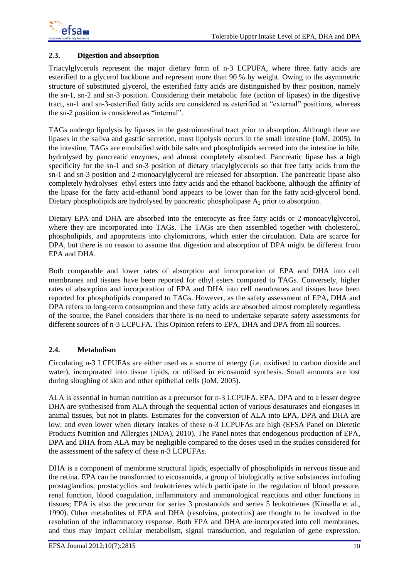

# <span id="page-9-0"></span>**2.3. Digestion and absorption**

Triacylglycerols represent the major dietary form of n-3 LCPUFA, where three fatty acids are esterified to a glycerol backbone and represent more than 90 % by weight. Owing to the asymmetric structure of substituted glycerol, the esterified fatty acids are distinguished by their position, namely the sn-1, sn-2 and sn-3 position. Considering their metabolic fate (action of lipases) in the digestive tract, sn-1 and sn-3-esterified fatty acids are considered as esterified at "external" positions, whereas the sn-2 position is considered as "internal".

TAGs undergo lipolysis by lipases in the gastrointestinal tract prior to absorption. Although there are lipases in the saliva and gastric secretion, most lipolysis occurs in the small intestine [\(IoM, 2005\)](#page-27-0). In the intestine, TAGs are emulsified with bile salts and phospholipids secreted into the intestine in bile, hydrolysed by pancreatic enzymes, and almost completely absorbed. Pancreatic lipase has a high specificity for the sn-1 and sn-3 position of dietary triacylglycerols so that free fatty acids from the sn-1 and sn-3 position and 2-monoacylglycerol are released for absorption. The pancreatic lipase also completely hydrolyses ethyl esters into fatty acids and the ethanol backbone, although the affinity of the lipase for the fatty acid-ethanol bond appears to be lower than for the fatty acid-glycerol bond. Dietary phospholipids are hydrolysed by pancreatic phospholipase  $A<sub>2</sub>$  prior to absorption.

Dietary EPA and DHA are absorbed into the enterocyte as free fatty acids or 2-monoacylglycerol, where they are incorporated into TAGs. The TAGs are then assembled together with cholesterol, phospholipids, and apoproteins into chylomicrons, which enter the circulation. Data are scarce for DPA, but there is no reason to assume that digestion and absorption of DPA might be different from EPA and DHA.

Both comparable and lower rates of absorption and incorporation of EPA and DHA into cell membranes and tissues have been reported for ethyl esters compared to TAGs. Conversely, higher rates of absorption and incorporation of EPA and DHA into cell membranes and tissues have been reported for phospholipids compared to TAGs. However, as the safety assessment of EPA, DHA and DPA refers to long-term consumption and these fatty acids are absorbed almost completely regardless of the source, the Panel considers that there is no need to undertake separate safety assessments for different sources of n-3 LCPUFA. This Opinion refers to EPA, DHA and DPA from all sources.

# <span id="page-9-1"></span>**2.4. Metabolism**

Circulating n-3 LCPUFAs are either used as a source of energy (i.e. oxidised to carbon dioxide and water), incorporated into tissue lipids, or utilised in eicosanoid synthesis. Small amounts are lost during sloughing of skin and other epithelial cells [\(IoM, 2005\)](#page-27-0).

ALA is essential in human nutrition as a precursor for n-3 LCPUFA. EPA, DPA and to a lesser degree DHA are synthesised from ALA through the sequential action of various desaturases and elongases in animal tissues, but not in plants. Estimates for the conversion of ALA into EPA, DPA and DHA are low, and even lower when dietary intakes of these n-3 LCPUFAs are high [\(EFSA Panel on Dietetic](#page-25-2)  [Products Nutrition and Allergies \(NDA\), 2010\)](#page-25-2). The Panel notes that endogenous production of EPA, DPA and DHA from ALA may be negligible compared to the doses used in the studies considered for the assessment of the safety of these n-3 LCPUFAs.

DHA is a component of membrane structural lipids, especially of phospholipids in nervous tissue and the retina. EPA can be transformed to eicosanoids, a group of biologically active substances including prostaglandins, prostacyclins and leukotrienes which participate in the regulation of blood pressure, renal function, blood coagulation, inflammatory and immunological reactions and other functions in tissues; EPA is also the precursor for series 3 prostanoids and series 5 leukotrienes [\(Kinsella et al.,](#page-28-0)  [1990\)](#page-28-0). Other metabolites of EPA and DHA (resolvins, protectins) are thought to be involved in the resolution of the inflammatory response. Both EPA and DHA are incorporated into cell membranes, and thus may impact cellular metabolism, signal transduction, and regulation of gene expression.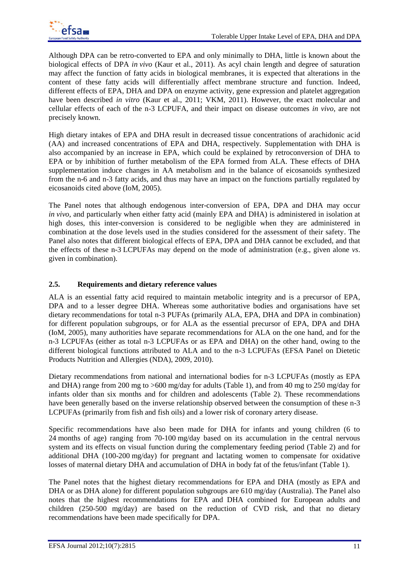

Although DPA can be retro-converted to EPA and only minimally to DHA, little is known about the biological effects of DPA *in vivo* [\(Kaur et al., 2011\)](#page-28-1). As acyl chain length and degree of saturation may affect the function of fatty acids in biological membranes, it is expected that alterations in the content of these fatty acids will differentially affect membrane structure and function. Indeed, different effects of EPA, DHA and DPA on enzyme activity, gene expression and platelet aggregation have been described *in vitro* [\(Kaur et al., 2011;](#page-28-1) [VKM, 2011\)](#page-31-0). However, the exact molecular and cellular effects of each of the n-3 LCPUFA, and their impact on disease outcomes *in vivo*, are not precisely known.

High dietary intakes of EPA and DHA result in decreased tissue concentrations of arachidonic acid (AA) and increased concentrations of EPA and DHA, respectively. Supplementation with DHA is also accompanied by an increase in EPA, which could be explained by retroconversion of DHA to EPA or by inhibition of further metabolism of the EPA formed from ALA. These effects of DHA supplementation induce changes in AA metabolism and in the balance of eicosanoids synthesized from the n-6 and n-3 fatty acids, and thus may have an impact on the functions partially regulated by eicosanoids cited above [\(IoM, 2005\)](#page-27-0).

The Panel notes that although endogenous inter-conversion of EPA, DPA and DHA may occur *in vivo*, and particularly when either fatty acid (mainly EPA and DHA) is administered in isolation at high doses, this inter-conversion is considered to be negligible when they are administered in combination at the dose levels used in the studies considered for the assessment of their safety. The Panel also notes that different biological effects of EPA, DPA and DHA cannot be excluded, and that the effects of these n-3 LCPUFAs may depend on the mode of administration (e.g., given alone *vs*. given in combination).

# <span id="page-10-0"></span>**2.5. Requirements and dietary reference values**

ALA is an essential fatty acid required to maintain metabolic integrity and is a precursor of EPA, DPA and to a lesser degree DHA. Whereas some authoritative bodies and organisations have set dietary recommendations for total n-3 PUFAs (primarily ALA, EPA, DHA and DPA in combination) for different population subgroups, or for ALA as the essential precursor of EPA, DPA and DHA [\(IoM, 2005\)](#page-27-0), many authorities have separate recommendations for ALA on the one hand, and for the n-3 LCPUFAs (either as total n-3 LCPUFAs or as EPA and DHA) on the other hand, owing to the different biological functions attributed to ALA and to the n-3 LCPUFAs [\(EFSA Panel on Dietetic](#page-25-3)  [Products Nutrition and Allergies \(NDA\), 2009,](#page-25-3) [2010\)](#page-25-2).

Dietary recommendations from national and international bodies for n-3 LCPUFAs (mostly as EPA and DHA) range from 200 mg to >600 mg/day for adults (Table 1), and from 40 mg to 250 mg/day for infants older than six months and for children and adolescents (Table 2). These recommendations have been generally based on the inverse relationship observed between the consumption of these n-3 LCPUFAs (primarily from fish and fish oils) and a lower risk of coronary artery disease.

Specific recommendations have also been made for DHA for infants and young children (6 to 24 months of age) ranging from 70-100 mg/day based on its accumulation in the central nervous system and its effects on visual function during the complementary feeding period (Table 2) and for additional DHA (100-200 mg/day) for pregnant and lactating women to compensate for oxidative losses of maternal dietary DHA and accumulation of DHA in body fat of the fetus/infant (Table 1).

The Panel notes that the highest dietary recommendations for EPA and DHA (mostly as EPA and DHA or as DHA alone) for different population subgroups are 610 mg/day (Australia). The Panel also notes that the highest recommendations for EPA and DHA combined for European adults and children (250-500 mg/day) are based on the reduction of CVD risk, and that no dietary recommendations have been made specifically for DPA.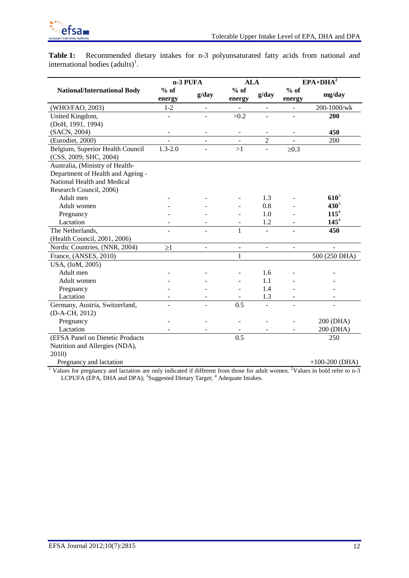|                                                            |                  | n-3 PUFA                 | <b>ALA</b>                   |                          |                          | $EPA+DHA^2$              |
|------------------------------------------------------------|------------------|--------------------------|------------------------------|--------------------------|--------------------------|--------------------------|
| <b>National/International Body</b>                         | $%$ of<br>energy | g/day                    | $%$ of<br>energy             | g/day                    | $%$ of<br>energy         | mg/day                   |
| (WHO/FAO, 2003)                                            | $1 - 2$          | ÷,                       | $\blacksquare$               | ÷,                       | $\overline{a}$           | 200-1000/wk              |
| United Kingdom,                                            | $\overline{a}$   |                          | >0.2                         |                          |                          | 200                      |
| (DoH, 1991, 1994)                                          |                  |                          |                              |                          |                          |                          |
| (SACN, 2004)                                               |                  |                          |                              |                          |                          | 450                      |
| (Eurodiet, 2000)                                           |                  | L.                       | $\sim$                       | $\overline{2}$           |                          | $200\,$                  |
| Belgium, Superior Health Council<br>(CSS, 2009; SHC, 2004) | $1.3 - 2.0$      |                          | >1                           | $\overline{a}$           | $\geq 0.3$               |                          |
| Australia, (Ministry of Health-                            |                  |                          |                              |                          |                          |                          |
| Department of Health and Ageing -                          |                  |                          |                              |                          |                          |                          |
| National Health and Medical                                |                  |                          |                              |                          |                          |                          |
| Research Council, 2006)                                    |                  |                          |                              |                          |                          |                          |
| Adult men                                                  |                  |                          |                              | 1.3                      |                          | 610 <sup>3</sup>         |
| Adult women                                                |                  |                          |                              | 0.8                      |                          | $430^3$                  |
| Pregnancy                                                  |                  |                          |                              | 1.0                      |                          | $115^4$                  |
| Lactation                                                  |                  |                          |                              | 1.2                      |                          | $145^4$                  |
| The Netherlands,                                           |                  |                          | $\mathbf{1}$                 | ÷,                       |                          | 450                      |
| (Health Council, 2001, 2006)                               |                  |                          |                              |                          |                          |                          |
| Nordic Countries, (NNR, 2004)                              | $\geq$ 1         | $\overline{\phantom{a}}$ | $\qquad \qquad \blacksquare$ | $\blacksquare$           | $\overline{\phantom{0}}$ | $\overline{\phantom{a}}$ |
| France, (ANSES, 2010)                                      |                  |                          | 1                            |                          |                          | 500 (250 DHA)            |
| USA, (IoM, 2005)                                           |                  |                          |                              |                          |                          |                          |
| Adult men                                                  |                  |                          |                              | 1.6                      |                          |                          |
| Adult women                                                |                  |                          |                              | 1.1                      |                          |                          |
| Pregnancy                                                  |                  |                          |                              | 1.4                      |                          |                          |
| Lactation                                                  |                  |                          |                              | 1.3                      |                          |                          |
| Germany, Austria, Switzerland,                             |                  |                          | 0.5                          | ÷,                       |                          |                          |
| (D-A-CH, 2012)                                             |                  |                          |                              |                          |                          |                          |
| Pregnancy                                                  |                  |                          |                              |                          |                          | 200 (DHA)                |
| Lactation                                                  |                  |                          |                              | $\overline{\phantom{a}}$ |                          | 200 (DHA)                |
| (EFSA Panel on Dietetic Products                           |                  |                          | 0.5                          |                          |                          | 250                      |
| Nutrition and Allergies (NDA),                             |                  |                          |                              |                          |                          |                          |
| 2010)                                                      |                  |                          |                              |                          |                          |                          |
| Pregnancy and lactation                                    |                  |                          |                              |                          |                          | $+100-200$ (DHA)         |

**Table 1:** Recommended dietary intakes for n-3 polyunsaturated fatty acids from national and international bodies  $(adults)^1$ .

<sup>1</sup> Values for pregnancy and lactation are only indicated if different from those for adult women. <sup>2</sup>Values in bold refer to n-3 LCPUFA (EPA, DHA and DPA); <sup>3</sup>Suggested Dietary Target; <sup>4</sup> Adequate Intakes.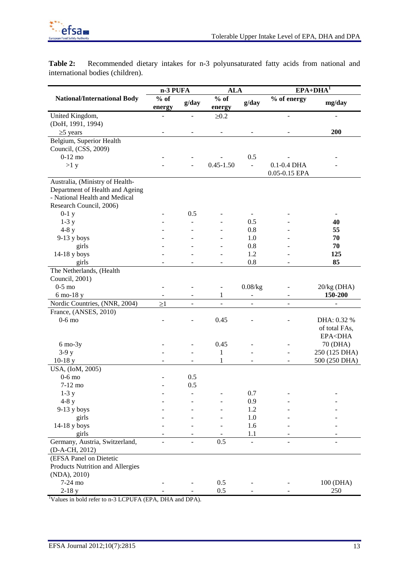

Table 2: Recommended dietary intakes for n-3 polyunsaturated fatty acids from national and international bodies (children).

|                                    | n-3 PUFA                 |                          | <b>ALA</b>               |                |                 | $EPA+DHA$ <sup>1</sup>  |
|------------------------------------|--------------------------|--------------------------|--------------------------|----------------|-----------------|-------------------------|
| <b>National/International Body</b> | $%$ of<br>energy         | g/day                    | $%$ of<br>energy         | g/day          | % of energy     | mg/day                  |
| United Kingdom,                    |                          | -                        | $\geq0.2$                |                |                 |                         |
| (DoH, 1991, 1994)                  |                          |                          |                          |                |                 |                         |
| $\geq$ 5 years                     | $\overline{\phantom{a}}$ | $\overline{\phantom{a}}$ | $\overline{\phantom{a}}$ |                |                 | 200                     |
| Belgium, Superior Health           |                          |                          |                          |                |                 |                         |
| Council, (CSS, 2009)               |                          |                          |                          |                |                 |                         |
| $0-12$ mo                          |                          |                          |                          | 0.5            |                 |                         |
| >1 y                               |                          |                          | $0.45 - 1.50$            | $\blacksquare$ | $0.1 - 0.4$ DHA |                         |
|                                    |                          |                          |                          |                | 0.05-0.15 EPA   |                         |
| Australia, (Ministry of Health-    |                          |                          |                          |                |                 |                         |
| Department of Health and Ageing    |                          |                          |                          |                |                 |                         |
| - National Health and Medical      |                          |                          |                          |                |                 |                         |
| Research Council, 2006)            |                          |                          |                          |                |                 |                         |
| $0-1 y$                            |                          | 0.5                      |                          |                |                 |                         |
| $1-3y$                             |                          |                          |                          | 0.5            |                 | 40                      |
| $4-8y$                             |                          |                          |                          | 0.8            |                 | 55                      |
| $9-13$ y boys                      |                          |                          |                          | 1.0            |                 | 70                      |
| girls                              |                          |                          |                          | 0.8<br>1.2     |                 | 70                      |
| 14-18 y boys<br>girls              |                          |                          |                          | 0.8            |                 | 125<br>85               |
| The Netherlands, (Health           |                          |                          |                          |                |                 |                         |
| Council, 2001)                     |                          |                          |                          |                |                 |                         |
| $0-5$ mo                           |                          |                          | $\blacksquare$           | 0.08/kg        |                 | 20/kg (DHA)             |
| 6 mo-18 y                          |                          |                          | 1                        |                |                 | 150-200                 |
| Nordic Countries, (NNR, 2004)      | $\geq$ 1                 | $\overline{a}$           | $\overline{a}$           |                | $\overline{a}$  |                         |
| France, (ANSES, 2010)              |                          |                          |                          |                |                 |                         |
| $0-6$ mo                           |                          |                          | 0.45                     |                |                 | DHA: 0.32 %             |
|                                    |                          |                          |                          |                |                 | of total FAs,           |
|                                    |                          |                          |                          |                |                 | EPA <dha< td=""></dha<> |
| $6 \text{ mo-}3y$                  |                          |                          | 0.45                     |                |                 | 70 (DHA)                |
| $3-9y$                             |                          |                          | $\mathbf{1}$             |                |                 | 250 (125 DHA)           |
| $10-18y$                           |                          |                          | 1                        |                |                 | 500 (250 DHA)           |
| USA, (IoM, 2005)                   |                          |                          |                          |                |                 |                         |
| $0-6$ mo                           |                          | 0.5                      |                          |                |                 |                         |
| 7-12 mo                            |                          | 0.5                      |                          |                |                 |                         |
| $1-3y$                             |                          |                          |                          | 0.7            |                 |                         |
| $4-8y$                             |                          |                          |                          | 0.9            |                 |                         |
| 9-13 y boys                        |                          |                          |                          | 1.2            |                 |                         |
| girls                              |                          |                          |                          | 1.0            |                 |                         |
| $14-18$ y boys                     |                          |                          |                          | 1.6            |                 |                         |
| girls                              |                          |                          |                          | 1.1            |                 |                         |
| Germany, Austria, Switzerland,     |                          |                          | 0.5                      | $\Box$         |                 |                         |
| (D-A-CH, 2012)                     |                          |                          |                          |                |                 |                         |
| (EFSA Panel on Dietetic            |                          |                          |                          |                |                 |                         |
| Products Nutrition and Allergies   |                          |                          |                          |                |                 |                         |
| (NDA), 2010)                       |                          |                          |                          |                |                 |                         |
| 7-24 mo                            |                          |                          | 0.5                      |                |                 | 100 (DHA)               |
| $2-18y$                            |                          |                          | 0.5                      |                |                 | 250                     |

<sup>1</sup>Values in bold refer to n-3 LCPUFA (EPA, DHA and DPA).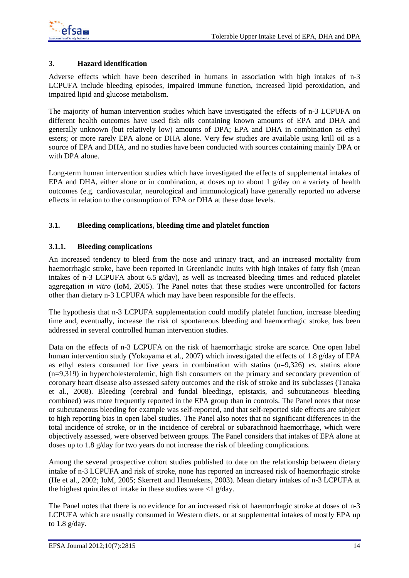

# <span id="page-13-0"></span>**3. Hazard identification**

Adverse effects which have been described in humans in association with high intakes of n-3 LCPUFA include bleeding episodes, impaired immune function, increased lipid peroxidation, and impaired lipid and glucose metabolism.

The majority of human intervention studies which have investigated the effects of n-3 LCPUFA on different health outcomes have used fish oils containing known amounts of EPA and DHA and generally unknown (but relatively low) amounts of DPA; EPA and DHA in combination as ethyl esters; or more rarely EPA alone or DHA alone. Very few studies are available using krill oil as a source of EPA and DHA, and no studies have been conducted with sources containing mainly DPA or with DPA alone.

Long-term human intervention studies which have investigated the effects of supplemental intakes of EPA and DHA, either alone or in combination, at doses up to about 1 g/day on a variety of health outcomes (e.g. cardiovascular, neurological and immunological) have generally reported no adverse effects in relation to the consumption of EPA or DHA at these dose levels.

#### <span id="page-13-1"></span>**3.1. Bleeding complications, bleeding time and platelet function**

#### <span id="page-13-2"></span>**3.1.1. Bleeding complications**

An increased tendency to bleed from the nose and urinary tract, and an increased mortality from haemorrhagic stroke, have been reported in Greenlandic Inuits with high intakes of fatty fish (mean intakes of n-3 LCPUFA about 6.5 g/day), as well as increased bleeding times and reduced platelet aggregation *in vitro* [\(IoM, 2005\)](#page-27-0). The Panel notes that these studies were uncontrolled for factors other than dietary n-3 LCPUFA which may have been responsible for the effects.

The hypothesis that n-3 LCPUFA supplementation could modify platelet function, increase bleeding time and, eventually, increase the risk of spontaneous bleeding and haemorrhagic stroke, has been addressed in several controlled human intervention studies.

Data on the effects of n-3 LCPUFA on the risk of haemorrhagic stroke are scarce. One open label human intervention study [\(Yokoyama et al., 2007\)](#page-31-2) which investigated the effects of 1.8 g/day of EPA as ethyl esters consumed for five years in combination with statins (n=9,326) *vs*. statins alone (n=9,319) in hypercholesterolemic, high fish consumers on the primary and secondary prevention of coronary heart disease also assessed safety outcomes and the risk of stroke and its subclasses [\(Tanaka](#page-30-1)  [et al., 2008\)](#page-30-1). Bleeding (cerebral and fundal bleedings, epistaxis, and subcutaneous bleeding combined) was more frequently reported in the EPA group than in controls. The Panel notes that nose or subcutaneous bleeding for example was self-reported, and that self-reported side effects are subject to high reporting bias in open label studies. The Panel also notes that no significant differences in the total incidence of stroke, or in the incidence of cerebral or subarachnoid haemorrhage, which were objectively assessed, were observed between groups. The Panel considers that intakes of EPA alone at doses up to 1.8 g/day for two years do not increase the risk of bleeding complications.

Among the several prospective cohort studies published to date on the relationship between dietary intake of n-3 LCPUFA and risk of stroke, none has reported an increased risk of haemorrhagic stroke [\(He et al., 2002;](#page-27-3) [IoM, 2005;](#page-27-0) [Skerrett and Hennekens, 2003\)](#page-30-2). Mean dietary intakes of n-3 LCPUFA at the highest quintiles of intake in these studies were  $\langle 1 \text{ g}/\text{day} \rangle$ .

The Panel notes that there is no evidence for an increased risk of haemorrhagic stroke at doses of n-3 LCPUFA which are usually consumed in Western diets, or at supplemental intakes of mostly EPA up to 1.8 g/day.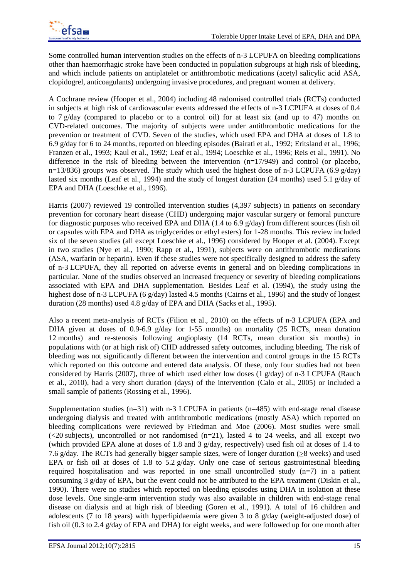Some controlled human intervention studies on the effects of n-3 LCPUFA on bleeding complications other than haemorrhagic stroke have been conducted in population subgroups at high risk of bleeding, and which include patients on antiplatelet or antithrombotic medications (acetyl salicylic acid ASA, clopidogrel, anticoagulants) undergoing invasive procedures, and pregnant women at delivery.

A Cochrane review [\(Hooper et al., 2004\)](#page-27-4) including 48 radomised controlled trials (RCTs) conducted in subjects at high risk of cardiovascular events addressed the effects of n-3 LCPUFA at doses of 0.4 to 7 g/day (compared to placebo or to a control oil) for at least six (and up to 47) months on CVD-related outcomes. The majority of subjects were under antithrombotic medications for the prevention or treatment of CVD. Seven of the studies, which used EPA and DHA at doses of 1.8 to 6.9 g/day for 6 to 24 months, reported on bleeding episodes [\(Bairati et al., 1992;](#page-24-3) [Eritsland et al., 1996;](#page-26-2) [Franzen et al., 1993;](#page-26-3) [Kaul et al., 1992;](#page-28-3) [Leaf et al., 1994;](#page-28-4) [Loeschke et al., 1996;](#page-28-5) [Reis et al., 1991\)](#page-29-2). No difference in the risk of bleeding between the intervention (n=17/949) and control (or placebo, n=13/836) groups was observed. The study which used the highest dose of n-3 LCPUFA (6.9  $g$ /day) lasted six months [\(Leaf et al., 1994\)](#page-28-4) and the study of longest duration (24 months) used 5.1 g/day of EPA and DHA [\(Loeschke et al., 1996\)](#page-28-5).

Harris [\(2007\)](#page-27-5) reviewed 19 controlled intervention studies (4,397 subjects) in patients on secondary prevention for coronary heart disease (CHD) undergoing major vascular surgery or femoral puncture for diagnostic purposes who received EPA and DHA (1.4 to 6.9 g/day) from different sources (fish oil or capsules with EPA and DHA as triglycerides or ethyl esters) for 1-28 months. This review included six of the seven studies [\(all except Loeschke et al., 1996\)](#page-28-5) considered by Hooper et al. [\(2004\)](#page-27-4). Except in two studies [\(Nye et al., 1990;](#page-29-3) [Rapp et al., 1991\)](#page-29-4), subjects were on antithrombotic medications (ASA, warfarin or heparin). Even if these studies were not specifically designed to address the safety of n-3 LCPUFA, they all reported on adverse events in general and on bleeding complications in particular. None of the studies observed an increased frequency or severity of bleeding complications associated with EPA and DHA supplementation. Besides Leaf et al. [\(1994\)](#page-28-4), the study using the highest dose of n-3 LCPUFA (6 g/day) lasted 4.5 months [\(Cairns et al., 1996\)](#page-24-4) and the study of longest duration (28 months) used 4.8 g/day of EPA and DHA [\(Sacks et al., 1995\)](#page-29-5).

Also a recent meta-analysis of RCTs [\(Filion et al., 2010\)](#page-26-4) on the effects of n-3 LCPUFA (EPA and DHA given at doses of 0.9-6.9 g/day for 1-55 months) on mortality (25 RCTs, mean duration 12 months) and re-stenosis following angioplasty (14 RCTs, mean duration six months) in populations with (or at high risk of) CHD addressed safety outcomes, including bleeding. The risk of bleeding was not significantly different between the intervention and control groups in the 15 RCTs which reported on this outcome and entered data analysis. Of these, only four studies had not been considered by Harris [\(2007\)](#page-27-5), three of which used either low doses (1  $g/day$ ) of n-3 LCPUFA (Rauch [et al., 2010\)](#page-29-6), had a very short duration (days) of the intervention [\(Calo et al., 2005\)](#page-24-5) or included a small sample of patients [\(Rossing et al., 1996\)](#page-29-7).

Supplementation studies (n=31) with n-3 LCPUFA in patients (n=485) with end-stage renal disease undergoing dialysis and treated with antithrombotic medications (mostly ASA) which reported on bleeding complications were reviewed by Friedman and Moe [\(2006\)](#page-26-5). Most studies were small  $\left($  <20 subjects), uncontrolled or not randomised  $(n=21)$ , lasted 4 to 24 weeks, and all except two (which provided EPA alone at doses of 1.8 and 3 g/day, respectively) used fish oil at doses of 1.4 to 7.6 g/day. The RCTs had generally bigger sample sizes, were of longer duration ( $\geq 8$  weeks) and used EPA or fish oil at doses of 1.8 to 5.2 g/day. Only one case of serious gastrointestinal bleeding required hospitalisation and was reported in one small uncontrolled study  $(n=7)$  in a patient consuming 3 g/day of EPA, but the event could not be attributed to the EPA treatment (Diskin et al., [1990\)](#page-25-8). There were no studies which reported on bleeding episodes using DHA in isolation at these dose levels. One single-arm intervention study was also available in children with end-stage renal disease on dialysis and at high risk of bleeding [\(Goren et al., 1991\)](#page-27-6). A total of 16 children and adolescents (7 to 18 years) with hyperlipidaemia were given 3 to 8 g/day (weight-adjusted dose) of fish oil (0.3 to 2.4 g/day of EPA and DHA) for eight weeks, and were followed up for one month after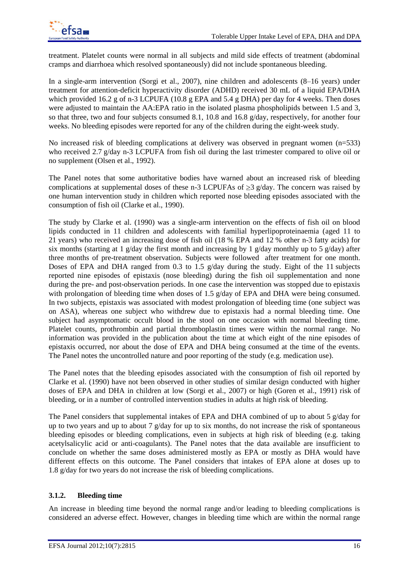

treatment. Platelet counts were normal in all subjects and mild side effects of treatment (abdominal cramps and diarrhoea which resolved spontaneously) did not include spontaneous bleeding.

In a single-arm intervention [\(Sorgi et al., 2007\)](#page-30-3), nine children and adolescents (8–16 years) under treatment for attention-deficit hyperactivity disorder (ADHD) received 30 mL of a liquid EPA/DHA which provided 16.2 g of n-3 LCPUFA (10.8 g EPA and 5.4 g DHA) per day for 4 weeks. Then doses were adjusted to maintain the AA:EPA ratio in the isolated plasma phospholipids between 1.5 and 3, so that three, two and four subjects consumed 8.1, 10.8 and 16.8 g/day, respectively, for another four weeks. No bleeding episodes were reported for any of the children during the eight-week study.

No increased risk of bleeding complications at delivery was observed in pregnant women (n=533) who received 2.7 g/day n-3 LCPUFA from fish oil during the last trimester compared to olive oil or no supplement [\(Olsen et al., 1992\)](#page-29-8).

The Panel notes that some authoritative bodies have warned about an increased risk of bleeding complications at supplemental doses of these n-3 LCPUFAs of  $\geq$ 3 g/day. The concern was raised by one human intervention study in children which reported nose bleeding episodes associated with the consumption of fish oil [\(Clarke et al., 1990\)](#page-24-1).

The study by Clarke et al. [\(1990\)](#page-24-1) was a single-arm intervention on the effects of fish oil on blood lipids conducted in 11 children and adolescents with familial hyperlipoproteinaemia (aged 11 to 21 years) who received an increasing dose of fish oil (18 % EPA and 12 % other n-3 fatty acids) for six months (starting at 1 g/day the first month and increasing by 1 g/day monthly up to 5 g/day) after three months of pre-treatment observation. Subjects were followed after treatment for one month. Doses of EPA and DHA ranged from 0.3 to 1.5 g/day during the study. Eight of the 11 subjects reported nine episodes of epistaxis (nose bleeding) during the fish oil supplementation and none during the pre- and post-observation periods. In one case the intervention was stopped due to epistaxis with prolongation of bleeding time when doses of 1.5 g/day of EPA and DHA were being consumed. In two subjects, epistaxis was associated with modest prolongation of bleeding time (one subject was on ASA), whereas one subject who withdrew due to epistaxis had a normal bleeding time. One subject had asymptomatic occult blood in the stool on one occasion with normal bleeding time. Platelet counts, prothrombin and partial thromboplastin times were within the normal range. No information was provided in the publication about the time at which eight of the nine episodes of epistaxis occurred, nor about the dose of EPA and DHA being consumed at the time of the events. The Panel notes the uncontrolled nature and poor reporting of the study (e.g. medication use).

The Panel notes that the bleeding episodes associated with the consumption of fish oil reported by Clarke et al. [\(1990\)](#page-24-1) have not been observed in other studies of similar design conducted with higher doses of EPA and DHA in children at low [\(Sorgi et al., 2007\)](#page-30-3) or high [\(Goren et al., 1991\)](#page-27-6) risk of bleeding, or in a number of controlled intervention studies in adults at high risk of bleeding.

The Panel considers that supplemental intakes of EPA and DHA combined of up to about 5 g/day for up to two years and up to about 7 g/day for up to six months, do not increase the risk of spontaneous bleeding episodes or bleeding complications, even in subjects at high risk of bleeding (e.g. taking acetylsalicylic acid or anti-coagulants). The Panel notes that the data available are insufficient to conclude on whether the same doses administered mostly as EPA or mostly as DHA would have different effects on this outcome. The Panel considers that intakes of EPA alone at doses up to 1.8 g/day for two years do not increase the risk of bleeding complications.

# <span id="page-15-0"></span>**3.1.2. Bleeding time**

An increase in bleeding time beyond the normal range and/or leading to bleeding complications is considered an adverse effect. However, changes in bleeding time which are within the normal range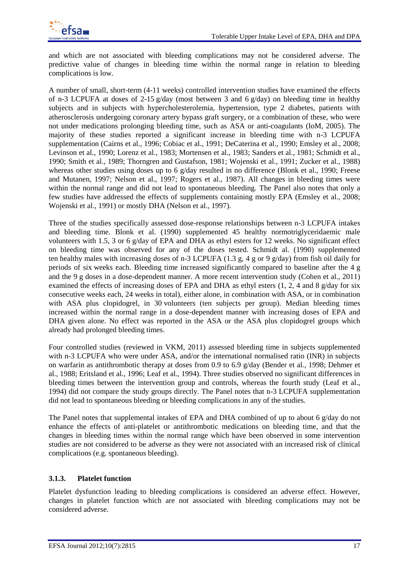

and which are not associated with bleeding complications may not be considered adverse. The predictive value of changes in bleeding time within the normal range in relation to bleeding complications is low.

A number of small, short-term (4-11 weeks) controlled intervention studies have examined the effects of n-3 LCPUFA at doses of 2-15  $g$ /day (most between 3 and 6  $g$ /day) on bleeding time in healthy subjects and in subjects with hypercholesterolemia, hypertension, type 2 diabetes, patients with atherosclerosis undergoing coronary artery bypass graft surgery, or a combination of these, who were not under medications prolonging bleeding time, such as ASA or anti-coagulants [\(IoM, 2005\)](#page-27-0). The majority of these studies reported a significant increase in bleeding time with n-3 LCPUFA supplementation [\(Cairns et al., 1996;](#page-24-4) [Cobiac et al., 1991;](#page-25-9) [DeCaterina et al., 1990;](#page-25-10) [Emsley et al.,](#page-26-6) 2008; [Levinson et al., 1990;](#page-28-6) [Lorenz et al., 1983;](#page-28-7) [Mortensen et al., 1983;](#page-29-9) [Sanders et al., 1981;](#page-29-10) [Schmidt et al.,](#page-30-4)  [1990;](#page-30-4) [Smith et al., 1989;](#page-30-5) [Thorngren and Gustafson, 1981;](#page-31-3) [Wojenski et al., 1991;](#page-31-4) [Zucker et al., 1988\)](#page-31-5) whereas other studies using doses up to 6 g/day resulted in no difference [\(Blonk et al., 1990;](#page-24-6) Freese [and Mutanen, 1997;](#page-26-7) [Nelson et al., 1997;](#page-29-11) [Rogers et al., 1987\)](#page-29-12). All changes in bleeding times were within the normal range and did not lead to spontaneous bleeding. The Panel also notes that only a few studies have addressed the effects of supplements containing mostly EPA [\(Emsley et al., 2008;](#page-26-6) [Wojenski et al., 1991\)](#page-31-4) or mostly DHA [\(Nelson et al., 1997\)](#page-29-11).

Three of the studies specifically assessed dose-response relationships between n-3 LCPUFA intakes and bleeding time. Blonk et al. [\(1990\)](#page-24-6) supplemented 45 healthy normotriglyceridaemic male volunteers with 1.5, 3 or 6 g/day of EPA and DHA as ethyl esters for 12 weeks. No significant effect on bleeding time was observed for any of the doses tested. Schmidt al. [\(1990\)](#page-30-4) supplemented ten healthy males with increasing doses of n-3 LCPUFA (1.3 g, 4 g or 9 g/day) from fish oil daily for periods of six weeks each. Bleeding time increased significantly compared to baseline after the 4 g and the 9 g doses in a dose-dependent manner. A more recent intervention study [\(Cohen et al., 2011\)](#page-25-11) examined the effects of increasing doses of EPA and DHA as ethyl esters  $(1, 2, 4$  and  $8 \text{ g/day}$  for six consecutive weeks each, 24 weeks in total), either alone, in combination with ASA, or in combination with ASA plus clopidogrel, in 30 volunteers (ten subjects per group). Median bleeding times increased within the normal range in a dose-dependent manner with increasing doses of EPA and DHA given alone. No effect was reported in the ASA or the ASA plus clopidogrel groups which already had prolonged bleeding times.

Four controlled studies [\(reviewed in VKM, 2011\)](#page-31-0) assessed bleeding time in subjects supplemented with n-3 LCPUFA who were under ASA, and/or the international normalised ratio (INR) in subjects on warfarin as antithrombotic therapy at doses from 0.9 to 6.9 g/day [\(Bender et al., 1998;](#page-24-7) [Dehmer et](#page-25-12)  [al., 1988;](#page-25-12) [Eritsland et al., 1996;](#page-26-2) [Leaf et al., 1994\)](#page-28-4). Three studies observed no significant differences in bleeding times between the intervention group and controls, whereas the fourth study [\(Leaf et al.,](#page-28-4)  [1994\)](#page-28-4) did not compare the study groups directly. The Panel notes that n-3 LCPUFA supplementation did not lead to spontaneous bleeding or bleeding complications in any of the studies.

The Panel notes that supplemental intakes of EPA and DHA combined of up to about 6  $g$ /day do not enhance the effects of anti-platelet or antithrombotic medications on bleeding time, and that the changes in bleeding times within the normal range which have been observed in some intervention studies are not considered to be adverse as they were not associated with an increased risk of clinical complications (e.g. spontaneous bleeding).

# <span id="page-16-0"></span>**3.1.3. Platelet function**

Platelet dysfunction leading to bleeding complications is considered an adverse effect. However, changes in platelet function which are not associated with bleeding complications may not be considered adverse.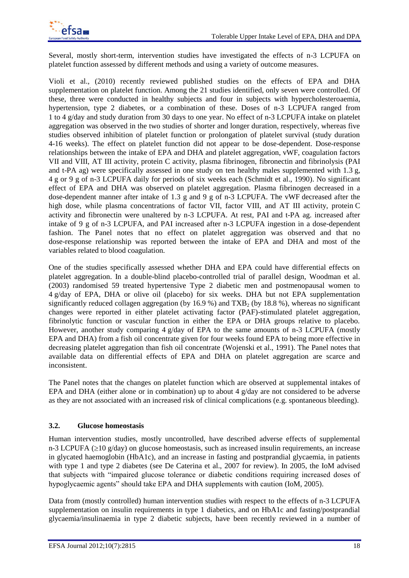

Several, mostly short-term, intervention studies have investigated the effects of n-3 LCPUFA on platelet function assessed by different methods and using a variety of outcome measures.

Violi et al., [\(2010\)](#page-31-6) recently reviewed published studies on the effects of EPA and DHA supplementation on platelet function. Among the 21 studies identified, only seven were controlled. Of these, three were conducted in healthy subjects and four in subjects with hypercholesteroaemia, hypertension, type 2 diabetes, or a combination of these. Doses of n-3 LCPUFA ranged from 1 to 4 g/day and study duration from 30 days to one year. No effect of n-3 LCPUFA intake on platelet aggregation was observed in the two studies of shorter and longer duration, respectively, whereas five studies observed inhibition of platelet function or prolongation of platelet survival (study duration 4-16 weeks). The effect on platelet function did not appear to be dose-dependent. Dose-response relationships between the intake of EPA and DHA and platelet aggregation, vWF, coagulation factors VII and VIII, AT III activity, protein C activity, plasma fibrinogen, fibronectin and fibrinolysis (PAI and t-PA ag) were specifically assessed in one study on ten healthy males supplemented with 1.3 g, 4 g or 9 g of n-3 LCPUFA daily for periods of six weeks each [\(Schmidt et al., 1990\)](#page-30-4). No significant effect of EPA and DHA was observed on platelet aggregation. Plasma fibrinogen decreased in a dose-dependent manner after intake of 1.3 g and 9 g of n-3 LCPUFA. The vWF decreased after the high dose, while plasma concentrations of factor VII, factor VIII, and AT III activity, protein C activity and fibronectin were unaltered by n-3 LCPUFA. At rest, PAI and t-PA ag. increased after intake of 9 g of n-3 LCPUFA, and PAI increased after n-3 LCPUFA ingestion in a dose-dependent fashion. The Panel notes that no effect on platelet aggregation was observed and that no dose-response relationship was reported between the intake of EPA and DHA and most of the variables related to blood coagulation.

One of the studies specifically assessed whether DHA and EPA could have differential effects on platelet aggregation. In a double-blind placebo-controlled trial of parallel design, Woodman et al. [\(2003\)](#page-31-7) randomised 59 treated hypertensive Type 2 diabetic men and postmenopausal women to 4 g/day of EPA, DHA or olive oil (placebo) for six weeks. DHA but not EPA supplementation significantly reduced collagen aggregation (by  $16.9\%$ ) and TXB<sub>2</sub> (by 18.8%), whereas no significant changes were reported in either platelet activating factor (PAF)-stimulated platelet aggregation, fibrinolytic function or vascular function in either the EPA or DHA groups relative to placebo. However, another study comparing 4 g/day of EPA to the same amounts of n-3 LCPUFA (mostly EPA and DHA) from a fish oil concentrate given for four weeks found EPA to being more effective in decreasing platelet aggregation than fish oil concentrate [\(Wojenski et al., 1991\)](#page-31-4). The Panel notes that available data on differential effects of EPA and DHA on platelet aggregation are scarce and inconsistent.

The Panel notes that the changes on platelet function which are observed at supplemental intakes of EPA and DHA (either alone or in combination) up to about 4 g/day are not considered to be adverse as they are not associated with an increased risk of clinical complications (e.g. spontaneous bleeding).

# <span id="page-17-0"></span>**3.2. Glucose homeostasis**

Human intervention studies, mostly uncontrolled, have described adverse effects of supplemental n-3 LCPUFA ( $\geq$ 10 g/day) on glucose homeostasis, such as increased insulin requirements, an increase in glycated haemoglobin (HbA1c), and an increase in fasting and postprandial glycaemia, in patients with type 1 and type 2 diabetes [\(see De Caterina et al., 2007 for review\)](#page-25-13). In 2005, the IoM advised that subjects with "impaired glucose tolerance or diabetic conditions requiring increased doses of hypoglycaemic agents" should take EPA and DHA supplements with caution [\(IoM, 2005\)](#page-27-0).

Data from (mostly controlled) human intervention studies with respect to the effects of n-3 LCPUFA supplementation on insulin requirements in type 1 diabetics, and on HbA1c and fasting/postprandial glycaemia/insulinaemia in type 2 diabetic subjects, have been recently reviewed in a number of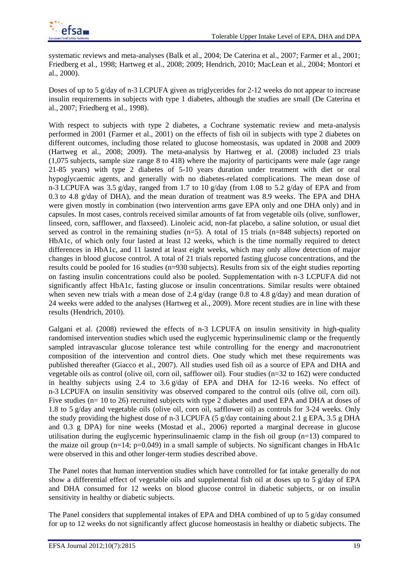

systematic reviews and meta-analyses [\(Balk et al., 2004;](#page-24-8) [De Caterina et al., 2007;](#page-25-13) Farmer [et al., 2001;](#page-26-8) [Friedberg et al., 1998;](#page-26-9) [Hartweg et al., 2008;](#page-27-7) [2009;](#page-27-8) [Hendrich, 2010;](#page-27-9) [MacLean et al., 2004;](#page-28-8) [Montori et](#page-28-9)  [al., 2000\)](#page-28-9).

Doses of up to 5 g/day of n-3 LCPUFA given as triglycerides for 2-12 weeks do not appear to increase insulin requirements in subjects with type 1 diabetes, although the studies are small [\(De Caterina et](#page-25-13)  [al., 2007;](#page-25-13) [Friedberg et al., 1998\)](#page-26-9).

With respect to subjects with type 2 diabetes, a Cochrane systematic review and meta-analysis performed in 2001 [\(Farmer et al., 2001\)](#page-26-8) on the effects of fish oil in subjects with type 2 diabetes on different outcomes, including those related to glucose homeostasis, was updated in 2008 and 2009 [\(Hartweg et al., 2008;](#page-27-7) [2009\)](#page-27-8). The meta-analysis by Hartweg et al. [\(2008\)](#page-27-7) included 23 trials (1,075 subjects, sample size range 8 to 418) where the majority of participants were male (age range 21-85 years) with type 2 diabetes of 5-10 years duration under treatment with diet or oral hypoglycaemic agents, and generally with no diabetes-related complications. The mean dose of n-3 LCPUFA was 3.5 g/day, ranged from 1.7 to 10 g/day (from 1.08 to 5.2 g/day of EPA and from 0.3 to 4.8 g/day of DHA), and the mean duration of treatment was 8.9 weeks. The EPA and DHA were given mostly in combination (two intervention arms gave EPA only and one DHA only) and in capsules. In most cases, controls received similar amounts of fat from vegetable oils (olive, sunflower, linseed, corn, safflower, and flaxseed). Linoleic acid, non-fat placebo, a saline solution, or usual diet served as control in the remaining studies  $(n=5)$ . A total of 15 trials  $(n=848$  subjects) reported on HbA1c, of which only four lasted at least 12 weeks, which is the time normally required to detect differences in HbA1c, and 11 lasted at least eight weeks, which may only allow detection of major changes in blood glucose control. A total of 21 trials reported fasting glucose concentrations, and the results could be pooled for 16 studies (n=930 subjects). Results from six of the eight studies reporting on fasting insulin concentrations could also be pooled. Supplementation with n-3 LCPUFA did not significantly affect HbA1c, fasting glucose or insulin concentrations. Similar results were obtained when seven new trials with a mean dose of 2.4 g/day (range 0.8 to 4.8 g/day) and mean duration of 24 weeks were added to the analyses [\(Hartweg et al., 2009\)](#page-27-8). More recent studies are in line with these results [\(Hendrich, 2010\)](#page-27-9).

Galgani et al. [\(2008\)](#page-26-10) reviewed the effects of n-3 LCPUFA on insulin sensitivity in high-quality randomised intervention studies which used the euglycemic hyperinsulinemic clamp or the frequently sampled intravascular glucose tolerance test while controlling for the energy and macronutrient composition of the intervention and control diets. One study which met these requirements was published thereafter [\(Giacco et al., 2007\)](#page-26-11). All studies used fish oil as a source of EPA and DHA and vegetable oils as control (olive oil, corn oil, safflower oil). Four studies (n=32 to 162) were conducted in healthy subjects using 2.4 to 3.6 g/day of EPA and DHA for 12-16 weeks. No effect of n-3 LCPUFA on insulin sensitivity was observed compared to the control oils (olive oil, corn oil). Five studies (n= 10 to 26) recruited subjects with type 2 diabetes and used EPA and DHA at doses of 1.8 to 5 g/day and vegetable oils (olive oil, corn oil, safflower oil) as controls for 3-24 weeks. Only the study providing the highest dose of n-3 LCPUFA (5 g/day containing about 2.1 g EPA, 3.5 g DHA and 0.3 g DPA) for nine weeks [\(Mostad et al., 2006\)](#page-29-13) reported a marginal decrease in glucose utilisation during the euglycemic hyperinsulinaemic clamp in the fish oil group (n=13) compared to the maize oil group  $(n=14; p=0.049)$  in a small sample of subjects. No significant changes in HbA1c were observed in this and other longer-term studies described above.

The Panel notes that human intervention studies which have controlled for fat intake generally do not show a differential effect of vegetable oils and supplemental fish oil at doses up to 5 g/day of EPA and DHA consumed for 12 weeks on blood glucose control in diabetic subjects, or on insulin sensitivity in healthy or diabetic subjects.

The Panel considers that supplemental intakes of EPA and DHA combined of up to 5 g/day consumed for up to 12 weeks do not significantly affect glucose homeostasis in healthy or diabetic subjects. The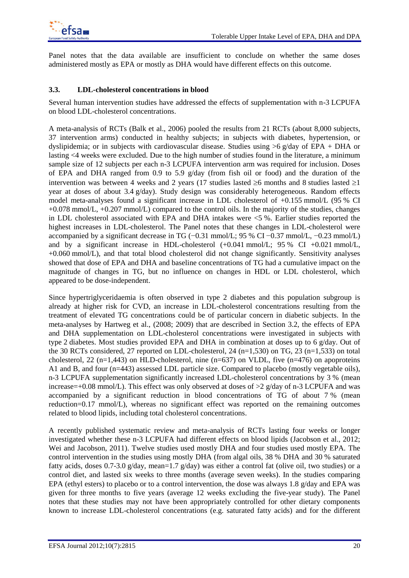

Panel notes that the data available are insufficient to conclude on whether the same doses administered mostly as EPA or mostly as DHA would have different effects on this outcome.

#### <span id="page-19-0"></span>**3.3. LDL-cholesterol concentrations in blood**

Several human intervention studies have addressed the effects of supplementation with n-3 LCPUFA on blood LDL-cholesterol concentrations.

A meta-analysis of RCTs [\(Balk et al., 2006\)](#page-24-9) pooled the results from 21 RCTs (about 8,000 subjects, 37 intervention arms) conducted in healthy subjects; in subjects with diabetes, hypertension, or dyslipidemia; or in subjects with cardiovascular disease. Studies using >6 g/day of EPA + DHA or lasting <4 weeks were excluded. Due to the high number of studies found in the literature, a minimum sample size of 12 subjects per each n-3 LCPUFA intervention arm was required for inclusion. Doses of EPA and DHA ranged from 0.9 to 5.9 g/day (from fish oil or food) and the duration of the intervention was between 4 weeks and 2 years (17 studies lasted  $\geq 6$  months and 8 studies lasted  $\geq 1$ year at doses of about 3.4 g/day). Study design was considerably heterogeneous. Random effects model meta-analyses found a significant increase in LDL cholesterol of +0.155 mmol/L (95 % CI +0.078 mmol/L, +0.207 mmol/L) compared to the control oils. In the majority of the studies, changes in LDL cholesterol associated with EPA and DHA intakes were <5 %. Earlier studies reported the highest increases in LDL-cholesterol. The Panel notes that these changes in LDL-cholesterol were accompanied by a significant decrease in TG (−0.31 mmol/L; 95 % CI −0.37 mmol/L, −0.23 mmol/L) and by a significant increase in HDL-cholesterol  $(+0.041 \text{ mmol/L}; 95\% \text{ CI} +0.021 \text{ mmol/L}$ . +0.060 mmol/L), and that total blood cholesterol did not change significantly. Sensitivity analyses showed that dose of EPA and DHA and baseline concentrations of TG had a cumulative impact on the magnitude of changes in TG, but no influence on changes in HDL or LDL cholesterol, which appeared to be dose-independent.

Since hypertriglyceridaemia is often observed in type 2 diabetes and this population subgroup is already at higher risk for CVD, an increase in LDL-cholesterol concentrations resulting from the treatment of elevated TG concentrations could be of particular concern in diabetic subjects. In the meta-analyses by Hartweg et al., [\(2008;](#page-27-7) [2009\)](#page-27-8) that are described in Section 3.2, the effects of EPA and DHA supplementation on LDL-cholesterol concentrations were investigated in subjects with type 2 diabetes. Most studies provided EPA and DHA in combination at doses up to 6 g/day. Out of the 30 RCTs considered, 27 reported on LDL-cholesterol, 24  $(n=1,530)$  on TG, 23  $(n=1,533)$  on total cholesterol, 22 (n=1,443) on HLD-cholesterol, nine (n=637) on VLDL, five (n=476) on apoproteins A1 and B, and four (n=443) assessed LDL particle size. Compared to placebo (mostly vegetable oils), n-3 LCPUFA supplementation significantly increased LDL-cholesterol concentrations by 3 % (mean increase=+0.08 mmol/L). This effect was only observed at doses of >2 g/day of n-3 LCPUFA and was accompanied by a significant reduction in blood concentrations of TG of about 7 % (mean reduction=0.17 mmol/L), whereas no significant effect was reported on the remaining outcomes related to blood lipids, including total cholesterol concentrations.

A recently published systematic review and meta-analysis of RCTs lasting four weeks or longer investigated whether these n-3 LCPUFA had different effects on blood lipids [\(Jacobson et al., 2012;](#page-27-10) [Wei and Jacobson, 2011\)](#page-31-8). Twelve studies used mostly DHA and four studies used mostly EPA. The control intervention in the studies using mostly DHA (from algal oils, 38 % DHA and 30 % saturated fatty acids, doses 0.7-3.0 g/day, mean=1.7 g/day) was either a control fat (olive oil, two studies) or a control diet, and lasted six weeks to three months (average seven weeks). In the studies comparing EPA (ethyl esters) to placebo or to a control intervention, the dose was always 1.8 g/day and EPA was given for three months to five years (average 12 weeks excluding the five-year study). The Panel notes that these studies may not have been appropriately controlled for other dietary components known to increase LDL-cholesterol concentrations (e.g. saturated fatty acids) and for the different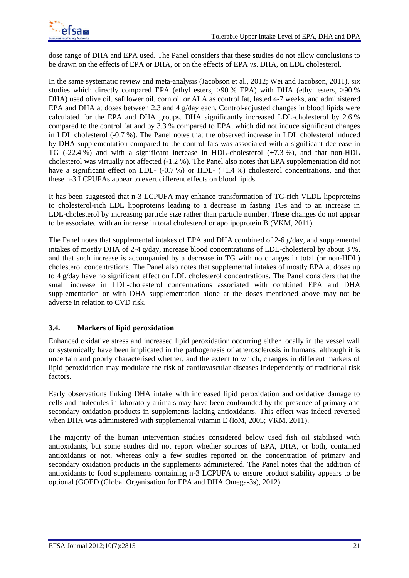

dose range of DHA and EPA used. The Panel considers that these studies do not allow conclusions to be drawn on the effects of EPA or DHA, or on the effects of EPA *vs*. DHA, on LDL cholesterol.

In the same systematic review and meta-analysis [\(Jacobson et al., 2012;](#page-27-10) [Wei and Jacobson, 2011\)](#page-31-8), six studies which directly compared EPA (ethyl esters, >90 % EPA) with DHA (ethyl esters, >90 % DHA) used olive oil, safflower oil, corn oil or ALA as control fat, lasted 4-7 weeks, and administered EPA and DHA at doses between 2.3 and 4 g/day each. Control-adjusted changes in blood lipids were calculated for the EPA and DHA groups. DHA significantly increased LDL-cholesterol by 2.6 % compared to the control fat and by 3.3 % compared to EPA, which did not induce significant changes in LDL cholesterol (-0.7 %). The Panel notes that the observed increase in LDL cholesterol induced by DHA supplementation compared to the control fats was associated with a significant decrease in TG (-22.4 %) and with a significant increase in HDL-cholesterol (+7.3 %), and that non-HDL cholesterol was virtually not affected (-1.2 %). The Panel also notes that EPA supplementation did not have a significant effect on LDL- (-0.7 %) or HDL- (+1.4 %) cholesterol concentrations, and that these n-3 LCPUFAs appear to exert different effects on blood lipids.

It has been suggested that n-3 LCPUFA may enhance transformation of TG-rich VLDL lipoproteins to cholesterol-rich LDL lipoproteins leading to a decrease in fasting TGs and to an increase in LDL-cholesterol by increasing particle size rather than particle number. These changes do not appear to be associated with an increase in total cholesterol or apolipoprotein B [\(VKM, 2011\)](#page-31-0).

The Panel notes that supplemental intakes of EPA and DHA combined of 2-6 g/day, and supplemental intakes of mostly DHA of 2-4 g/day, increase blood concentrations of LDL-cholesterol by about 3 %, and that such increase is accompanied by a decrease in TG with no changes in total (or non-HDL) cholesterol concentrations. The Panel also notes that supplemental intakes of mostly EPA at doses up to 4 g/day have no significant effect on LDL cholesterol concentrations. The Panel considers that the small increase in LDL-cholesterol concentrations associated with combined EPA and DHA supplementation or with DHA supplementation alone at the doses mentioned above may not be adverse in relation to CVD risk.

# <span id="page-20-0"></span>**3.4. Markers of lipid peroxidation**

Enhanced oxidative stress and increased lipid peroxidation occurring either locally in the vessel wall or systemically have been implicated in the pathogenesis of atherosclerosis in humans, although it is uncertain and poorly characterised whether, and the extent to which, changes in different markers of lipid peroxidation may modulate the risk of cardiovascular diseases independently of traditional risk factors.

Early observations linking DHA intake with increased lipid peroxidation and oxidative damage to cells and molecules in laboratory animals may have been confounded by the presence of primary and secondary oxidation products in supplements lacking antioxidants. This effect was indeed reversed when DHA was administered with supplemental vitamin E [\(IoM, 2005;](#page-27-0) [VKM, 2011\)](#page-31-0).

The majority of the human intervention studies considered below used fish oil stabilised with antioxidants, but some studies did not report whether sources of EPA, DHA, or both, contained antioxidants or not, whereas only a few studies reported on the concentration of primary and secondary oxidation products in the supplements administered. The Panel notes that the addition of antioxidants to food supplements containing n-3 LCPUFA to ensure product stability appears to be optional [\(GOED \(Global Organisation for EPA and DHA Omega-3s\), 2012\)](#page-27-11).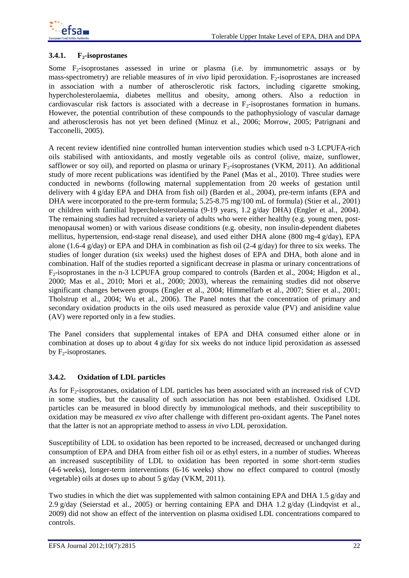

# <span id="page-21-0"></span>**3.4.1. F2-isoprostanes**

Some  $F_2$ -isoprostanes assessed in urine or plasma (i.e. by immunometric assays or by mass-spectrometry) are reliable measures of *in vivo* lipid peroxidation.  $F_2$ -isoprostanes are increased in association with a number of atherosclerotic risk factors, including cigarette smoking, hypercholesterolaemia, diabetes mellitus and obesity, among others. Also a reduction in cardiovascular risk factors is associated with a decrease in  $F<sub>2</sub>$ -isoprostanes formation in humans. However, the potential contribution of these compounds to the pathophysiology of vascular damage and atherosclerosis has not yet been defined [\(Minuz et al., 2006;](#page-28-10) [Morrow, 2005;](#page-29-14) [Patrignani and](#page-29-15)  [Tacconelli, 2005\)](#page-29-15).

A recent review identified nine controlled human intervention studies which used n-3 LCPUFA-rich oils stabilised with antioxidants, and mostly vegetable oils as control (olive, maize, sunflower, safflower or soy oil), and reported on plasma or urinary  $F_2$ -isoprostanes [\(VKM, 2011\)](#page-31-0). An additional study of more recent publications was identified by the Panel [\(Mas et al.,](#page-28-11) 2010). Three studies were conducted in newborns (following maternal supplementation from 20 weeks of gestation until delivery with 4 g/day EPA and DHA from fish oil) [\(Barden et al., 2004\)](#page-24-10), pre-term infants (EPA and DHA were incorporated to the pre-term formula; 5.25-8.75 mg/100 mL of formula) [\(Stier et al., 2001\)](#page-30-6) or children with familial hypercholesterolaemia (9-19 years, 1.2 g/day DHA) [\(Engler et al., 2004\)](#page-26-12). The remaining studies had recruited a variety of adults who were either healthy (e.g. young men, postmenopausal women) or with various disease conditions (e.g. obesity, non insulin-dependent diabetes mellitus, hypertension, end-stage renal disease), and used either DHA alone (800 mg-4 g/day), EPA alone (1.6-4 g/day) or EPA and DHA in combination as fish oil (2-4 g/day) for three to six weeks. The studies of longer duration (six weeks) used the highest doses of EPA and DHA, both alone and in combination. Half of the studies reported a significant decrease in plasma or urinary concentrations of  $F_2$ -isoprostanes in the n-3 LCPUFA group compared to controls [\(Barden et al., 2004;](#page-24-10) Higdon et al., [2000;](#page-27-12) [Mas et al., 2010;](#page-28-11) [Mori et al., 2000;](#page-28-12) [2003\)](#page-28-13), whereas the remaining studies did not observe significant changes between groups [\(Engler et al., 2004;](#page-26-12) [Himmelfarb et al., 2007;](#page-27-13) [Stier et al., 2001;](#page-30-6) [Tholstrup et al., 2004;](#page-31-9) [Wu et al., 2006\)](#page-31-10). The Panel notes that the concentration of primary and secondary oxidation products in the oils used measured as peroxide value (PV) and anisidine value (AV) were reported only in a few studies.

The Panel considers that supplemental intakes of EPA and DHA consumed either alone or in combination at doses up to about 4 g/day for six weeks do not induce lipid peroxidation as assessed by  $F_2$ -isoprostanes.

# <span id="page-21-1"></span>**3.4.2. Oxidation of LDL particles**

As for  $F_2$ -isoprostanes, oxidation of LDL particles has been associated with an increased risk of CVD in some studies, but the causality of such association has not been established. Oxidised LDL particles can be measured in blood directly by immunological methods, and their susceptibility to oxidation may be measured *ex vivo* after challenge with different pro-oxidant agents. The Panel notes that the latter is not an appropriate method to assess *in vivo* LDL peroxidation.

Susceptibility of LDL to oxidation has been reported to be increased, decreased or unchanged during consumption of EPA and DHA from either fish oil or as ethyl esters, in a number of studies. Whereas an increased susceptibility of LDL to oxidation has been reported in some short-term studies (4-6 weeks), longer-term interventions (6-16 weeks) show no effect compared to control (mostly vegetable) oils at doses up to about 5 g/day [\(VKM, 2011\)](#page-31-0).

Two studies in which the diet was supplemented with salmon containing EPA and DHA 1.5 g/day and 2.9 g/day [\(Seierstad et al., 2005\)](#page-30-7) or herring containing EPA and DHA 1.2 g/day [\(Lindqvist et al.,](#page-28-14)  [2009\)](#page-28-14) did not show an effect of the intervention on plasma oxidised LDL concentrations compared to controls.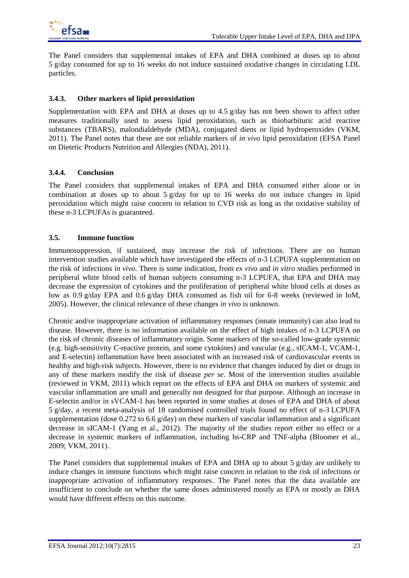

The Panel considers that supplemental intakes of EPA and DHA combined at doses up to about 5 g/day consumed for up to 16 weeks do not induce sustained oxidative changes in circulating LDL particles.

#### <span id="page-22-0"></span>**3.4.3. Other markers of lipid peroxidation**

Supplementation with EPA and DHA at doses up to 4.5 g/day has not been shown to affect other measures traditionally used to assess lipid peroxidation, such as thiobarbituric acid reactive substances (TBARS), malondialdehyde (MDA), conjugated diens or lipid hydroperoxides [\(VKM,](#page-31-0)  [2011\)](#page-31-0). The Panel notes that these are not reliable markers of *in vivo* lipid peroxidation [\(EFSA Panel](#page-26-13)  [on Dietetic Products Nutrition and Allergies \(NDA\), 2011\)](#page-26-13).

#### <span id="page-22-1"></span>**3.4.4. Conclusion**

The Panel considers that supplemental intakes of EPA and DHA consumed either alone or in combination at doses up to about  $5 \frac{\text{g}}{\text{day}}$  for up to 16 weeks do not induce changes in lipid peroxidation which might raise concern in relation to CVD risk as long as the oxidative stability of these n-3 LCPUFAs is guaranteed.

#### <span id="page-22-2"></span>**3.5. Immune function**

Immunosuppression, if sustained, may increase the risk of infections. There are no human intervention studies available which have investigated the effects of n-3 LCPUFA supplementation on the risk of infections *in vivo*. There is some indication, from *ex vivo* and *in vitro* studies performed in peripheral white blood cells of human subjects consuming n-3 LCPUFA, that EPA and DHA may decrease the expression of cytokines and the proliferation of peripheral white blood cells at doses as low as 0.9 g/day EPA and 0.6 g/day DHA consumed as fish oil for 6-8 weeks (reviewed in IoM, [2005\)](#page-27-0). However, the clinical relevance of these changes *in vivo* is unknown.

Chronic and/or inappropriate activation of inflammatory responses (innate immunity) can also lead to disease. However, there is no information available on the effect of high intakes of n-3 LCPUFA on the risk of chronic diseases of inflammatory origin. Some markers of the so-called low-grade systemic (e.g. high-sensitivity C-reactive protein, and some cytokines) and vascular (e.g., sICAM-1, VCAM-1, and E-selectin) inflammation have been associated with an increased risk of cardiovascular events in healthy and high-risk subjects. However, there is no evidence that changes induced by diet or drugs in any of these markers modify the risk of disease *per se*. Most of the intervention studies available [\(reviewed in VKM, 2011\)](#page-31-0) which report on the effects of EPA and DHA on markers of systemic and vascular inflammation are small and generally not designed for that purpose. Although an increase in E-selectin and/or in sVCAM-1 has been reported in some studies at doses of EPA and DHA of about 5 g/day, a recent meta-analysis of 18 randomised controlled trials found no effect of n-3 LCPUFA supplementation (dose  $0.272$  to  $6.6$  g/day) on these markers of vascular inflammation and a significant decrease in sICAM-1 [\(Yang et al., 2012\)](#page-31-11). The majority of the studies report either no effect or a decrease in systemic markers of inflammation, including hs-CRP and TNF-alpha [\(Bloomer et al.,](#page-24-11)  [2009;](#page-24-11) [VKM, 2011\)](#page-31-0).

The Panel considers that supplemental intakes of EPA and DHA up to about 5 g/day are unlikely to induce changes in immune functions which might raise concern in relation to the risk of infections or inappropriate activation of inflammatory responses. The Panel notes that the data available are insufficient to conclude on whether the same doses administered mostly as EPA or mostly as DHA would have different effects on this outcome.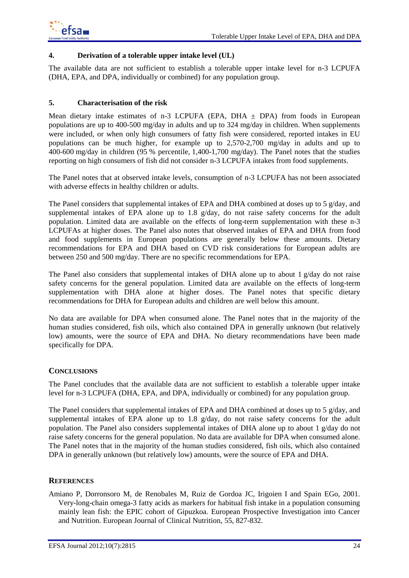

#### <span id="page-23-0"></span>**4. Derivation of a tolerable upper intake level (UL)**

The available data are not sufficient to establish a tolerable upper intake level for n-3 LCPUFA (DHA, EPA, and DPA, individually or combined) for any population group.

#### <span id="page-23-1"></span>**5. Characterisation of the risk**

Mean dietary intake estimates of n-3 LCPUFA (EPA, DHA  $\pm$  DPA) from foods in European populations are up to 400-500 mg/day in adults and up to 324 mg/day in children. When supplements were included, or when only high consumers of fatty fish were considered, reported intakes in EU populations can be much higher, for example up to 2,570-2,700 mg/day in adults and up to 400-600 mg/day in children (95 % percentile, 1,400-1,700 mg/day). The Panel notes that the studies reporting on high consumers of fish did not consider n-3 LCPUFA intakes from food supplements.

The Panel notes that at observed intake levels, consumption of n-3 LCPUFA has not been associated with adverse effects in healthy children or adults.

The Panel considers that supplemental intakes of EPA and DHA combined at doses up to 5  $g$ /day, and supplemental intakes of EPA alone up to 1.8 g/day, do not raise safety concerns for the adult population. Limited data are available on the effects of long-term supplementation with these n-3 LCPUFAs at higher doses. The Panel also notes that observed intakes of EPA and DHA from food and food supplements in European populations are generally below these amounts. Dietary recommendations for EPA and DHA based on CVD risk considerations for European adults are between 250 and 500 mg/day. There are no specific recommendations for EPA.

The Panel also considers that supplemental intakes of DHA alone up to about 1 g/day do not raise safety concerns for the general population. Limited data are available on the effects of long-term supplementation with DHA alone at higher doses. The Panel notes that specific dietary recommendations for DHA for European adults and children are well below this amount.

<span id="page-23-4"></span>No data are available for DPA when consumed alone. The Panel notes that in the majority of the human studies considered, fish oils, which also contained DPA in generally unknown (but relatively low) amounts, were the source of EPA and DHA. No dietary recommendations have been made specifically for DPA.

# <span id="page-23-2"></span>**CONCLUSIONS**

The Panel concludes that the available data are not sufficient to establish a tolerable upper intake level for n-3 LCPUFA (DHA, EPA, and DPA, individually or combined) for any population group.

The Panel considers that supplemental intakes of EPA and DHA combined at doses up to 5  $g$ /day, and supplemental intakes of EPA alone up to 1.8 g/day, do not raise safety concerns for the adult population. The Panel also considers supplemental intakes of DHA alone up to about 1  $g/dav$  do not raise safety concerns for the general population. No data are available for DPA when consumed alone. The Panel notes that in the majority of the human studies considered, fish oils, which also contained DPA in generally unknown (but relatively low) amounts, were the source of EPA and DHA.

#### <span id="page-23-3"></span>**REFERENCES**

Amiano P, Dorronsoro M, de Renobales M, Ruiz de Gordoa JC, Irigoien I and Spain EGo, 2001. Very-long-chain omega-3 fatty acids as markers for habitual fish intake in a population consuming mainly lean fish: the EPIC cohort of Gipuzkoa. European Prospective Investigation into Cancer and Nutrition. European Journal of Clinical Nutrition, 55, 827-832.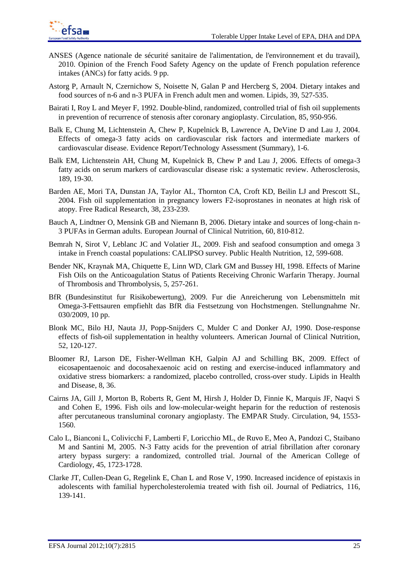<span id="page-24-13"></span>

- <span id="page-24-14"></span><span id="page-24-2"></span>ANSES (Agence nationale de sécurité sanitaire de l'alimentation, de l'environnement et du travail), 2010. Opinion of the French Food Safety Agency on the update of French population reference intakes (ANCs) for fatty acids. 9 pp.
- <span id="page-24-12"></span>Astorg P, Arnault N, Czernichow S, Noisette N, Galan P and Hercberg S, 2004. Dietary intakes and food sources of n-6 and n-3 PUFA in French adult men and women. Lipids, 39, 527-535.
- <span id="page-24-3"></span>Bairati I, Roy L and Meyer F, 1992. Double-blind, randomized, controlled trial of fish oil supplements in prevention of recurrence of stenosis after coronary angioplasty. Circulation, 85, 950-956.
- <span id="page-24-8"></span>Balk E, Chung M, Lichtenstein A, Chew P, Kupelnick B, Lawrence A, DeVine D and Lau J, 2004. Effects of omega-3 fatty acids on cardiovascular risk factors and intermediate markers of cardiovascular disease. Evidence Report/Technology Assessment (Summary), 1-6.
- <span id="page-24-9"></span>Balk EM, Lichtenstein AH, Chung M, Kupelnick B, Chew P and Lau J, 2006. Effects of omega-3 fatty acids on serum markers of cardiovascular disease risk: a systematic review. Atherosclerosis, 189, 19-30.
- <span id="page-24-10"></span>Barden AE, Mori TA, Dunstan JA, Taylor AL, Thornton CA, Croft KD, Beilin LJ and Prescott SL, 2004. Fish oil supplementation in pregnancy lowers F2-isoprostanes in neonates at high risk of atopy. Free Radical Research, 38, 233-239.
- Bauch A, Lindtner O, Mensink GB and Niemann B, 2006. Dietary intake and sources of long-chain n-3 PUFAs in German adults. European Journal of Clinical Nutrition, 60, 810-812.
- Bemrah N, Sirot V, Leblanc JC and Volatier JL, 2009. Fish and seafood consumption and omega 3 intake in French coastal populations: CALIPSO survey. Public Health Nutrition, 12, 599-608.
- <span id="page-24-7"></span>Bender NK, Kraynak MA, Chiquette E, Linn WD, Clark GM and Bussey HI, 1998. Effects of Marine Fish Oils on the Anticoagulation Status of Patients Receiving Chronic Warfarin Therapy. Journal of Thrombosis and Thrombolysis, 5, 257-261.
- <span id="page-24-0"></span>BfR (Bundesinstitut fur Risikobewertung), 2009. Fur die Anreicherung von Lebensmitteln mit Omega-3-Fettsauren empfiehlt das BfR dia Festsetzung von Hochstmengen. Stellungnahme Nr. 030/2009, 10 pp.
- <span id="page-24-6"></span>Blonk MC, Bilo HJ, Nauta JJ, Popp-Snijders C, Mulder C and Donker AJ, 1990. Dose-response effects of fish-oil supplementation in healthy volunteers. American Journal of Clinical Nutrition, 52, 120-127.
- <span id="page-24-11"></span>Bloomer RJ, Larson DE, Fisher-Wellman KH, Galpin AJ and Schilling BK, 2009. Effect of eicosapentaenoic and docosahexaenoic acid on resting and exercise-induced inflammatory and oxidative stress biomarkers: a randomized, placebo controlled, cross-over study. Lipids in Health and Disease, 8, 36.
- <span id="page-24-4"></span>Cairns JA, Gill J, Morton B, Roberts R, Gent M, Hirsh J, Holder D, Finnie K, Marquis JF, Naqvi S and Cohen E, 1996. Fish oils and low-molecular-weight heparin for the reduction of restenosis after percutaneous transluminal coronary angioplasty. The EMPAR Study. Circulation, 94, 1553- 1560.
- <span id="page-24-5"></span>Calo L, Bianconi L, Colivicchi F, Lamberti F, Loricchio ML, de Ruvo E, Meo A, Pandozi C, Staibano M and Santini M, 2005. N-3 Fatty acids for the prevention of atrial fibrillation after coronary artery bypass surgery: a randomized, controlled trial. Journal of the American College of Cardiology, 45, 1723-1728.
- <span id="page-24-1"></span>Clarke JT, Cullen-Dean G, Regelink E, Chan L and Rose V, 1990. Increased incidence of epistaxis in adolescents with familial hypercholesterolemia treated with fish oil. Journal of Pediatrics, 116, 139-141.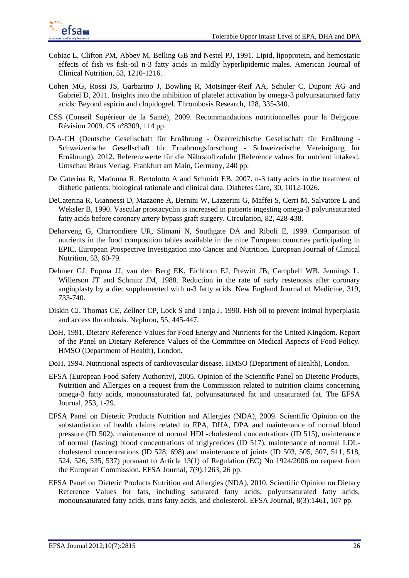

- <span id="page-25-9"></span>Cobiac L, Clifton PM, Abbey M, Belling GB and Nestel PJ, 1991. Lipid, lipoprotein, and hemostatic effects of fish vs fish-oil n-3 fatty acids in mildly hyperlipidemic males. American Journal of Clinical Nutrition, 53, 1210-1216.
- <span id="page-25-11"></span>Cohen MG, Rossi JS, Garbarino J, Bowling R, Motsinger-Reif AA, Schuler C, Dupont AG and Gabriel D, 2011. Insights into the inhibition of platelet activation by omega-3 polyunsaturated fatty acids: Beyond aspirin and clopidogrel. Thrombosis Research, 128, 335-340.
- <span id="page-25-6"></span>CSS (Conseil Supérieur de la Santé), 2009. Recommandations nutritionnelles pour la Belgique. Révision 2009. CS n°8309, 114 pp.
- <span id="page-25-7"></span>D-A-CH (Deutsche Gesellschaft für Ernährung - Österreichische Gesellschaft für Ernährung - Schweizerische Gesellschaft für Ernährungsforschung - Schweizerische Vereinigung für Ernährung), 2012. Referenzwerte für die Nährstoffzufuhr [Reference values for nutrient intakes]. Umschau Braus Verlag, Frankfurt am Main, Germany, 240 pp.
- <span id="page-25-13"></span>De Caterina R, Madonna R, Bertolotto A and Schmidt EB, 2007. n-3 fatty acids in the treatment of diabetic patients: biological rationale and clinical data. Diabetes Care, 30, 1012-1026.
- <span id="page-25-10"></span>DeCaterina R, Giannessi D, Mazzone A, Bernini W, Lazzerini G, Maffei S, Cerri M, Salvatore L and Weksler B, 1990. Vascular prostacyclin is increased in patients ingesting omega-3 polyunsaturated fatty acids before coronary artery bypass graft surgery. Circulation, 82, 428-438.
- <span id="page-25-1"></span>Deharveng G, Charrondiere UR, Slimani N, Southgate DA and Riboli E, 1999. Comparison of nutrients in the food composition tables available in the nine European countries participating in EPIC. European Prospective Investigation into Cancer and Nutrition. European Journal of Clinical Nutrition, 53, 60-79.
- <span id="page-25-12"></span>Dehmer GJ, Popma JJ, van den Berg EK, Eichhorn EJ, Prewitt JB, Campbell WB, Jennings L, Willerson JT and Schmitz JM, 1988. Reduction in the rate of early restenosis after coronary angioplasty by a diet supplemented with n-3 fatty acids. New England Journal of Medicine, 319, 733-740.
- <span id="page-25-8"></span>Diskin CJ, Thomas CE, Zellner CP, Lock S and Tanja J, 1990. Fish oil to prevent intimal hyperplasia and access thrombosis. Nephron, 55, 445-447.
- <span id="page-25-4"></span>DoH, 1991. Dietary Reference Values for Food Energy and Nutrients for the United Kingdom. Report of the Panel on Dietary Reference Values of the Committee on Medical Aspects of Food Policy. HMSO (Department of Health), London.
- <span id="page-25-5"></span>DoH, 1994. Nutritional aspects of cardiovascular disease. HMSO (Department of Health), London.
- <span id="page-25-0"></span>EFSA (European Food Safety Authority), 2005. Opinion of the Scientific Panel on Dietetic Products, Nutrition and Allergies on a request from the Commission related to nutrition claims concerning omega-3 fatty acids, monounsaturated fat, polyunsaturated fat and unsaturated fat. The EFSA Journal, 253, 1-29.
- <span id="page-25-3"></span>EFSA Panel on Dietetic Products Nutrition and Allergies (NDA), 2009. Scientific Opinion on the substantiation of health claims related to EPA, DHA, DPA and maintenance of normal blood pressure (ID 502), maintenance of normal HDL-cholesterol concentrations (ID 515), maintenance of normal (fasting) blood concentrations of triglycerides (ID 517), maintenance of normal LDLcholesterol concentrations (ID 528, 698) and maintenance of joints (ID 503, 505, 507, 511, 518, 524, 526, 535, 537) pursuant to Article 13(1) of Regulation (EC) No 1924/2006 on request from the European Commission. EFSA Journal, 7(9):1263, 26 pp.
- <span id="page-25-2"></span>EFSA Panel on Dietetic Products Nutrition and Allergies (NDA), 2010. Scientific Opinion on Dietary Reference Values for fats, including saturated fatty acids, polyunsaturated fatty acids, monounsaturated fatty acids, trans fatty acids, and cholesterol. EFSA Journal, 8(3):1461, 107 pp.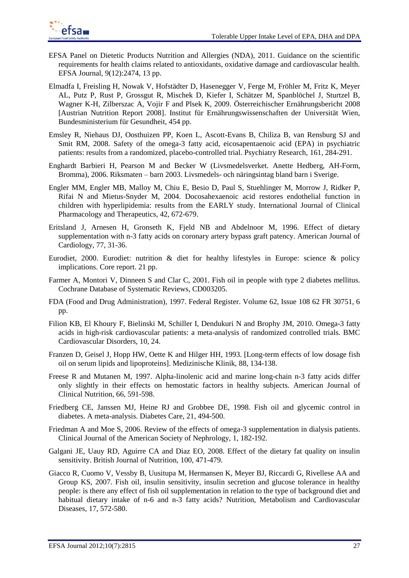<span id="page-26-15"></span><span id="page-26-14"></span>

- <span id="page-26-13"></span>EFSA Panel on Dietetic Products Nutrition and Allergies (NDA), 2011. Guidance on the scientific requirements for health claims related to antioxidants, oxidative damage and cardiovascular health. EFSA Journal, 9(12):2474, 13 pp.
- Elmadfa I, Freisling H, Nowak V, Hofstädter D, Hasenegger V, Ferge M, Fröhler M, Fritz K, Meyer AL, Putz P, Rust P, Grossgut R, Mischek D, Kiefer I, Schätzer M, Spanblöchel J, Sturtzel B, Wagner K-H, Zilberszac A, Vojir F and Plsek K, 2009. Österreichischer Ernährungsbericht 2008 [Austrian Nutrition Report 2008]. Institut für Ernährungswissenschaften der Universität Wien, Bundesministerium für Gesundheit, 454 pp.
- <span id="page-26-6"></span>Emsley R, Niehaus DJ, Oosthuizen PP, Koen L, Ascott-Evans B, Chiliza B, van Rensburg SJ and Smit RM, 2008. Safety of the omega-3 fatty acid, eicosapentaenoic acid (EPA) in psychiatric patients: results from a randomized, placebo-controlled trial. Psychiatry Research, 161, 284-291.
- Enghardt Barbieri H, Pearson M and Becker W (Livsmedelsverket. Anette Hedberg, AH-Form, Bromma), 2006. Riksmaten – barn 2003. Livsmedels- och näringsintag bland barn i Sverige.
- <span id="page-26-12"></span>Engler MM, Engler MB, Malloy M, Chiu E, Besio D, Paul S, Stuehlinger M, Morrow J, Ridker P, Rifai N and Mietus-Snyder M, 2004. Docosahexaenoic acid restores endothelial function in children with hyperlipidemia: results from the EARLY study. International Journal of Clinical Pharmacology and Therapeutics, 42, 672-679.
- <span id="page-26-2"></span>Eritsland J, Arnesen H, Gronseth K, Fjeld NB and Abdelnoor M, 1996. Effect of dietary supplementation with n-3 fatty acids on coronary artery bypass graft patency. American Journal of Cardiology, 77, 31-36.
- <span id="page-26-1"></span>Eurodiet, 2000. Eurodiet: nutrition & diet for healthy lifestyles in Europe: science & policy implications. Core report. 21 pp.
- <span id="page-26-8"></span>Farmer A, Montori V, Dinneen S and Clar C, 2001. Fish oil in people with type 2 diabetes mellitus. Cochrane Database of Systematic Reviews, CD003205.
- <span id="page-26-0"></span>FDA (Food and Drug Administration), 1997. Federal Register. Volume 62, Issue 108 62 FR 30751, 6 pp.
- <span id="page-26-4"></span>Filion KB, El Khoury F, Bielinski M, Schiller I, Dendukuri N and Brophy JM, 2010. Omega-3 fatty acids in high-risk cardiovascular patients: a meta-analysis of randomized controlled trials. BMC Cardiovascular Disorders, 10, 24.
- <span id="page-26-3"></span>Franzen D, Geisel J, Hopp HW, Oette K and Hilger HH, 1993. [Long-term effects of low dosage fish oil on serum lipids and lipoproteins]. Medizinische Klinik, 88, 134-138.
- <span id="page-26-7"></span>Freese R and Mutanen M, 1997. Alpha-linolenic acid and marine long-chain n-3 fatty acids differ only slightly in their effects on hemostatic factors in healthy subjects. American Journal of Clinical Nutrition, 66, 591-598.
- <span id="page-26-9"></span>Friedberg CE, Janssen MJ, Heine RJ and Grobbee DE, 1998. Fish oil and glycemic control in diabetes. A meta-analysis. Diabetes Care, 21, 494-500.
- <span id="page-26-5"></span>Friedman A and Moe S, 2006. Review of the effects of omega-3 supplementation in dialysis patients. Clinical Journal of the American Society of Nephrology, 1, 182-192.
- <span id="page-26-10"></span>Galgani JE, Uauy RD, Aguirre CA and Diaz EO, 2008. Effect of the dietary fat quality on insulin sensitivity. British Journal of Nutrition, 100, 471-479.
- <span id="page-26-11"></span>Giacco R, Cuomo V, Vessby B, Uusitupa M, Hermansen K, Meyer BJ, Riccardi G, Rivellese AA and Group KS, 2007. Fish oil, insulin sensitivity, insulin secretion and glucose tolerance in healthy people: is there any effect of fish oil supplementation in relation to the type of background diet and habitual dietary intake of n-6 and n-3 fatty acids? Nutrition, Metabolism and Cardiovascular Diseases, 17, 572-580.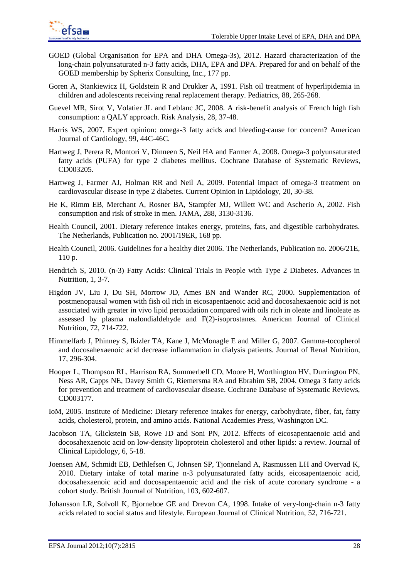- <span id="page-27-15"></span><span id="page-27-11"></span>GOED (Global Organisation for EPA and DHA Omega-3s), 2012. Hazard characterization of the long-chain polyunsaturated n-3 fatty acids, DHA, EPA and DPA. Prepared for and on behalf of the GOED membership by Spherix Consulting, Inc., 177 pp.
- <span id="page-27-6"></span>Goren A, Stankiewicz H, Goldstein R and Drukker A, 1991. Fish oil treatment of hyperlipidemia in children and adolescents receiving renal replacement therapy. Pediatrics, 88, 265-268.
- Guevel MR, Sirot V, Volatier JL and Leblanc JC, 2008. A risk-benefit analysis of French high fish consumption: a QALY approach. Risk Analysis, 28, 37-48.
- <span id="page-27-5"></span>Harris WS, 2007. Expert opinion: omega-3 fatty acids and bleeding-cause for concern? American Journal of Cardiology, 99, 44C-46C.
- <span id="page-27-7"></span>Hartweg J, Perera R, Montori V, Dinneen S, Neil HA and Farmer A, 2008. Omega-3 polyunsaturated fatty acids (PUFA) for type 2 diabetes mellitus. Cochrane Database of Systematic Reviews, CD003205.
- <span id="page-27-8"></span>Hartweg J, Farmer AJ, Holman RR and Neil A, 2009. Potential impact of omega-3 treatment on cardiovascular disease in type 2 diabetes. Current Opinion in Lipidology, 20, 30-38.
- <span id="page-27-3"></span>He K, Rimm EB, Merchant A, Rosner BA, Stampfer MJ, Willett WC and Ascherio A, 2002. Fish consumption and risk of stroke in men. JAMA, 288, 3130-3136.
- <span id="page-27-1"></span>Health Council, 2001. Dietary reference intakes energy, proteins, fats, and digestible carbohydrates. The Netherlands, Publication no. 2001/19ER, 168 pp.
- <span id="page-27-2"></span>Health Council, 2006. Guidelines for a healthy diet 2006. The Netherlands, Publication no. 2006/21E, 110 p.
- <span id="page-27-9"></span>Hendrich S, 2010. (n-3) Fatty Acids: Clinical Trials in People with Type 2 Diabetes. Advances in Nutrition, 1, 3-7.
- <span id="page-27-14"></span><span id="page-27-12"></span>Higdon JV, Liu J, Du SH, Morrow JD, Ames BN and Wander RC, 2000. Supplementation of postmenopausal women with fish oil rich in eicosapentaenoic acid and docosahexaenoic acid is not associated with greater in vivo lipid peroxidation compared with oils rich in oleate and linoleate as assessed by plasma malondialdehyde and F(2)-isoprostanes. American Journal of Clinical Nutrition, 72, 714-722.
- <span id="page-27-16"></span><span id="page-27-13"></span>Himmelfarb J, Phinney S, Ikizler TA, Kane J, McMonagle E and Miller G, 2007. Gamma-tocopherol and docosahexaenoic acid decrease inflammation in dialysis patients. Journal of Renal Nutrition, 17, 296-304.
- <span id="page-27-4"></span>Hooper L, Thompson RL, Harrison RA, Summerbell CD, Moore H, Worthington HV, Durrington PN, Ness AR, Capps NE, Davey Smith G, Riemersma RA and Ebrahim SB, 2004. Omega 3 fatty acids for prevention and treatment of cardiovascular disease. Cochrane Database of Systematic Reviews, CD003177.
- <span id="page-27-0"></span>IoM, 2005. Institute of Medicine: Dietary reference intakes for energy, carbohydrate, fiber, fat, fatty acids, cholesterol, protein, and amino acids. National Academies Press, Washington DC.
- <span id="page-27-10"></span>Jacobson TA, Glickstein SB, Rowe JD and Soni PN, 2012. Effects of eicosapentaenoic acid and docosahexaenoic acid on low-density lipoprotein cholesterol and other lipids: a review. Journal of Clinical Lipidology, 6, 5-18.
- Joensen AM, Schmidt EB, Dethlefsen C, Johnsen SP, Tjonneland A, Rasmussen LH and Overvad K, 2010. Dietary intake of total marine n-3 polyunsaturated fatty acids, eicosapentaenoic acid, docosahexaenoic acid and docosapentaenoic acid and the risk of acute coronary syndrome - a cohort study. British Journal of Nutrition, 103, 602-607.
- Johansson LR, Solvoll K, Bjorneboe GE and Drevon CA, 1998. Intake of very-long-chain n-3 fatty acids related to social status and lifestyle. European Journal of Clinical Nutrition, 52, 716-721.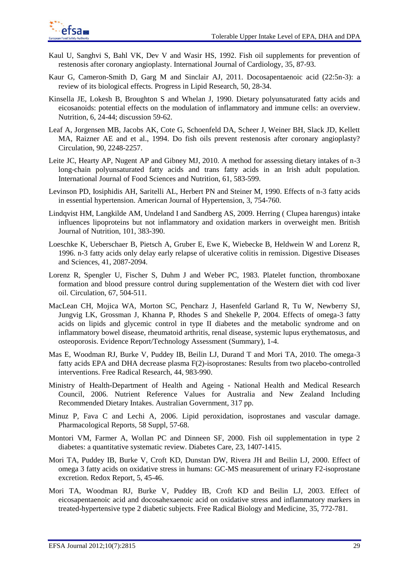<span id="page-28-15"></span>

- <span id="page-28-3"></span>Kaul U, Sanghvi S, Bahl VK, Dev V and Wasir HS, 1992. Fish oil supplements for prevention of restenosis after coronary angioplasty. International Journal of Cardiology, 35, 87-93.
- <span id="page-28-1"></span>Kaur G, Cameron-Smith D, Garg M and Sinclair AJ, 2011. Docosapentaenoic acid (22:5n-3): a review of its biological effects. Progress in Lipid Research, 50, 28-34.
- <span id="page-28-0"></span>Kinsella JE, Lokesh B, Broughton S and Whelan J, 1990. Dietary polyunsaturated fatty acids and eicosanoids: potential effects on the modulation of inflammatory and immune cells: an overview. Nutrition, 6, 24-44; discussion 59-62.
- <span id="page-28-4"></span>Leaf A, Jorgensen MB, Jacobs AK, Cote G, Schoenfeld DA, Scheer J, Weiner BH, Slack JD, Kellett MA, Raizner AE and et al., 1994. Do fish oils prevent restenosis after coronary angioplasty? Circulation, 90, 2248-2257.
- Leite JC, Hearty AP, Nugent AP and Gibney MJ, 2010. A method for assessing dietary intakes of n-3 long-chain polyunsaturated fatty acids and trans fatty acids in an Irish adult population. International Journal of Food Sciences and Nutrition, 61, 583-599.
- <span id="page-28-6"></span>Levinson PD, Iosiphidis AH, Saritelli AL, Herbert PN and Steiner M, 1990. Effects of n-3 fatty acids in essential hypertension. American Journal of Hypertension, 3, 754-760.
- <span id="page-28-14"></span>Lindqvist HM, Langkilde AM, Undeland I and Sandberg AS, 2009. Herring ( Clupea harengus) intake influences lipoproteins but not inflammatory and oxidation markers in overweight men. British Journal of Nutrition, 101, 383-390.
- <span id="page-28-5"></span>Loeschke K, Ueberschaer B, Pietsch A, Gruber E, Ewe K, Wiebecke B, Heldwein W and Lorenz R, 1996. n-3 fatty acids only delay early relapse of ulcerative colitis in remission. Digestive Diseases and Sciences, 41, 2087-2094.
- <span id="page-28-7"></span>Lorenz R, Spengler U, Fischer S, Duhm J and Weber PC, 1983. Platelet function, thromboxane formation and blood pressure control during supplementation of the Western diet with cod liver oil. Circulation, 67, 504-511.
- <span id="page-28-8"></span>MacLean CH, Mojica WA, Morton SC, Pencharz J, Hasenfeld Garland R, Tu W, Newberry SJ, Jungvig LK, Grossman J, Khanna P, Rhodes S and Shekelle P, 2004. Effects of omega-3 fatty acids on lipids and glycemic control in type II diabetes and the metabolic syndrome and on inflammatory bowel disease, rheumatoid arthritis, renal disease, systemic lupus erythematosus, and osteoporosis. Evidence Report/Technology Assessment (Summary), 1-4.
- <span id="page-28-11"></span>Mas E, Woodman RJ, Burke V, Puddey IB, Beilin LJ, Durand T and Mori TA, 2010. The omega-3 fatty acids EPA and DHA decrease plasma F(2)-isoprostanes: Results from two placebo-controlled interventions. Free Radical Research, 44, 983-990.
- <span id="page-28-2"></span>Ministry of Health-Department of Health and Ageing - National Health and Medical Research Council, 2006. Nutrient Reference Values for Australia and New Zealand Including Recommended Dietary Intakes. Australian Government, 317 pp.
- <span id="page-28-10"></span>Minuz P, Fava C and Lechi A, 2006. Lipid peroxidation, isoprostanes and vascular damage. Pharmacological Reports, 58 Suppl, 57-68.
- <span id="page-28-9"></span>Montori VM, Farmer A, Wollan PC and Dinneen SF, 2000. Fish oil supplementation in type 2 diabetes: a quantitative systematic review. Diabetes Care, 23, 1407-1415.
- <span id="page-28-12"></span>Mori TA, Puddey IB, Burke V, Croft KD, Dunstan DW, Rivera JH and Beilin LJ, 2000. Effect of omega 3 fatty acids on oxidative stress in humans: GC-MS measurement of urinary F2-isoprostane excretion. Redox Report, 5, 45-46.
- <span id="page-28-13"></span>Mori TA, Woodman RJ, Burke V, Puddey IB, Croft KD and Beilin LJ, 2003. Effect of eicosapentaenoic acid and docosahexaenoic acid on oxidative stress and inflammatory markers in treated-hypertensive type 2 diabetic subjects. Free Radical Biology and Medicine, 35, 772-781.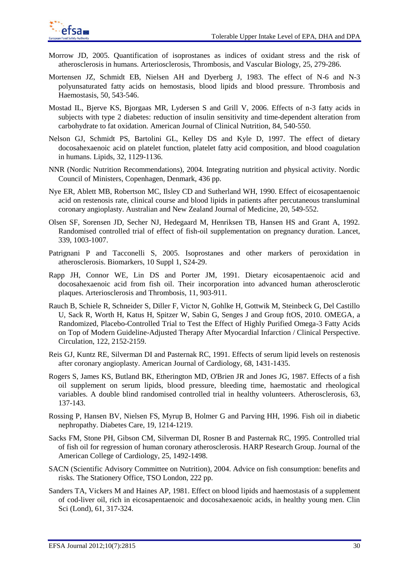

- <span id="page-29-14"></span>Morrow JD, 2005. Quantification of isoprostanes as indices of oxidant stress and the risk of atherosclerosis in humans. Arteriosclerosis, Thrombosis, and Vascular Biology, 25, 279-286.
- <span id="page-29-9"></span>Mortensen JZ, Schmidt EB, Nielsen AH and Dyerberg J, 1983. The effect of N-6 and N-3 polyunsaturated fatty acids on hemostasis, blood lipids and blood pressure. Thrombosis and Haemostasis, 50, 543-546.
- <span id="page-29-13"></span>Mostad IL, Bjerve KS, Bjorgaas MR, Lydersen S and Grill V, 2006. Effects of n-3 fatty acids in subjects with type 2 diabetes: reduction of insulin sensitivity and time-dependent alteration from carbohydrate to fat oxidation. American Journal of Clinical Nutrition, 84, 540-550.
- <span id="page-29-11"></span>Nelson GJ, Schmidt PS, Bartolini GL, Kelley DS and Kyle D, 1997. The effect of dietary docosahexaenoic acid on platelet function, platelet fatty acid composition, and blood coagulation in humans. Lipids, 32, 1129-1136.
- <span id="page-29-1"></span>NNR (Nordic Nutrition Recommendations), 2004. Integrating nutrition and physical activity. Nordic Council of Ministers, Copenhagen, Denmark, 436 pp.
- <span id="page-29-3"></span>Nye ER, Ablett MB, Robertson MC, Ilsley CD and Sutherland WH, 1990. Effect of eicosapentaenoic acid on restenosis rate, clinical course and blood lipids in patients after percutaneous transluminal coronary angioplasty. Australian and New Zealand Journal of Medicine, 20, 549-552.
- <span id="page-29-8"></span>Olsen SF, Sorensen JD, Secher NJ, Hedegaard M, Henriksen TB, Hansen HS and Grant A, 1992. Randomised controlled trial of effect of fish-oil supplementation on pregnancy duration. Lancet, 339, 1003-1007.
- <span id="page-29-15"></span>Patrignani P and Tacconelli S, 2005. Isoprostanes and other markers of peroxidation in atherosclerosis. Biomarkers, 10 Suppl 1, S24-29.
- <span id="page-29-4"></span>Rapp JH, Connor WE, Lin DS and Porter JM, 1991. Dietary eicosapentaenoic acid and docosahexaenoic acid from fish oil. Their incorporation into advanced human atherosclerotic plaques. Arteriosclerosis and Thrombosis, 11, 903-911.
- <span id="page-29-6"></span>Rauch B, Schiele R, Schneider S, Diller F, Victor N, Gohlke H, Gottwik M, Steinbeck G, Del Castillo U, Sack R, Worth H, Katus H, Spitzer W, Sabin G, Senges J and Group ftOS, 2010. OMEGA, a Randomized, Placebo-Controlled Trial to Test the Effect of Highly Purified Omega-3 Fatty Acids on Top of Modern Guideline-Adjusted Therapy After Myocardial Infarction / Clinical Perspective. Circulation, 122, 2152-2159.
- <span id="page-29-2"></span>Reis GJ, Kuntz RE, Silverman DI and Pasternak RC, 1991. Effects of serum lipid levels on restenosis after coronary angioplasty. American Journal of Cardiology, 68, 1431-1435.
- <span id="page-29-12"></span>Rogers S, James KS, Butland BK, Etherington MD, O'Brien JR and Jones JG, 1987. Effects of a fish oil supplement on serum lipids, blood pressure, bleeding time, haemostatic and rheological variables. A double blind randomised controlled trial in healthy volunteers. Atherosclerosis, 63, 137-143.
- <span id="page-29-7"></span>Rossing P, Hansen BV, Nielsen FS, Myrup B, Holmer G and Parving HH, 1996. Fish oil in diabetic nephropathy. Diabetes Care, 19, 1214-1219.
- <span id="page-29-5"></span>Sacks FM, Stone PH, Gibson CM, Silverman DI, Rosner B and Pasternak RC, 1995. Controlled trial of fish oil for regression of human coronary atherosclerosis. HARP Research Group. Journal of the American College of Cardiology, 25, 1492-1498.
- <span id="page-29-0"></span>SACN (Scientific Advisory Committee on Nutrition), 2004. Advice on fish consumption: benefits and risks. The Stationery Office, TSO London, 222 pp.
- <span id="page-29-10"></span>Sanders TA, Vickers M and Haines AP, 1981. Effect on blood lipids and haemostasis of a supplement of cod-liver oil, rich in eicosapentaenoic and docosahexaenoic acids, in healthy young men. Clin Sci (Lond), 61, 317-324.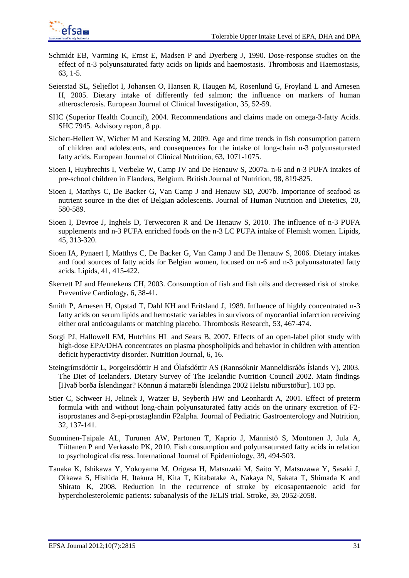- <span id="page-30-14"></span><span id="page-30-13"></span><span id="page-30-12"></span><span id="page-30-10"></span><span id="page-30-4"></span>Schmidt EB, Varming K, Ernst E, Madsen P and Dyerberg J, 1990. Dose-response studies on the effect of n-3 polyunsaturated fatty acids on lipids and haemostasis. Thrombosis and Haemostasis, 63, 1-5.
- <span id="page-30-8"></span><span id="page-30-7"></span>Seierstad SL, Seljeflot I, Johansen O, Hansen R, Haugen M, Rosenlund G, Froyland L and Arnesen H, 2005. Dietary intake of differently fed salmon; the influence on markers of human atherosclerosis. European Journal of Clinical Investigation, 35, 52-59.
- <span id="page-30-0"></span>SHC (Superior Health Council), 2004. Recommendations and claims made on omega-3-fatty Acids. SHC 7945. Advisory report, 8 pp.
- Sichert-Hellert W, Wicher M and Kersting M, 2009. Age and time trends in fish consumption pattern of children and adolescents, and consequences for the intake of long-chain n-3 polyunsaturated fatty acids. European Journal of Clinical Nutrition, 63, 1071-1075.
- Sioen I, Huybrechts I, Verbeke W, Camp JV and De Henauw S, 2007a. n-6 and n-3 PUFA intakes of pre-school children in Flanders, Belgium. British Journal of Nutrition, 98, 819-825.
- <span id="page-30-11"></span>Sioen I, Matthys C, De Backer G, Van Camp J and Henauw SD, 2007b. Importance of seafood as nutrient source in the diet of Belgian adolescents. Journal of Human Nutrition and Dietetics, 20, 580-589.
- Sioen I, Devroe J, Inghels D, Terwecoren R and De Henauw S, 2010. The influence of n-3 PUFA supplements and n-3 PUFA enriched foods on the n-3 LC PUFA intake of Flemish women. Lipids, 45, 313-320.
- <span id="page-30-9"></span>Sioen IA, Pynaert I, Matthys C, De Backer G, Van Camp J and De Henauw S, 2006. Dietary intakes and food sources of fatty acids for Belgian women, focused on n-6 and n-3 polyunsaturated fatty acids. Lipids, 41, 415-422.
- <span id="page-30-2"></span>Skerrett PJ and Hennekens CH, 2003. Consumption of fish and fish oils and decreased risk of stroke. Preventive Cardiology, 6, 38-41.
- <span id="page-30-5"></span>Smith P, Arnesen H, Opstad T, Dahl KH and Eritsland J, 1989. Influence of highly concentrated n-3 fatty acids on serum lipids and hemostatic variables in survivors of myocardial infarction receiving either oral anticoagulants or matching placebo. Thrombosis Research, 53, 467-474.
- <span id="page-30-3"></span>Sorgi PJ, Hallowell EM, Hutchins HL and Sears B, 2007. Effects of an open-label pilot study with high-dose EPA/DHA concentrates on plasma phospholipids and behavior in children with attention deficit hyperactivity disorder. Nutrition Journal, 6, 16.
- Steingrímsdóttir L, Þorgeirsdóttir H and Ólafsdóttir AS (Rannsóknir Manneldisráðs Íslands V), 2003. The Diet of Icelanders. Dietary Survey of The Icelandic Nutrition Council 2002. Main findings [Hvað borða Íslendingar? Könnun á mataræði Íslendinga 2002 Helstu niðurstöður]. 103 pp.
- <span id="page-30-6"></span>Stier C, Schweer H, Jelinek J, Watzer B, Seyberth HW and Leonhardt A, 2001. Effect of preterm formula with and without long-chain polyunsaturated fatty acids on the urinary excretion of F2 isoprostanes and 8-epi-prostaglandin F2alpha. Journal of Pediatric Gastroenterology and Nutrition, 32, 137-141.
- Suominen-Taipale AL, Turunen AW, Partonen T, Kaprio J, Männistö S, Montonen J, Jula A, Tiittanen P and Verkasalo PK, 2010. Fish consumption and polyunsaturated fatty acids in relation to psychological distress. International Journal of Epidemiology, 39, 494-503.
- <span id="page-30-1"></span>Tanaka K, Ishikawa Y, Yokoyama M, Origasa H, Matsuzaki M, Saito Y, Matsuzawa Y, Sasaki J, Oikawa S, Hishida H, Itakura H, Kita T, Kitabatake A, Nakaya N, Sakata T, Shimada K and Shirato K, 2008. Reduction in the recurrence of stroke by eicosapentaenoic acid for hypercholesterolemic patients: subanalysis of the JELIS trial. Stroke, 39, 2052-2058.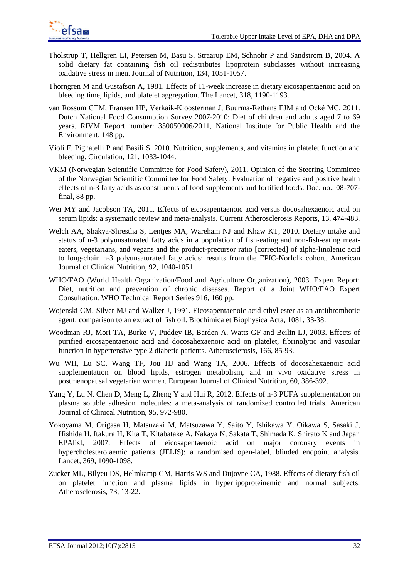<span id="page-31-14"></span><span id="page-31-13"></span>

- <span id="page-31-12"></span><span id="page-31-9"></span>Tholstrup T, Hellgren LI, Petersen M, Basu S, Straarup EM, Schnohr P and Sandstrom B, 2004. A solid dietary fat containing fish oil redistributes lipoprotein subclasses without increasing oxidative stress in men. Journal of Nutrition, 134, 1051-1057.
- <span id="page-31-3"></span>Thorngren M and Gustafson A, 1981. Effects of 11-week increase in dietary eicosapentaenoic acid on bleeding time, lipids, and platelet aggregation. The Lancet, 318, 1190-1193.
- van Rossum CTM, Fransen HP, Verkaik-Kloosterman J, Buurma-Rethans EJM and Ocké MC, 2011. Dutch National Food Consumption Survey 2007-2010: Diet of children and adults aged 7 to 69 years. RIVM Report number: 350050006/2011, National Institute for Public Health and the Environment, 148 pp.
- <span id="page-31-6"></span>Violi F, Pignatelli P and Basili S, 2010. Nutrition, supplements, and vitamins in platelet function and bleeding. Circulation, 121, 1033-1044.
- <span id="page-31-0"></span>VKM (Norwegian Scientific Committee for Food Safety), 2011. Opinion of the Steering Committee of the Norwegian Scientific Committee for Food Safety: Evaluation of negative and positive health effects of n-3 fatty acids as constituents of food supplements and fortified foods. Doc. no.: 08-707 final, 88 pp.
- <span id="page-31-8"></span>Wei MY and Jacobson TA, 2011. Effects of eicosapentaenoic acid versus docosahexaenoic acid on serum lipids: a systematic review and meta-analysis. Current Atherosclerosis Reports, 13, 474-483.
- Welch AA, Shakya-Shrestha S, Lentjes MA, Wareham NJ and Khaw KT, 2010. Dietary intake and status of n-3 polyunsaturated fatty acids in a population of fish-eating and non-fish-eating meateaters, vegetarians, and vegans and the product-precursor ratio [corrected] of alpha-linolenic acid to long-chain n-3 polyunsaturated fatty acids: results from the EPIC-Norfolk cohort. American Journal of Clinical Nutrition, 92, 1040-1051.
- <span id="page-31-1"></span>WHO/FAO (World Health Organization/Food and Agriculture Organization), 2003. Expert Report: Diet, nutrition and prevention of chronic diseases. Report of a Joint WHO/FAO Expert Consultation. WHO Technical Report Series 916, 160 pp.
- <span id="page-31-4"></span>Wojenski CM, Silver MJ and Walker J, 1991. Eicosapentaenoic acid ethyl ester as an antithrombotic agent: comparison to an extract of fish oil. Biochimica et Biophysica Acta, 1081, 33-38.
- <span id="page-31-7"></span>Woodman RJ, Mori TA, Burke V, Puddey IB, Barden A, Watts GF and Beilin LJ, 2003. Effects of purified eicosapentaenoic acid and docosahexaenoic acid on platelet, fibrinolytic and vascular function in hypertensive type 2 diabetic patients. Atherosclerosis, 166, 85-93.
- <span id="page-31-10"></span>Wu WH, Lu SC, Wang TF, Jou HJ and Wang TA, 2006. Effects of docosahexaenoic acid supplementation on blood lipids, estrogen metabolism, and in vivo oxidative stress in postmenopausal vegetarian women. European Journal of Clinical Nutrition, 60, 386-392.
- <span id="page-31-11"></span>Yang Y, Lu N, Chen D, Meng L, Zheng Y and Hui R, 2012. Effects of n-3 PUFA supplementation on plasma soluble adhesion molecules: a meta-analysis of randomized controlled trials. American Journal of Clinical Nutrition, 95, 972-980.
- <span id="page-31-2"></span>Yokoyama M, Origasa H, Matsuzaki M, Matsuzawa Y, Saito Y, Ishikawa Y, Oikawa S, Sasaki J, Hishida H, Itakura H, Kita T, Kitabatake A, Nakaya N, Sakata T, Shimada K, Shirato K and Japan EPAlisI, 2007. Effects of eicosapentaenoic acid on major coronary events in hypercholesterolaemic patients (JELIS): a randomised open-label, blinded endpoint analysis. Lancet, 369, 1090-1098.
- <span id="page-31-5"></span>Zucker ML, Bilyeu DS, Helmkamp GM, Harris WS and Dujovne CA, 1988. Effects of dietary fish oil on platelet function and plasma lipids in hyperlipoproteinemic and normal subjects. Atherosclerosis, 73, 13-22.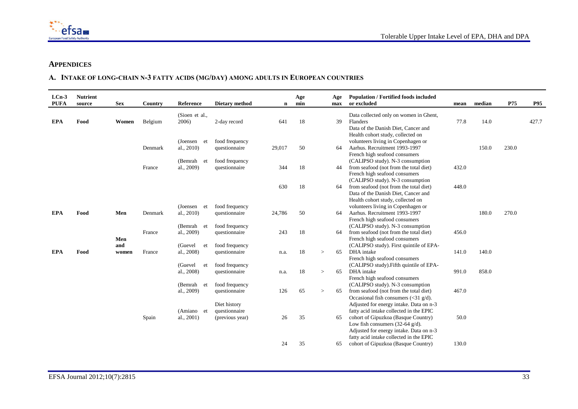

# **APPENDICES**

# **A. INTAKE OF LONG-CHAIN N-3 FATTY ACIDS (MG/DAY) AMONG ADULTS IN EUROPEAN COUNTRIES**

<span id="page-32-1"></span><span id="page-32-0"></span>

| $LCn-3$<br><b>PUFA</b> | <b>Nutrient</b><br>source | <b>Sex</b>   | Country | Reference                     | <b>Dietary</b> method           | $\mathbf n$ | Age<br>min | Age<br>max   | <b>Population / Fortified foods included</b><br>or excluded                                                                    | mean  | median | P75   | P95   |
|------------------------|---------------------------|--------------|---------|-------------------------------|---------------------------------|-------------|------------|--------------|--------------------------------------------------------------------------------------------------------------------------------|-------|--------|-------|-------|
| <b>EPA</b>             | Food                      | Women        | Belgium | (Sioen et al.,<br>2006)       | 2-day record                    | 641         | 18         | 39           | Data collected only on women in Ghent,<br>Flanders<br>Data of the Danish Diet, Cancer and<br>Health cohort study, collected on | 77.8  | 14.0   |       | 427.7 |
|                        |                           |              | Denmark | (Joensen)<br>et<br>al., 2010) | food frequency<br>questionnaire | 29,017      | 50         | 64           | volunteers living in Copenhagen or<br>Aarhus. Recruitment 1993-1997                                                            |       | 150.0  | 230.0 |       |
|                        |                           |              | France  | (Bemrah et<br>al., 2009)      | food frequency<br>questionnaire | 344         | 18         | 44           | French high seafood consumers<br>(CALIPSO study). N-3 consumption<br>from seafood (not from the total diet)                    | 432.0 |        |       |       |
|                        |                           |              |         |                               |                                 |             |            |              | French high seafood consumers<br>(CALIPSO study). N-3 consumption                                                              |       |        |       |       |
|                        |                           |              |         |                               |                                 | 630         | 18         | 64           | from seafood (not from the total diet)<br>Data of the Danish Diet, Cancer and                                                  | 448.0 |        |       |       |
| <b>EPA</b>             | Food                      | Men          | Denmark | (Joensen)<br>et<br>al., 2010) | food frequency<br>questionnaire | 24,786      | 50         | 64           | Health cohort study, collected on<br>volunteers living in Copenhagen or<br>Aarhus. Recruitment 1993-1997                       |       | 180.0  | 270.0 |       |
|                        |                           |              |         | (Bemrah et                    | food frequency                  |             |            |              | French high seafood consumers<br>(CALIPSO study). N-3 consumption                                                              |       |        |       |       |
|                        |                           | Men          | France  | al., 2009)                    | questionnaire                   | 243         | 18         | 64           | from seafood (not from the total diet)<br>French high seafood consumers                                                        | 456.0 |        |       |       |
| <b>EPA</b>             | Food                      | and<br>women | France  | (Guevel)<br>et<br>al., 2008)  | food frequency<br>questionnaire | n.a.        | 18         | 65<br>$\,>$  | (CALIPSO study). First quintile of EPA-<br>DHA intake<br>French high seafood consumers                                         | 141.0 | 140.0  |       |       |
|                        |                           |              |         | (Guevel)<br>et<br>al., 2008)  | food frequency<br>questionnaire | n.a.        | 18         | 65<br>$\geq$ | (CALIPSO study). Fifth quintile of EPA-<br>DHA intake                                                                          | 991.0 | 858.0  |       |       |
|                        |                           |              |         | (Bemrah et                    | food frequency                  |             |            |              | French high seafood consumers<br>(CALIPSO study). N-3 consumption                                                              |       |        |       |       |
|                        |                           |              |         | al., 2009)                    | questionnaire                   | 126         | 65         | 65<br>>      | from seafood (not from the total diet)<br>Occasional fish consumers $(\leq 31 \text{ g/d})$ .                                  | 467.0 |        |       |       |
|                        |                           |              |         | (Amiano et                    | Diet history<br>questionnaire   |             |            |              | Adjusted for energy intake. Data on n-3<br>fatty acid intake collected in the EPIC                                             |       |        |       |       |
|                        |                           |              | Spain   | al., $2001$ )                 | (previous year)                 | 26          | 35         | 65           | cohort of Gipuzkoa (Basque Country)<br>Low fish consumers $(32-64 \text{ g/d})$ .<br>Adjusted for energy intake. Data on n-3   | 50.0  |        |       |       |
|                        |                           |              |         |                               |                                 | 24          | 35         | 65           | fatty acid intake collected in the EPIC<br>cohort of Gipuzkoa (Basque Country)                                                 | 130.0 |        |       |       |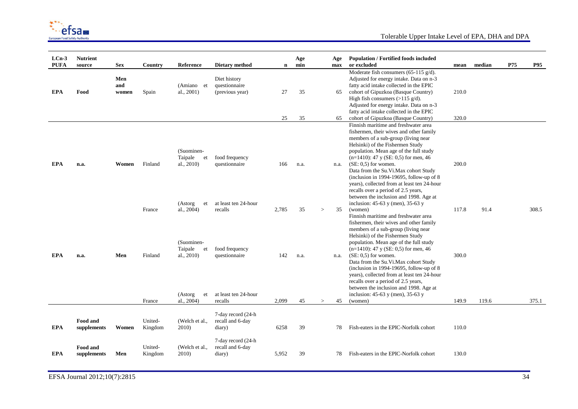

# Tolerable Upper Intake Level of EPA, DHA and DPA

| $LCn-3$<br><b>PUFA</b> | <b>Nutrient</b><br>source | <b>Sex</b>          | Country            | Reference                                                   | Dietary method                                    | $\mathbf n$ | Age<br>min |        | Age<br>max | <b>Population / Fortified foods included</b><br>or excluded                                                                                                                                                                                                                                                                                                                                                                                                                                   | mean           | median | <b>P75</b> | P95   |
|------------------------|---------------------------|---------------------|--------------------|-------------------------------------------------------------|---------------------------------------------------|-------------|------------|--------|------------|-----------------------------------------------------------------------------------------------------------------------------------------------------------------------------------------------------------------------------------------------------------------------------------------------------------------------------------------------------------------------------------------------------------------------------------------------------------------------------------------------|----------------|--------|------------|-------|
| <b>EPA</b>             | Food                      | Men<br>and<br>women | Spain              | (Amiano et<br>al., 2001)                                    | Diet history<br>questionnaire<br>(previous year)  | 27<br>25    | 35<br>35   |        | 65<br>65   | Moderate fish consumers (65-115 $g/d$ ).<br>Adjusted for energy intake. Data on n-3<br>fatty acid intake collected in the EPIC<br>cohort of Gipuzkoa (Basque Country)<br>High fish consumers $(>115 \text{ g/d}).$<br>Adjusted for energy intake. Data on n-3<br>fatty acid intake collected in the EPIC<br>cohort of Gipuzkoa (Basque Country)                                                                                                                                               | 210.0<br>320.0 |        |            |       |
| <b>EPA</b>             | n.a.                      | Women               | Finland            | (Suominen-<br>Taipale et<br>al., $2010$ )                   | food frequency<br>questionnaire                   | 166         | n.a.       |        | n.a.       | Finnish maritime and freshwater area<br>fishermen, their wives and other family<br>members of a sub-group (living near<br>Helsinki) of the Fishermen Study<br>population. Mean age of the full study<br>$(n=1410)$ : 47 y (SE: 0,5) for men, 46<br>$(SE: 0.5)$ for women.<br>Data from the Su.Vi.Max cohort Study<br>(inclusion in 1994-19695, follow-up of 8<br>years), collected from at least ten 24-hour<br>recalls over a period of 2.5 years,<br>between the inclusion and 1998. Age at | 200.0          |        |            |       |
|                        |                           |                     | France             | (Astorg)<br>et<br>al., 2004)<br>(Suominen-<br>Taipale<br>et | at least ten 24-hour<br>recalls<br>food frequency | 2,785       | 35         | $\,>$  | 35         | inclusion: $45-63$ y (men), $35-63$ y<br>(women)<br>Finnish maritime and freshwater area<br>fishermen, their wives and other family<br>members of a sub-group (living near<br>Helsinki) of the Fishermen Study<br>population. Mean age of the full study<br>$(n=1410)$ : 47 y (SE: 0,5) for men, 46                                                                                                                                                                                           | 117.8          | 91.4   |            | 308.5 |
| <b>EPA</b>             | n.a.                      | Men                 | Finland            | al., $2010$ )<br>(Astorg)<br>et                             | questionnaire<br>at least ten 24-hour             | 142         | n.a.       |        | n.a.       | $(SE: 0.5)$ for women.<br>Data from the Su.Vi.Max cohort Study<br>(inclusion in 1994-19695, follow-up of $8$ )<br>years), collected from at least ten 24-hour<br>recalls over a period of 2.5 years,<br>between the inclusion and 1998. Age at<br>inclusion: $45-63$ y (men), $35-63$ y                                                                                                                                                                                                       | 300.0          |        |            |       |
|                        |                           |                     | France             | al., 2004)                                                  | recalls                                           | 2,099       | 45         | $\geq$ | 45         | (women)                                                                                                                                                                                                                                                                                                                                                                                                                                                                                       | 149.9          | 119.6  |            | 375.1 |
| <b>EPA</b>             | Food and<br>supplements   | Women               | United-<br>Kingdom | (Welch et al.,<br>2010)                                     | 7-day record (24-h)<br>recall and 6-day<br>diary) | 6258        | 39         |        | 78         | Fish-eaters in the EPIC-Norfolk cohort                                                                                                                                                                                                                                                                                                                                                                                                                                                        | 110.0          |        |            |       |
| <b>EPA</b>             | Food and<br>supplements   | Men                 | United-<br>Kingdom | (Welch et al.,<br>2010)                                     | 7-day record (24-h<br>recall and 6-day<br>diary)  | 5,952       | 39         |        | 78         | Fish-eaters in the EPIC-Norfolk cohort                                                                                                                                                                                                                                                                                                                                                                                                                                                        | 130.0          |        |            |       |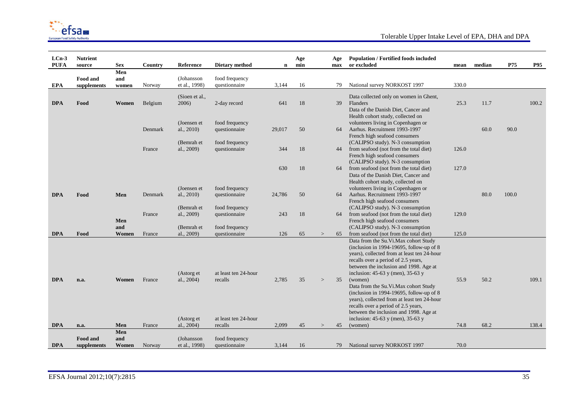

| $LCn-3$<br><b>PUFA</b> | <b>Nutrient</b><br>source | <b>Sex</b> | Country | Reference      | Dietary method       | $\mathbf n$ | Age<br>min | Age<br>max   | <b>Population / Fortified foods included</b><br>or excluded                                 | mean  | median | <b>P75</b> | <b>P95</b> |
|------------------------|---------------------------|------------|---------|----------------|----------------------|-------------|------------|--------------|---------------------------------------------------------------------------------------------|-------|--------|------------|------------|
|                        |                           | Men        |         |                |                      |             |            |              |                                                                                             |       |        |            |            |
|                        | Food and                  | and        |         | (Johansson     | food frequency       |             |            |              |                                                                                             |       |        |            |            |
| EPA                    | supplements               | women      | Norway  | et al., 1998)  | questionnaire        | 3,144       | 16         | 79           | National survey NORKOST 1997                                                                | 330.0 |        |            |            |
|                        |                           |            |         | (Sioen et al., |                      |             |            |              | Data collected only on women in Ghent,                                                      |       |        |            |            |
| <b>DPA</b>             | Food                      | Women      | Belgium | 2006)          | 2-day record         | 641         | 18         | 39           | Flanders                                                                                    | 25.3  | 11.7   |            | 100.2      |
|                        |                           |            |         |                |                      |             |            |              | Data of the Danish Diet, Cancer and                                                         |       |        |            |            |
|                        |                           |            |         |                |                      |             |            |              | Health cohort study, collected on                                                           |       |        |            |            |
|                        |                           |            |         | (Joensen et    | food frequency       |             |            |              | volunteers living in Copenhagen or                                                          |       |        |            |            |
|                        |                           |            | Denmark | al., $2010$ )  | questionnaire        | 29,017      | 50         | 64           | Aarhus. Recruitment 1993-1997<br>French high seafood consumers                              |       | 60.0   | 90.0       |            |
|                        |                           |            |         | (Bemrah et     | food frequency       |             |            |              | (CALIPSO study). N-3 consumption                                                            |       |        |            |            |
|                        |                           |            | France  | al., 2009)     | questionnaire        | 344         | 18         | 44           | from seafood (not from the total diet)                                                      | 126.0 |        |            |            |
|                        |                           |            |         |                |                      |             |            |              | French high seafood consumers                                                               |       |        |            |            |
|                        |                           |            |         |                |                      |             |            |              | (CALIPSO study). N-3 consumption                                                            |       |        |            |            |
|                        |                           |            |         |                |                      | 630         | 18         | 64           | from seafood (not from the total diet)                                                      | 127.0 |        |            |            |
|                        |                           |            |         |                |                      |             |            |              | Data of the Danish Diet, Cancer and                                                         |       |        |            |            |
|                        |                           |            |         | (Joensen et    | food frequency       |             |            |              | Health cohort study, collected on<br>volunteers living in Copenhagen or                     |       |        |            |            |
| <b>DPA</b>             | Food                      | Men        | Denmark | al., 2010)     | questionnaire        | 24,786      | 50         | 64           | Aarhus. Recruitment 1993-1997                                                               |       | 80.0   | 100.0      |            |
|                        |                           |            |         |                |                      |             |            |              | French high seafood consumers                                                               |       |        |            |            |
|                        |                           |            |         | (Bemrah et     | food frequency       |             |            |              | (CALIPSO study). N-3 consumption                                                            |       |        |            |            |
|                        |                           |            | France  | al., 2009)     | questionnaire        | 243         | 18         | 64           | from seafood (not from the total diet)                                                      | 129.0 |        |            |            |
|                        |                           | Men        |         |                |                      |             |            |              | French high seafood consumers                                                               |       |        |            |            |
|                        |                           | and        |         | (Bemrah et     | food frequency       |             |            |              | (CALIPSO study). N-3 consumption                                                            |       |        |            |            |
| <b>DPA</b>             | Food                      | Women      | France  | al., 2009)     | questionnaire        | 126         | 65         | 65<br>$\geq$ | from seafood (not from the total diet)                                                      | 125.0 |        |            |            |
|                        |                           |            |         |                |                      |             |            |              | Data from the Su.Vi.Max cohort Study<br>(inclusion in 1994-19695, follow-up of $8$ )        |       |        |            |            |
|                        |                           |            |         |                |                      |             |            |              | years), collected from at least ten 24-hour                                                 |       |        |            |            |
|                        |                           |            |         |                |                      |             |            |              | recalls over a period of 2.5 years,                                                         |       |        |            |            |
|                        |                           |            |         |                |                      |             |            |              | between the inclusion and 1998. Age at                                                      |       |        |            |            |
|                        |                           |            |         | (Astorg et     | at least ten 24-hour |             |            |              | inclusion: $45-63$ y (men), $35-63$ y                                                       |       |        |            |            |
| <b>DPA</b>             | n.a.                      | Women      | France  | al., 2004)     | recalls              | 2,785       | 35         | 35<br>$\,>$  | (women)                                                                                     | 55.9  | 50.2   |            | 109.1      |
|                        |                           |            |         |                |                      |             |            |              | Data from the Su.Vi.Max cohort Study                                                        |       |        |            |            |
|                        |                           |            |         |                |                      |             |            |              | (inclusion in 1994-19695, follow-up of $8$ )<br>years), collected from at least ten 24-hour |       |        |            |            |
|                        |                           |            |         |                |                      |             |            |              | recalls over a period of 2.5 years,                                                         |       |        |            |            |
|                        |                           |            |         |                |                      |             |            |              | between the inclusion and 1998. Age at                                                      |       |        |            |            |
|                        |                           |            |         | (Astorg et     | at least ten 24-hour |             |            |              | inclusion: $45-63$ y (men), $35-63$ y                                                       |       |        |            |            |
| <b>DPA</b>             | n.a.                      | Men        | France  | al., 2004)     | recalls              | 2,099       | 45         | 45<br>$\geq$ | (women)                                                                                     | 74.8  | 68.2   |            | 138.4      |
|                        |                           | Men        |         |                |                      |             |            |              |                                                                                             |       |        |            |            |
|                        | Food and                  | and        |         | (Johansson     | food frequency       |             |            |              |                                                                                             |       |        |            |            |
| <b>DPA</b>             | supplements               | Women      | Norway  | et al., 1998)  | questionnaire        | 3,144       | 16         | 79           | National survey NORKOST 1997                                                                | 70.0  |        |            |            |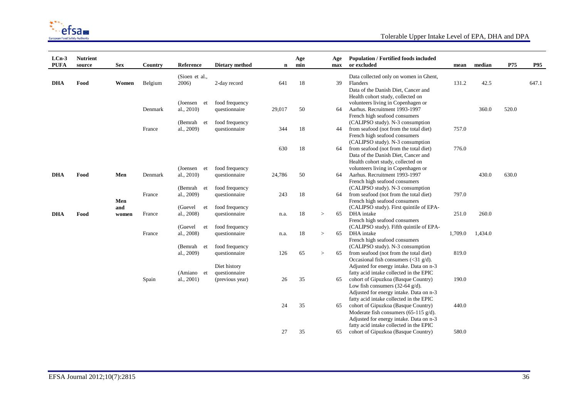

# Tolerable Upper Intake Level of EPA, DHA and DPA

| $LCn-3$<br><b>PUFA</b> | <b>Nutrient</b><br>source | <b>Sex</b> | Country | Reference                | <b>Dietary</b> method           | $\mathbf n$ | Age<br>min |        | Age<br>max | <b>Population / Fortified foods included</b><br>or excluded                        | mean    | median  | <b>P75</b> | <b>P95</b> |
|------------------------|---------------------------|------------|---------|--------------------------|---------------------------------|-------------|------------|--------|------------|------------------------------------------------------------------------------------|---------|---------|------------|------------|
|                        |                           |            |         | (Sioen et al.,           |                                 |             |            |        |            | Data collected only on women in Ghent,                                             |         |         |            |            |
| <b>DHA</b>             | Food                      | Women      | Belgium | 2006)                    | 2-day record                    | 641         | 18         |        | 39         | Flanders                                                                           | 131.2   | 42.5    |            | 647.1      |
|                        |                           |            |         |                          |                                 |             |            |        |            | Data of the Danish Diet, Cancer and                                                |         |         |            |            |
|                        |                           |            |         | et                       | food frequency                  |             |            |        |            | Health cohort study, collected on<br>volunteers living in Copenhagen or            |         |         |            |            |
|                        |                           |            | Denmark | (Joensen)<br>al., 2010)  | questionnaire                   | 29,017      | 50         |        | 64         | Aarhus. Recruitment 1993-1997                                                      |         | 360.0   | 520.0      |            |
|                        |                           |            |         |                          |                                 |             |            |        |            | French high seafood consumers                                                      |         |         |            |            |
|                        |                           |            |         | (Bemrah et               | food frequency                  |             |            |        |            | (CALIPSO study). N-3 consumption                                                   |         |         |            |            |
|                        |                           |            | France  | al., 2009)               | questionnaire                   | 344         | 18         |        | 44         | from seafood (not from the total diet)                                             | 757.0   |         |            |            |
|                        |                           |            |         |                          |                                 |             |            |        |            | French high seafood consumers                                                      |         |         |            |            |
|                        |                           |            |         |                          |                                 |             |            |        |            | (CALIPSO study). N-3 consumption                                                   |         |         |            |            |
|                        |                           |            |         |                          |                                 | 630         | 18         |        | 64         | from seafood (not from the total diet)                                             | 776.0   |         |            |            |
|                        |                           |            |         |                          |                                 |             |            |        |            | Data of the Danish Diet, Cancer and                                                |         |         |            |            |
|                        |                           |            |         |                          |                                 |             |            |        |            | Health cohort study, collected on                                                  |         |         |            |            |
|                        | Food                      |            | Denmark | (Joensen et              | food frequency                  | 24,786      | 50         |        | 64         | volunteers living in Copenhagen or<br>Aarhus. Recruitment 1993-1997                |         | 430.0   | 630.0      |            |
| <b>DHA</b>             |                           | Men        |         | al., $2010$ )            | questionnaire                   |             |            |        |            | French high seafood consumers                                                      |         |         |            |            |
|                        |                           |            |         | (Bemrah et               | food frequency                  |             |            |        |            | (CALIPSO study). N-3 consumption                                                   |         |         |            |            |
|                        |                           |            | France  | al., 2009)               | questionnaire                   | 243         | 18         |        | 64         | from seafood (not from the total diet)                                             | 797.0   |         |            |            |
|                        |                           | Men        |         |                          |                                 |             |            |        |            | French high seafood consumers                                                      |         |         |            |            |
|                        |                           | and        |         | (Guevel<br>et            | food frequency                  |             |            |        |            | (CALIPSO study). First quintile of EPA-                                            |         |         |            |            |
| <b>DHA</b>             | Food                      | women      | France  | al., 2008)               | questionnaire                   | n.a.        | 18         | $\geq$ | 65         | DHA intake                                                                         | 251.0   | 260.0   |            |            |
|                        |                           |            |         |                          |                                 |             |            |        |            | French high seafood consumers                                                      |         |         |            |            |
|                        |                           |            |         | (Guevel<br>et            | food frequency                  |             |            |        |            | (CALIPSO study). Fifth quintile of EPA-                                            |         |         |            |            |
|                        |                           |            | France  | al., 2008)               | questionnaire                   | n.a.        | 18         | >      | 65         | DHA intake                                                                         | 1,709.0 | 1,434.0 |            |            |
|                        |                           |            |         |                          |                                 |             |            |        |            | French high seafood consumers                                                      |         |         |            |            |
|                        |                           |            |         | (Bemrah et<br>al., 2009) | food frequency<br>questionnaire | 126         | 65         | $\geq$ | 65         | (CALIPSO study). N-3 consumption<br>from seafood (not from the total diet)         | 819.0   |         |            |            |
|                        |                           |            |         |                          |                                 |             |            |        |            | Occasional fish consumers $(\leq 31 \text{ g/d})$ .                                |         |         |            |            |
|                        |                           |            |         |                          | Diet history                    |             |            |        |            | Adjusted for energy intake. Data on n-3                                            |         |         |            |            |
|                        |                           |            |         | (Amiano et               | questionnaire                   |             |            |        |            | fatty acid intake collected in the EPIC                                            |         |         |            |            |
|                        |                           |            | Spain   | al., 2001)               | (previous year)                 | 26          | 35         |        | 65         | cohort of Gipuzkoa (Basque Country)                                                | 190.0   |         |            |            |
|                        |                           |            |         |                          |                                 |             |            |        |            | Low fish consumers $(32-64 \text{ g/d})$ .                                         |         |         |            |            |
|                        |                           |            |         |                          |                                 |             |            |        |            | Adjusted for energy intake. Data on n-3                                            |         |         |            |            |
|                        |                           |            |         |                          |                                 |             |            |        |            | fatty acid intake collected in the EPIC                                            |         |         |            |            |
|                        |                           |            |         |                          |                                 | 24          | 35         |        | 65         | cohort of Gipuzkoa (Basque Country)                                                | 440.0   |         |            |            |
|                        |                           |            |         |                          |                                 |             |            |        |            | Moderate fish consumers $(65-115 \text{ g/d})$ .                                   |         |         |            |            |
|                        |                           |            |         |                          |                                 |             |            |        |            | Adjusted for energy intake. Data on n-3<br>fatty acid intake collected in the EPIC |         |         |            |            |
|                        |                           |            |         |                          |                                 | 27          | 35         |        | 65         | cohort of Gipuzkoa (Basque Country)                                                | 580.0   |         |            |            |
|                        |                           |            |         |                          |                                 |             |            |        |            |                                                                                    |         |         |            |            |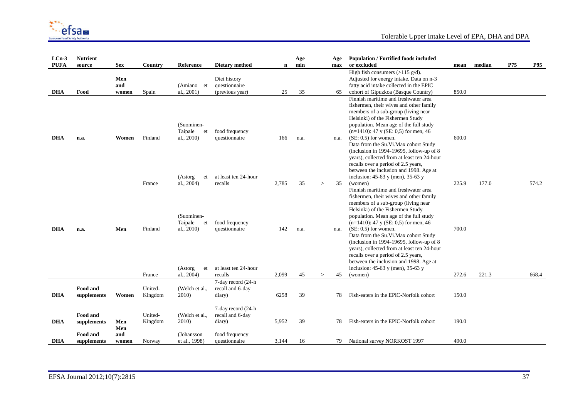

| $LCn-3$<br><b>PUFA</b> | <b>Nutrient</b><br>source | <b>Sex</b>          | Country            | Reference                                                                    | Dietary method                                                     | $\mathbf n$  | Age<br>min |   | Age<br>max | <b>Population / Fortified foods included</b><br>or excluded                                                                                                                                                                                                                                                                                                                                                                                                                                                                                           | mean           | median | <b>P75</b> | <b>P95</b> |
|------------------------|---------------------------|---------------------|--------------------|------------------------------------------------------------------------------|--------------------------------------------------------------------|--------------|------------|---|------------|-------------------------------------------------------------------------------------------------------------------------------------------------------------------------------------------------------------------------------------------------------------------------------------------------------------------------------------------------------------------------------------------------------------------------------------------------------------------------------------------------------------------------------------------------------|----------------|--------|------------|------------|
| DHA                    | Food                      | Men<br>and<br>women | Spain              | (Amiano et<br>al., 2001)                                                     | Diet history<br>questionnaire<br>(previous year)                   | 25           | 35         |   | 65         | High fish consumers $(>115 \text{ g/d}).$<br>Adjusted for energy intake. Data on n-3<br>fatty acid intake collected in the EPIC<br>cohort of Gipuzkoa (Basque Country)                                                                                                                                                                                                                                                                                                                                                                                | 850.0          |        |            |            |
| DHA                    | n.a.                      | Women               | Finland            | (Suominen-<br>Taipale<br>et<br>al., 2010)                                    | food frequency<br>questionnaire                                    | 166          | n.a.       |   | n.a.       | Finnish maritime and freshwater area<br>fishermen, their wives and other family<br>members of a sub-group (living near<br>Helsinki) of the Fishermen Study<br>population. Mean age of the full study<br>$(n=1410)$ : 47 y (SE: 0,5) for men, 46<br>$(SE: 0.5)$ for women.<br>Data from the Su.Vi.Max cohort Study<br>(inclusion in 1994-19695, follow-up of $8$ )<br>years), collected from at least ten 24-hour<br>recalls over a period of 2.5 years,<br>between the inclusion and 1998. Age at                                                     | 600.0          |        |            |            |
| DHA                    | n.a.                      | Men                 | France<br>Finland  | (Astorg)<br>et<br>al., 2004)<br>(Suominen-<br>Taipale<br>et<br>al., $2010$ ) | at least ten 24-hour<br>recalls<br>food frequency<br>questionnaire | 2,785<br>142 | 35<br>n.a. | > | 35<br>n.a. | inclusion: $45-63$ y (men), $35-63$ y<br>(women)<br>Finnish maritime and freshwater area<br>fishermen, their wives and other family<br>members of a sub-group (living near<br>Helsinki) of the Fishermen Study<br>population. Mean age of the full study<br>$(n=1410)$ : 47 y (SE: 0,5) for men, 46<br>$(SE: 0.5)$ for women.<br>Data from the Su.Vi.Max cohort Study<br>(inclusion in 1994-19695, follow-up of $8$ )<br>years), collected from at least ten 24-hour<br>recalls over a period of 2.5 years,<br>between the inclusion and 1998. Age at | 225.9<br>700.0 | 177.0  |            | 574.2      |
|                        |                           |                     | France             | (Astorg<br>et<br>al., 2004)                                                  | at least ten 24-hour<br>recalls                                    | 2,099        | 45         | > | 45         | inclusion: $45-63$ y (men), $35-63$ y<br>(women)                                                                                                                                                                                                                                                                                                                                                                                                                                                                                                      | 272.6          | 221.3  |            | 668.4      |
| DHA                    | Food and<br>supplements   | Women               | United-<br>Kingdom | (Welch et al.,<br>2010)                                                      | 7-day record (24-h<br>recall and 6-day<br>diary)                   | 6258         | 39         |   | 78         | Fish-eaters in the EPIC-Norfolk cohort                                                                                                                                                                                                                                                                                                                                                                                                                                                                                                                | 150.0          |        |            |            |
| <b>DHA</b>             | Food and<br>supplements   | Men<br>Men          | United-<br>Kingdom | (Welch et al.,<br>2010)                                                      | 7-day record (24-h)<br>recall and 6-day<br>diary)                  | 5,952        | 39         |   | 78         | Fish-eaters in the EPIC-Norfolk cohort                                                                                                                                                                                                                                                                                                                                                                                                                                                                                                                | 190.0          |        |            |            |
| <b>DHA</b>             | Food and<br>supplements   | and<br>women        | Norway             | (Johansson<br>et al., 1998)                                                  | food frequency<br>questionnaire                                    | 3,144        | 16         |   | 79         | National survey NORKOST 1997                                                                                                                                                                                                                                                                                                                                                                                                                                                                                                                          | 490.0          |        |            |            |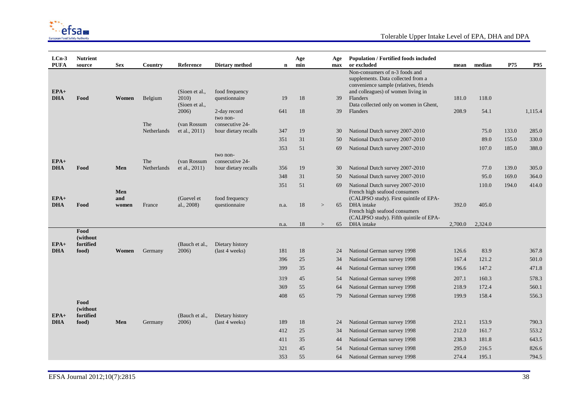

| $LCn-3$<br><b>PUFA</b> | <b>Nutrient</b><br>source | <b>Sex</b> | Country            | Reference                    | Dietary method                          | n          | Age<br>min |        | Age<br>max | <b>Population / Fortified foods included</b><br>or excluded                                                                                          | mean    | median        | P75            | <b>P95</b>     |
|------------------------|---------------------------|------------|--------------------|------------------------------|-----------------------------------------|------------|------------|--------|------------|------------------------------------------------------------------------------------------------------------------------------------------------------|---------|---------------|----------------|----------------|
| $EPA+$                 |                           |            |                    | (Sioen et al.,               | food frequency                          |            |            |        |            | Non-consumers of n-3 foods and<br>supplements. Data collected from a<br>convenience sample (relatives, friends<br>and colleagues) of women living in |         |               |                |                |
| <b>DHA</b>             | Food                      | Women      | Belgium            | 2010)<br>(Sioen et al.,      | questionnaire                           | 19         | 18         |        | 39         | Flanders<br>Data collected only on women in Ghent,                                                                                                   | 181.0   | 118.0         |                |                |
|                        |                           |            |                    | 2006)                        | 2-day record<br>two non-                | 641        | 18         |        | 39         | Flanders                                                                                                                                             | 208.9   | 54.1          |                | 1,115.4        |
|                        |                           |            | The<br>Netherlands | (van Rossum<br>et al., 2011) | consecutive 24-<br>hour dietary recalls | 347        | 19         |        | 30         | National Dutch survey 2007-2010                                                                                                                      |         | 75.0          | 133.0          | 285.0          |
|                        |                           |            |                    |                              |                                         | 351        | 31         |        | 50         | National Dutch survey 2007-2010                                                                                                                      |         | 89.0          | 155.0          | 330.0          |
|                        |                           |            |                    |                              |                                         | 353        | 51         |        | 69         | National Dutch survey 2007-2010                                                                                                                      |         | 107.0         | 185.0          | 388.0          |
|                        |                           |            |                    |                              | two non-                                |            |            |        |            |                                                                                                                                                      |         |               |                |                |
| EPA+                   |                           |            | The                | (van Rossum                  | consecutive 24-                         |            |            |        |            |                                                                                                                                                      |         |               |                |                |
| <b>DHA</b>             | Food                      | Men        | Netherlands        | et al., 2011)                | hour dietary recalls                    | 356        | 19         |        | 30         | National Dutch survey 2007-2010                                                                                                                      |         | 77.0          | 139.0          | 305.0          |
|                        |                           |            |                    |                              |                                         | 348<br>351 | 31<br>51   |        | 50<br>69   | National Dutch survey 2007-2010<br>National Dutch survey 2007-2010                                                                                   |         | 95.0<br>110.0 | 169.0<br>194.0 | 364.0<br>414.0 |
|                        |                           | Men        |                    |                              |                                         |            |            |        |            | French high seafood consumers                                                                                                                        |         |               |                |                |
| EPA+                   |                           | and        |                    | (Guevel et                   | food frequency                          |            |            |        |            | (CALIPSO study). First quintile of EPA-                                                                                                              |         |               |                |                |
| <b>DHA</b>             | Food                      | women      | France             | al., 2008)                   | questionnaire                           | n.a.       | 18         | $\,>$  | 65         | DHA intake<br>French high seafood consumers                                                                                                          | 392.0   | 405.0         |                |                |
|                        |                           |            |                    |                              |                                         |            |            |        |            | (CALIPSO study). Fifth quintile of EPA-                                                                                                              |         |               |                |                |
|                        |                           |            |                    |                              |                                         | n.a.       | 18         | $\geq$ | 65         | DHA intake                                                                                                                                           | 2,700.0 | 2,324.0       |                |                |
|                        | Food<br>(without          |            |                    |                              |                                         |            |            |        |            |                                                                                                                                                      |         |               |                |                |
| EPA+                   | fortified                 |            |                    | (Bauch et al.,               | Dietary history                         |            |            |        |            |                                                                                                                                                      |         |               |                |                |
| <b>DHA</b>             | food)                     | Women      | Germany            | 2006)                        | (last 4 weeks)                          | 181        | 18         |        | 24         | National German survey 1998                                                                                                                          | 126.6   | 83.9          |                | 367.8          |
|                        |                           |            |                    |                              |                                         | 396        | 25         |        | 34         | National German survey 1998                                                                                                                          | 167.4   | 121.2         |                | 501.0          |
|                        |                           |            |                    |                              |                                         | 399        | 35         |        | 44         | National German survey 1998                                                                                                                          | 196.6   | 147.2         |                | 471.8          |
|                        |                           |            |                    |                              |                                         | 319        | 45         |        | 54         | National German survey 1998                                                                                                                          | 207.1   | 160.3         |                | 578.3          |
|                        |                           |            |                    |                              |                                         | 369        | 55         |        | 64         | National German survey 1998                                                                                                                          | 218.9   | 172.4         |                | 560.1          |
|                        | Food                      |            |                    |                              |                                         | 408        | 65         |        | 79         | National German survey 1998                                                                                                                          | 199.9   | 158.4         |                | 556.3          |
|                        | (without                  |            |                    |                              |                                         |            |            |        |            |                                                                                                                                                      |         |               |                |                |
| EPA+                   | fortified                 |            |                    | (Bauch et al.,               | Dietary history                         |            |            |        |            |                                                                                                                                                      |         |               |                |                |
| <b>DHA</b>             | food)                     | Men        | Germany            | 2006)                        | (last 4 weeks)                          | 189        | 18         |        | 24         | National German survey 1998                                                                                                                          | 232.1   | 153.9         |                | 790.3          |
|                        |                           |            |                    |                              |                                         | 412        | 25         |        | 34         | National German survey 1998                                                                                                                          | 212.0   | 161.7         |                | 553.2          |
|                        |                           |            |                    |                              |                                         | 411        | 35         |        | 44         | National German survey 1998                                                                                                                          | 238.3   | 181.8         |                | 643.5          |
|                        |                           |            |                    |                              |                                         | 321        | 45         |        | 54         | National German survey 1998                                                                                                                          | 295.0   | 216.5         |                | 826.6          |
|                        |                           |            |                    |                              |                                         | 353        | 55         |        | 64         | National German survey 1998                                                                                                                          | 274.4   | 195.1         |                | 794.5          |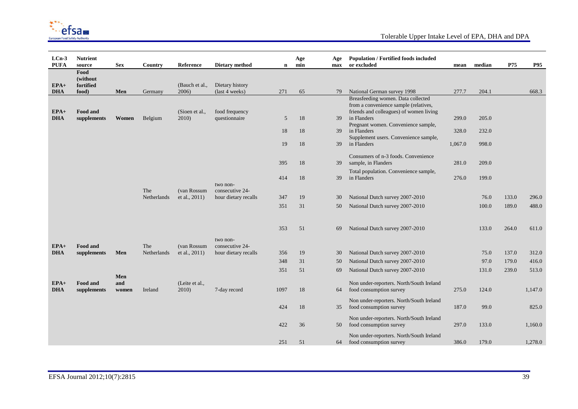

| $LCn-3$<br><b>PUFA</b> | <b>Nutrient</b><br>source | <b>Sex</b> | Country     | Reference      | <b>Dietary</b> method | $\mathbf n$ | Age<br>min | Age<br>max | <b>Population / Fortified foods included</b><br>or excluded                      | mean    | median | P75   | <b>P95</b> |
|------------------------|---------------------------|------------|-------------|----------------|-----------------------|-------------|------------|------------|----------------------------------------------------------------------------------|---------|--------|-------|------------|
|                        | Food                      |            |             |                |                       |             |            |            |                                                                                  |         |        |       |            |
| $EPA+$                 | (without<br>fortified     |            |             | (Bauch et al., | Dietary history       |             |            |            |                                                                                  |         |        |       |            |
| <b>DHA</b>             | food)                     | Men        | Germany     | 2006)          | (last 4 weeks)        | 271         | 65         | 79         | National German survey 1998                                                      | 277.7   | 204.1  |       | 668.3      |
|                        |                           |            |             |                |                       |             |            |            | Breasfeeding women. Data collected                                               |         |        |       |            |
| $EPA+$                 | Food and                  |            |             | (Sioen et al., | food frequency        |             |            |            | from a convenience sample (relatives,<br>friends and colleagues) of women living |         |        |       |            |
| <b>DHA</b>             | supplements               | Women      | Belgium     | 2010)          | questionnaire         | 5           | $18\,$     | 39         | in Flanders                                                                      | 299.0   | 205.0  |       |            |
|                        |                           |            |             |                |                       |             |            |            | Pregnant women. Convenience sample,                                              |         |        |       |            |
|                        |                           |            |             |                |                       | 18          | $18\,$     | 39         | in Flanders<br>Supplement users. Convenience sample,                             | 328.0   | 232.0  |       |            |
|                        |                           |            |             |                |                       | 19          | 18         | 39         | in Flanders                                                                      | 1,067.0 | 998.0  |       |            |
|                        |                           |            |             |                |                       |             |            |            | Consumers of n-3 foods. Convenience                                              |         |        |       |            |
|                        |                           |            |             |                |                       | 395         | 18         | 39         | sample, in Flanders                                                              | 281.0   | 209.0  |       |            |
|                        |                           |            |             |                |                       |             |            |            | Total population. Convenience sample,                                            |         |        |       |            |
|                        |                           |            |             |                | two non-              | 414         | 18         | 39         | in Flanders                                                                      | 276.0   | 199.0  |       |            |
|                        |                           |            | The         | (van Rossum    | consecutive 24-       |             |            |            |                                                                                  |         |        |       |            |
|                        |                           |            | Netherlands | et al., 2011)  | hour dietary recalls  | 347         | 19         | 30         | National Dutch survey 2007-2010                                                  |         | 76.0   | 133.0 | 296.0      |
|                        |                           |            |             |                |                       | 351         | 31         | 50         | National Dutch survey 2007-2010                                                  |         | 100.0  | 189.0 | 488.0      |
|                        |                           |            |             |                |                       |             |            |            |                                                                                  |         |        |       |            |
|                        |                           |            |             |                |                       | 353         | 51         | 69         | National Dutch survey 2007-2010                                                  |         | 133.0  | 264.0 | 611.0      |
|                        |                           |            |             |                | two non-              |             |            |            |                                                                                  |         |        |       |            |
| $EPA+$                 | <b>Food and</b>           |            | The         | (van Rossum    | consecutive 24-       |             |            |            |                                                                                  |         |        |       |            |
| <b>DHA</b>             | supplements               | Men        | Netherlands | et al., 2011)  | hour dietary recalls  | 356         | 19         | 30         | National Dutch survey 2007-2010                                                  |         | 75.0   | 137.0 | 312.0      |
|                        |                           |            |             |                |                       | 348         | 31         | 50         | National Dutch survey 2007-2010                                                  |         | 97.0   | 179.0 | 416.0      |
|                        |                           |            |             |                |                       | 351         | 51         | 69         | National Dutch survey 2007-2010                                                  |         | 131.0  | 239.0 | 513.0      |
| $EPA+$                 | Food and                  | Men<br>and |             | (Leite et al., |                       |             |            |            | Non under-reporters. North/South Ireland                                         |         |        |       |            |
| <b>DHA</b>             | supplements               | women      | Ireland     | 2010)          | 7-day record          | 1097        | $18\,$     | 64         | food consumption survey                                                          | 275.0   | 124.0  |       | 1,147.0    |
|                        |                           |            |             |                |                       |             |            |            | Non under-reporters. North/South Ireland                                         |         |        |       |            |
|                        |                           |            |             |                |                       | 424         | $18\,$     | 35         | food consumption survey                                                          | 187.0   | 99.0   |       | 825.0      |
|                        |                           |            |             |                |                       |             |            |            | Non under-reporters. North/South Ireland                                         |         |        |       |            |
|                        |                           |            |             |                |                       | 422         | 36         | 50         | food consumption survey                                                          | 297.0   | 133.0  |       | 1,160.0    |
|                        |                           |            |             |                |                       |             |            |            | Non under-reporters. North/South Ireland                                         |         |        |       |            |
|                        |                           |            |             |                |                       | 251         | 51         | 64         | food consumption survey                                                          | 386.0   | 179.0  |       | 1,278.0    |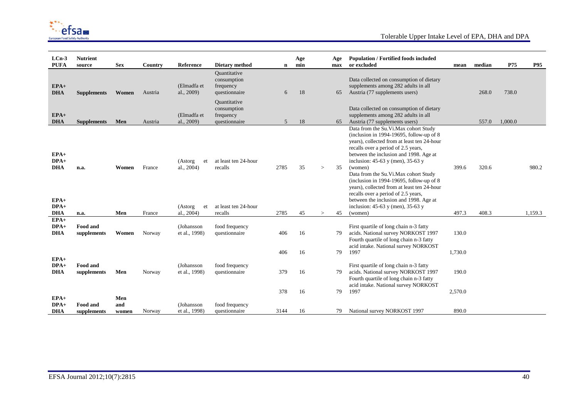

| $LCn-3$<br><b>PUFA</b>                 | <b>Nutrient</b><br>source | <b>Sex</b>   | Country | Reference                    | Dietary method                                            | $\mathbf n$ | Age<br>min |   | Age<br>max | <b>Population / Fortified foods included</b><br>or excluded                                                                                                                                                                                                                                                                                                                                                                                                                                    | mean    | median | <b>P75</b> | <b>P95</b> |
|----------------------------------------|---------------------------|--------------|---------|------------------------------|-----------------------------------------------------------|-------------|------------|---|------------|------------------------------------------------------------------------------------------------------------------------------------------------------------------------------------------------------------------------------------------------------------------------------------------------------------------------------------------------------------------------------------------------------------------------------------------------------------------------------------------------|---------|--------|------------|------------|
| $EPA+$<br><b>DHA</b>                   | <b>Supplements</b>        | Women        | Austria | (Elmadfa et<br>al., 2009)    | Ouantitative<br>consumption<br>frequency<br>questionnaire | 6           | 18         |   | 65         | Data collected on consumption of dietary<br>supplements among 282 adults in all<br>Austria (77 supplements users)                                                                                                                                                                                                                                                                                                                                                                              |         | 268.0  | 738.0      |            |
| $EPA+$<br><b>DHA</b>                   | <b>Supplements</b>        | Men          | Austria | (Elmadfa et<br>al., 2009)    | Quantitative<br>consumption<br>frequency<br>questionnaire | 5           | 18         |   | 65         | Data collected on consumption of dietary<br>supplements among 282 adults in all<br>Austria (77 supplements users)                                                                                                                                                                                                                                                                                                                                                                              |         | 557.0  | 1,000.0    |            |
| $EPA+$<br>DPA+<br><b>DHA</b><br>$EPA+$ | n.a.                      | Women        | France  | (Astorg<br>et<br>al., 2004)  | at least ten 24-hour<br>recalls                           | 2785        | 35         | > | 35         | Data from the Su.Vi.Max cohort Study<br>(inclusion in 1994-19695, follow-up of $8$ )<br>years), collected from at least ten 24-hour<br>recalls over a period of 2.5 years,<br>between the inclusion and 1998. Age at<br>inclusion: $45-63$ y (men), $35-63$ y<br>(women)<br>Data from the Su.Vi.Max cohort Study<br>(inclusion in 1994-19695, follow-up of $8$<br>years), collected from at least ten 24-hour<br>recalls over a period of 2.5 years,<br>between the inclusion and 1998. Age at | 399.6   | 320.6  |            | 980.2      |
| DPA+<br><b>DHA</b>                     | n.a.                      | Men          | France  | (Astorg)<br>et<br>al., 2004) | at least ten 24-hour<br>recalls                           | 2785        | 45         | > | 45         | inclusion: $45-63$ y (men), $35-63$ y<br>(women)                                                                                                                                                                                                                                                                                                                                                                                                                                               | 497.3   | 408.3  |            | 1,159.3    |
| $EPA+$<br>$DPA+$<br><b>DHA</b>         | Food and<br>supplements   | Women        | Norway  | (Johansson<br>et al., 1998)  | food frequency<br>questionnaire                           | 406         | 16         |   | 79         | First quartile of long chain n-3 fatty<br>acids. National survey NORKOST 1997<br>Fourth quartile of long chain n-3 fatty                                                                                                                                                                                                                                                                                                                                                                       | 130.0   |        |            |            |
|                                        |                           |              |         |                              |                                                           | 406         | 16         |   | 79         | acid intake. National survey NORKOST<br>1997                                                                                                                                                                                                                                                                                                                                                                                                                                                   | 1,730.0 |        |            |            |
| $EPA+$<br>DPA+<br><b>DHA</b>           | Food and<br>supplements   | Men          | Norway  | (Johansson<br>et al., 1998)  | food frequency<br>questionnaire                           | 379         | 16         |   | 79         | First quartile of long chain n-3 fatty<br>acids. National survey NORKOST 1997<br>Fourth quartile of long chain n-3 fatty<br>acid intake. National survey NORKOST                                                                                                                                                                                                                                                                                                                               | 190.0   |        |            |            |
| $EPA+$                                 |                           | Men          |         |                              |                                                           | 378         | 16         |   | 79         | 1997                                                                                                                                                                                                                                                                                                                                                                                                                                                                                           | 2,570.0 |        |            |            |
| DPA+<br><b>DHA</b>                     | Food and<br>supplements   | and<br>women | Norway  | (Johansson<br>et al., 1998)  | food frequency<br>questionnaire                           | 3144        | 16         |   | 79         | National survey NORKOST 1997                                                                                                                                                                                                                                                                                                                                                                                                                                                                   | 890.0   |        |            |            |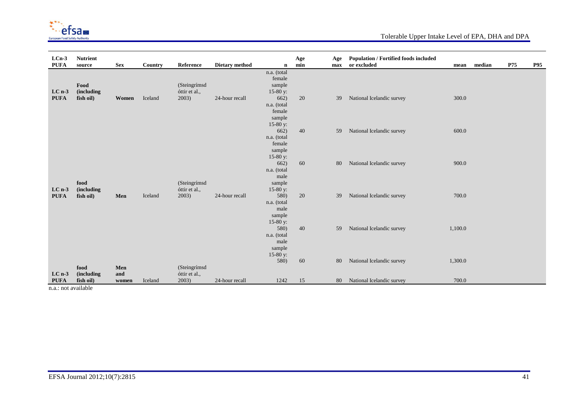

| $LCn-3$<br><b>PUFA</b> | <b>Nutrient</b><br>source | <b>Sex</b>   | Country | Reference              | <b>Dietary</b> method | $\mathbf n$                                                 | Age<br>min | Age<br>max | <b>Population / Fortified foods included</b><br>or excluded | mean    | median | P75 | <b>P95</b> |
|------------------------|---------------------------|--------------|---------|------------------------|-----------------------|-------------------------------------------------------------|------------|------------|-------------------------------------------------------------|---------|--------|-----|------------|
|                        | Food                      |              |         | (Steingrímsd           |                       | n.a. (total<br>female<br>sample                             |            |            |                                                             |         |        |     |            |
| $LCn-3$<br><b>PUFA</b> | (including<br>fish oil)   | Women        | Iceland | óttir et al.,<br>2003) | 24-hour recall        | $15-80$ y:<br>662)<br>n.a. (total<br>female                 | 20         | 39         | National Icelandic survey                                   | 300.0   |        |     |            |
|                        |                           |              |         |                        |                       | sample<br>15-80 y:<br>662)<br>n.a. (total                   | 40         | 59         | National Icelandic survey                                   | 600.0   |        |     |            |
|                        |                           |              |         |                        |                       | female<br>sample<br>$15-80$ y:                              |            |            |                                                             |         |        |     |            |
|                        | food                      |              |         | (Steingrímsd           |                       | 662)<br>n.a. (total<br>male<br>sample                       | 60         | 80         | National Icelandic survey                                   | 900.0   |        |     |            |
| $LCn-3$<br><b>PUFA</b> | (including<br>fish oil)   | Men          | Iceland | óttir et al.,<br>2003) | 24-hour recall        | $15-80$ y:<br>580)<br>n.a. (total                           | 20         | 39         | National Icelandic survey                                   | 700.0   |        |     |            |
|                        |                           |              |         |                        |                       | male<br>sample<br>$15-80$ y:<br>580)<br>n.a. (total<br>male | 40         | 59         | National Icelandic survey                                   | 1,100.0 |        |     |            |
|                        | food                      | Men          |         | (Steingrímsd           |                       | sample<br>$15-80$ y:<br>580)                                | 60         | 80         | National Icelandic survey                                   | 1,300.0 |        |     |            |
| $LCn-3$<br><b>PUFA</b> | (including<br>fish oil)   | and<br>women | Iceland | óttir et al.,<br>2003) | 24-hour recall        | 1242                                                        | 15         | 80         | National Icelandic survey                                   | 700.0   |        |     |            |

n.a.: not available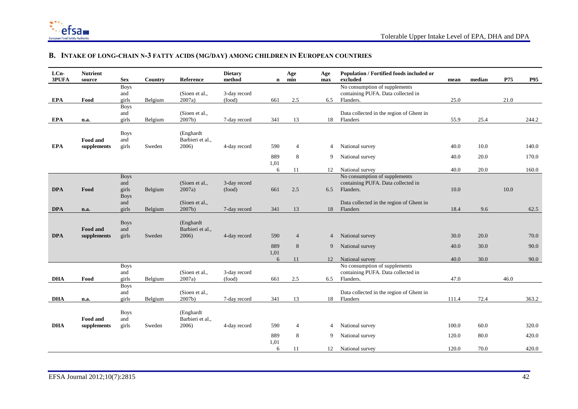

# **B. INTAKE OF LONG-CHAIN N-3 FATTY ACIDS (MG/DAY) AMONG CHILDREN IN EUROPEAN COUNTRIES**

<span id="page-41-0"></span>

| LCn-<br>3PUFA | <b>Nutrient</b><br>source | <b>Sex</b>                                 | Country | Reference                              | <b>Dietary</b><br>method | $\mathbf{n}$       | Age<br>min          | Age<br>max          | Population / Fortified foods included or<br>excluded                             | mean           | median       | P75  | <b>P95</b>     |
|---------------|---------------------------|--------------------------------------------|---------|----------------------------------------|--------------------------|--------------------|---------------------|---------------------|----------------------------------------------------------------------------------|----------------|--------------|------|----------------|
|               |                           | <b>Boys</b><br>and                         |         | (Sioen et al.,                         | 3-day record             |                    |                     |                     | No consumption of supplements<br>containing PUFA. Data collected in              |                |              |      |                |
| <b>EPA</b>    | Food                      | girls                                      | Belgium | 2007a)                                 | (food)                   | 661                | 2.5                 | 6.5                 | Flanders.                                                                        | 25.0           |              | 21.0 |                |
|               |                           | <b>Boys</b><br>and                         |         | (Sioen et al.,                         |                          |                    |                     |                     | Data collected in the region of Ghent in                                         |                |              |      |                |
| EPA           | n.a.                      | girls                                      | Belgium | $2007b$ )                              | 7-day record             | 341                | 13                  | 18                  | Flanders                                                                         | 55.9           | 25.4         |      | 244.2          |
| <b>EPA</b>    | Food and<br>supplements   | <b>Boys</b><br>and<br>girls                | Sweden  | (Enghardt<br>Barbieri et al.,<br>2006) | 4-day record             | 590                | $\overline{4}$      | $\overline{4}$      | National survey                                                                  | 40.0           | 10.0         |      | 140.0          |
|               |                           |                                            |         |                                        |                          | 889<br>1,01        | 8                   | 9                   | National survey                                                                  | 40.0           | 20.0         |      | 170.0          |
|               |                           |                                            |         |                                        |                          | 6                  | 11                  | 12                  | National survey                                                                  | 40.0           | 20.0         |      | 160.0          |
| <b>DPA</b>    | Food                      | <b>Boys</b><br>and<br>girls<br><b>Boys</b> | Belgium | (Sioen et al.,<br>2007a)               | 3-day record<br>(food)   | 661                | 2.5                 | 6.5                 | No consumption of supplements<br>containing PUFA. Data collected in<br>Flanders. | 10.0           |              | 10.0 |                |
|               |                           | and                                        |         | (Sioen et al.,                         |                          |                    |                     |                     | Data collected in the region of Ghent in                                         |                |              |      |                |
| <b>DPA</b>    | n.a.                      | girls                                      | Belgium | 2007b)                                 | 7-day record             | 341                | 13                  | 18                  | Flanders                                                                         | 18.4           | 9.6          |      | 62.5           |
| <b>DPA</b>    | Food and<br>supplements   | <b>Boys</b><br>and<br>girls                | Sweden  | (Enghardt<br>Barbieri et al.,<br>2006) | 4-day record             | 590<br>889<br>1,01 | $\overline{4}$<br>8 | $\overline{4}$<br>9 | National survey<br>National survey                                               | 30.0<br>40.0   | 20.0<br>30.0 |      | 70.0<br>90.0   |
|               |                           |                                            |         |                                        |                          | 6                  | 11                  | 12                  | National survey<br>No consumption of supplements                                 | 40.0           | 30.0         |      | 90.0           |
|               |                           | <b>Boys</b><br>and                         |         | (Sioen et al.,                         | 3-day record             |                    |                     |                     | containing PUFA. Data collected in                                               |                |              |      |                |
| <b>DHA</b>    | Food                      | girls                                      | Belgium | 2007a)                                 | (food)                   | 661                | 2.5                 | 6.5                 | Flanders.                                                                        | 47.0           |              | 46.0 |                |
| <b>DHA</b>    | n.a.                      | <b>Boys</b><br>and<br>girls                | Belgium | (Sioen et al.,<br>2007b)               | 7-day record             | 341                | 13                  | 18                  | Data collected in the region of Ghent in<br>Flanders                             | 111.4          | 72.4         |      | 363.2          |
| <b>DHA</b>    | Food and<br>supplements   | <b>Boys</b><br>and<br>girls                | Sweden  | (Enghardt<br>Barbieri et al.,<br>2006) | 4-day record             | 590<br>889         | 4<br>8              | 4<br>9              | National survey<br>National survey                                               | 100.0<br>120.0 | 60.0<br>80.0 |      | 320.0<br>420.0 |
|               |                           |                                            |         |                                        |                          | 1,01<br>6          | 11                  |                     | 12 National survey                                                               | 120.0          | 70.0         |      | 420.0          |
|               |                           |                                            |         |                                        |                          |                    |                     |                     |                                                                                  |                |              |      |                |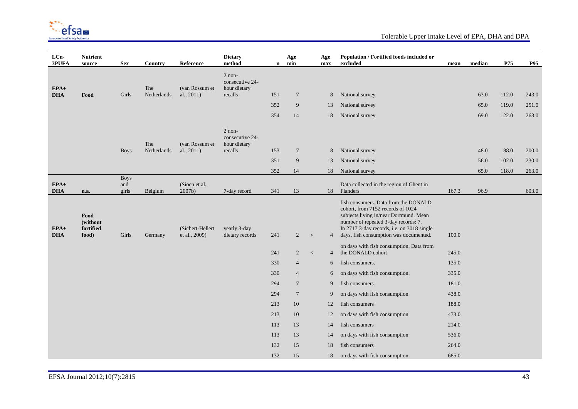

| $LCn-$<br>3PUFA      | <b>Nutrient</b><br>source              | <b>Sex</b>   | Country            | Reference                         | <b>Dietary</b><br>method                    | $\mathbf{n}$ | Age<br>min      |         | Age<br>max     | Population / Fortified foods included or<br>excluded                                                                                                                                                                                                | mean  | median | P75   | <b>P95</b> |
|----------------------|----------------------------------------|--------------|--------------------|-----------------------------------|---------------------------------------------|--------------|-----------------|---------|----------------|-----------------------------------------------------------------------------------------------------------------------------------------------------------------------------------------------------------------------------------------------------|-------|--------|-------|------------|
|                      |                                        |              |                    | (van Rossum et                    | $2$ non-<br>consecutive 24-                 |              |                 |         |                |                                                                                                                                                                                                                                                     |       |        |       |            |
| $EPA+$<br><b>DHA</b> | Food                                   | Girls        | The<br>Netherlands | al., 2011)                        | hour dietary<br>recalls                     | 151          | $\overline{7}$  |         | 8              | National survey                                                                                                                                                                                                                                     |       | 63.0   | 112.0 | 243.0      |
|                      |                                        |              |                    |                                   |                                             | 352          | 9               |         | 13             | National survey                                                                                                                                                                                                                                     |       | 65.0   | 119.0 | 251.0      |
|                      |                                        |              |                    |                                   |                                             | 354          | 14              |         | 18             | National survey                                                                                                                                                                                                                                     |       | 69.0   | 122.0 | 263.0      |
|                      |                                        |              | The                | (van Rossum et                    | $2$ non-<br>consecutive 24-<br>hour dietary |              |                 |         |                |                                                                                                                                                                                                                                                     |       |        |       |            |
|                      |                                        | <b>Boys</b>  | Netherlands        | al., 2011)                        | recalls                                     | 153          | $\overline{7}$  |         | 8              | National survey                                                                                                                                                                                                                                     |       | 48.0   | 88.0  | 200.0      |
|                      |                                        |              |                    |                                   |                                             | 351          | 9               |         | 13             | National survey                                                                                                                                                                                                                                     |       | 56.0   | 102.0 | 230.0      |
|                      |                                        | <b>Boys</b>  |                    |                                   |                                             | 352          | 14              |         | 18             | National survey                                                                                                                                                                                                                                     |       | 65.0   | 118.0 | 263.0      |
| $EPA+$<br><b>DHA</b> | n.a.                                   | and<br>girls | Belgium            | (Sioen et al.,<br>2007b)          | 7-day record                                | 341          | 13              |         | 18             | Data collected in the region of Ghent in<br>Flanders                                                                                                                                                                                                | 167.3 | 96.9   |       | 603.0      |
| $EPA+$<br><b>DHA</b> | Food<br>(without<br>fortified<br>food) | Girls        | Germany            | (Sichert-Hellert<br>et al., 2009) | yearly 3-day<br>dietary records             | 241          | $\overline{2}$  | $\,<\,$ | $\overline{4}$ | fish consumers. Data from the DONALD<br>cohort, from 7152 records of 1024<br>subjects living in/near Dortmund. Mean<br>number of repeated 3-day records: 7.<br>In 2717 3-day records, i.e. on 3018 single<br>days, fish consumption was documented. | 100.0 |        |       |            |
|                      |                                        |              |                    |                                   |                                             | 241          | 2               | $\,<$   | $\overline{4}$ | on days with fish consumption. Data from<br>the DONALD cohort                                                                                                                                                                                       | 245.0 |        |       |            |
|                      |                                        |              |                    |                                   |                                             | 330          | $\overline{4}$  |         | 6              | fish consumers.                                                                                                                                                                                                                                     | 135.0 |        |       |            |
|                      |                                        |              |                    |                                   |                                             | 330          | $\overline{4}$  |         | 6              | on days with fish consumption.                                                                                                                                                                                                                      | 335.0 |        |       |            |
|                      |                                        |              |                    |                                   |                                             | 294          | $7\phantom{.0}$ |         | 9              | fish consumers                                                                                                                                                                                                                                      | 181.0 |        |       |            |
|                      |                                        |              |                    |                                   |                                             | 294          | $\overline{7}$  |         | 9              | on days with fish consumption                                                                                                                                                                                                                       | 438.0 |        |       |            |
|                      |                                        |              |                    |                                   |                                             | 213          | 10              |         | 12             | fish consumers                                                                                                                                                                                                                                      | 188.0 |        |       |            |
|                      |                                        |              |                    |                                   |                                             | 213          | 10              |         | 12             | on days with fish consumption                                                                                                                                                                                                                       | 473.0 |        |       |            |
|                      |                                        |              |                    |                                   |                                             | 113          | 13              |         | 14             | fish consumers                                                                                                                                                                                                                                      | 214.0 |        |       |            |
|                      |                                        |              |                    |                                   |                                             | 113          | 13              |         | 14             | on days with fish consumption                                                                                                                                                                                                                       | 536.0 |        |       |            |
|                      |                                        |              |                    |                                   |                                             | 132          | 15              |         | 18             | fish consumers                                                                                                                                                                                                                                      | 264.0 |        |       |            |
|                      |                                        |              |                    |                                   |                                             | 132          | 15              |         | 18             | on days with fish consumption                                                                                                                                                                                                                       | 685.0 |        |       |            |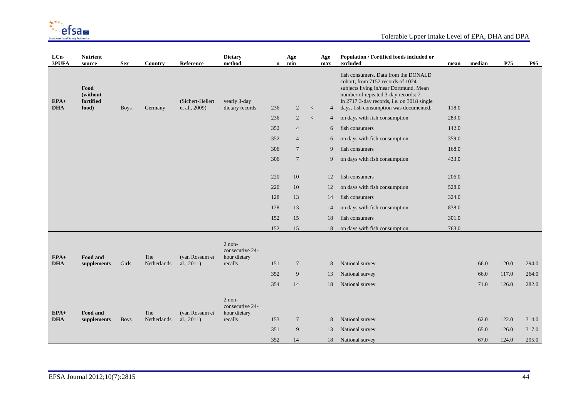

| $LCn-$<br>3PUFA    | <b>Nutrient</b><br>source              | <b>Sex</b>  | Country     | Reference                         | <b>Dietary</b><br>method                    |     | Age<br>n min    |       | Age<br>max     | Population / Fortified foods included or<br>excluded                                                                                                                                                                                                | mean  | median | P75   | <b>P95</b> |
|--------------------|----------------------------------------|-------------|-------------|-----------------------------------|---------------------------------------------|-----|-----------------|-------|----------------|-----------------------------------------------------------------------------------------------------------------------------------------------------------------------------------------------------------------------------------------------------|-------|--------|-------|------------|
| EPA+<br><b>DHA</b> | Food<br>(without<br>fortified<br>food) | <b>Boys</b> | Germany     | (Sichert-Hellert<br>et al., 2009) | yearly 3-day<br>dietary records             | 236 | 2               | $\,<$ | $\overline{4}$ | fish consumers. Data from the DONALD<br>cohort, from 7152 records of 1024<br>subjects living in/near Dortmund. Mean<br>number of repeated 3-day records: 7.<br>In 2717 3-day records, i.e. on 3018 single<br>days, fish consumption was documented. | 118.0 |        |       |            |
|                    |                                        |             |             |                                   |                                             | 236 | $\overline{2}$  | $\,<$ | $\overline{4}$ | on days with fish consumption                                                                                                                                                                                                                       | 289.0 |        |       |            |
|                    |                                        |             |             |                                   |                                             | 352 | $\overline{4}$  |       | 6              | fish consumers                                                                                                                                                                                                                                      | 142.0 |        |       |            |
|                    |                                        |             |             |                                   |                                             | 352 | $\overline{4}$  |       | 6              | on days with fish consumption                                                                                                                                                                                                                       | 359.0 |        |       |            |
|                    |                                        |             |             |                                   |                                             | 306 | $7\phantom{.0}$ |       | 9              | fish consumers                                                                                                                                                                                                                                      | 168.0 |        |       |            |
|                    |                                        |             |             |                                   |                                             | 306 | $\tau$          |       | 9              | on days with fish consumption                                                                                                                                                                                                                       | 433.0 |        |       |            |
|                    |                                        |             |             |                                   |                                             |     |                 |       |                |                                                                                                                                                                                                                                                     |       |        |       |            |
|                    |                                        |             |             |                                   |                                             | 220 | 10              |       | 12             | fish consumers                                                                                                                                                                                                                                      | 206.0 |        |       |            |
|                    |                                        |             |             |                                   |                                             | 220 | 10              |       | 12             | on days with fish consumption                                                                                                                                                                                                                       | 528.0 |        |       |            |
|                    |                                        |             |             |                                   |                                             | 128 | 13              |       | 14             | fish consumers                                                                                                                                                                                                                                      | 324.0 |        |       |            |
|                    |                                        |             |             |                                   |                                             | 128 | 13              |       | 14             | on days with fish consumption                                                                                                                                                                                                                       | 838.0 |        |       |            |
|                    |                                        |             |             |                                   |                                             | 152 | 15              |       | 18             | fish consumers                                                                                                                                                                                                                                      | 301.0 |        |       |            |
|                    |                                        |             |             |                                   |                                             | 152 | 15              |       | 18             | on days with fish consumption                                                                                                                                                                                                                       | 763.0 |        |       |            |
| $EPA+$             | Food and                               |             | The         | (van Rossum et                    | $2$ non-<br>consecutive 24-<br>hour dietary |     |                 |       |                |                                                                                                                                                                                                                                                     |       |        |       |            |
| <b>DHA</b>         | supplements                            | Girls       | Netherlands | al., $2011$ )                     | recalls                                     | 151 | $\overline{7}$  |       | 8              | National survey                                                                                                                                                                                                                                     |       | 66.0   | 120.0 | 294.0      |
|                    |                                        |             |             |                                   |                                             | 352 | 9               |       | 13             | National survey                                                                                                                                                                                                                                     |       | 66.0   | 117.0 | 264.0      |
|                    |                                        |             |             |                                   |                                             | 354 | 14              |       | 18             | National survey                                                                                                                                                                                                                                     |       | 71.0   | 126.0 | 282.0      |
| $EPA+$             | Food and                               |             | The         | (van Rossum et                    | $2$ non-<br>consecutive 24-<br>hour dietary |     |                 |       |                |                                                                                                                                                                                                                                                     |       |        |       |            |
| <b>DHA</b>         | supplements                            | <b>Boys</b> | Netherlands | al., $2011$ )                     | recalls                                     | 153 | $\tau$          |       | 8              | National survey                                                                                                                                                                                                                                     |       | 62.0   | 122.0 | 314.0      |
|                    |                                        |             |             |                                   |                                             | 351 | 9               |       | 13             | National survey                                                                                                                                                                                                                                     |       | 65.0   | 126.0 | 317.0      |
|                    |                                        |             |             |                                   |                                             | 352 | 14              |       | 18             | National survey                                                                                                                                                                                                                                     |       | 67.0   | 124.0 | 295.0      |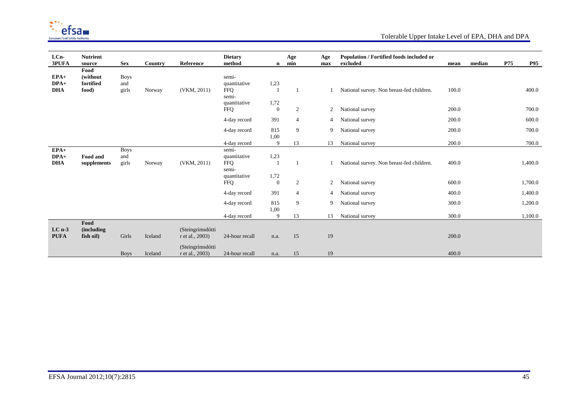

| $LCn-$<br>3PUFA                | <b>Nutrient</b><br>source               | <b>Sex</b>                  | Country | Reference                           | <b>Dietary</b><br>method                     | $\mathbf{n}$         | Age<br>min     | Age<br>max   | Population / Fortified foods included or<br>excluded | mean  | median | P75 | P95     |
|--------------------------------|-----------------------------------------|-----------------------------|---------|-------------------------------------|----------------------------------------------|----------------------|----------------|--------------|------------------------------------------------------|-------|--------|-----|---------|
| $EPA+$<br>$DPA+$<br><b>DHA</b> | Food<br>(without<br>fortified<br>food)  | <b>Boys</b><br>and<br>girls | Norway  | (VKM, 2011)                         | semi-<br>quantitative<br><b>FFQ</b><br>semi- | 1,23                 |                |              | National survey. Non breast-fed children.            | 100.0 |        |     | 400.0   |
|                                |                                         |                             |         |                                     | quantitative<br><b>FFQ</b>                   | 1,72<br>$\mathbf{0}$ | 2              | $\mathbf{2}$ | National survey                                      | 200.0 |        |     | 700.0   |
|                                |                                         |                             |         |                                     | 4-day record                                 | 391                  | $\overline{4}$ | 4            | National survey                                      | 200.0 |        |     | 600.0   |
|                                |                                         |                             |         |                                     | 4-day record                                 | 815<br>1,00          | 9              | 9            | National survey                                      | 200.0 |        |     | 700.0   |
|                                |                                         |                             |         |                                     | 4-day record                                 | 9                    | 13             | 13           | National survey                                      | 200.0 |        |     | 700.0   |
| $EPA+$<br>$DPA+$<br><b>DHA</b> | Food and<br>supplements                 | <b>Boys</b><br>and<br>girls | Norway  | (VKM, 2011)                         | semi-<br>quantitative<br><b>FFQ</b><br>semi- | 1,23<br>-1           |                |              | National survey. Non breast-fed children.            | 400.0 |        |     | 1,400.0 |
|                                |                                         |                             |         |                                     | quantitative<br><b>FFO</b>                   | 1,72<br>$\mathbf{0}$ | 2              | 2            | National survey                                      | 600.0 |        |     | 1,700.0 |
|                                |                                         |                             |         |                                     | 4-day record                                 | 391                  | $\overline{4}$ | 4            | National survey                                      | 400.0 |        |     | 1,400.0 |
|                                |                                         |                             |         |                                     | 4-day record                                 | 815<br>1,00          | 9              | 9            | National survey                                      | 300.0 |        |     | 1,200.0 |
|                                |                                         |                             |         |                                     | 4-day record                                 | 9                    | 13             | 13           | National survey                                      | 300.0 |        |     | 1,100.0 |
| $LCn-3$<br><b>PUFA</b>         | Food<br><i>(including)</i><br>fish oil) | Girls                       | Iceland | (Steingrímsdótti<br>r et al., 2003) | 24-hour recall                               | n.a.                 | 15             | 19           |                                                      | 200.0 |        |     |         |
|                                |                                         | <b>Boys</b>                 | Iceland | (Steingrímsdótti<br>r et al., 2003) | 24-hour recall                               | n.a.                 | 15             | 19           |                                                      | 400.0 |        |     |         |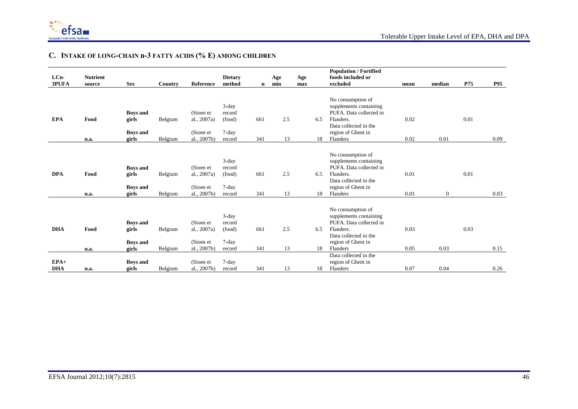

# **C. INTAKE OF LONG-CHAIN n-3 FATTY ACIDS (% E) AMONG CHILDREN**

<span id="page-45-0"></span>

|            |                 |                 |         |             |                |              |     |     |     | <b>Population / Fortified</b> |      |        |            |            |
|------------|-----------------|-----------------|---------|-------------|----------------|--------------|-----|-----|-----|-------------------------------|------|--------|------------|------------|
| $LCn-$     | <b>Nutrient</b> |                 |         |             | <b>Dietary</b> |              | Age | Age |     | foods included or             |      |        |            |            |
| 3PUFA      | source          | <b>Sex</b>      | Country | Reference   | method         | $\mathbf{n}$ | min | max |     | excluded                      | mean | median | <b>P75</b> | <b>P95</b> |
|            |                 |                 |         |             |                |              |     |     |     |                               |      |        |            |            |
|            |                 |                 |         |             |                |              |     |     |     | No consumption of             |      |        |            |            |
|            |                 |                 |         |             | $3$ -day       |              |     |     |     | supplements containing        |      |        |            |            |
|            |                 | <b>Boys</b> and |         | (Sioen et   | record         |              |     |     |     | PUFA. Data collected in       |      |        |            |            |
| <b>EPA</b> | Food            | girls           | Belgium | al., 2007a) | (food)         | 661          | 2.5 |     | 6.5 | Flanders.                     | 0.02 |        | 0.01       |            |
|            |                 |                 |         |             |                |              |     |     |     | Data collected in the         |      |        |            |            |
|            |                 | <b>Boys</b> and |         | (Sioen et   | $7$ -day       |              |     |     |     | region of Ghent in            |      |        |            |            |
|            | n.a.            | girls           | Belgium | al., 2007b) | record         | 341          | 13  |     | 18  | Flanders                      | 0.02 | 0.01   |            | 0.09       |
|            |                 |                 |         |             |                |              |     |     |     |                               |      |        |            |            |
|            |                 |                 |         |             |                |              |     |     |     | No consumption of             |      |        |            |            |
|            |                 |                 |         |             | $3$ -day       |              |     |     |     | supplements containing        |      |        |            |            |
|            |                 | <b>Boys</b> and |         | (Sioen et   | record         |              |     |     |     | PUFA. Data collected in       |      |        |            |            |
| <b>DPA</b> | Food            | girls           | Belgium | al., 2007a) | (food)         | 661          | 2.5 |     | 6.5 | Flanders.                     | 0.01 |        | 0.01       |            |
|            |                 |                 |         |             |                |              |     |     |     | Data collected in the         |      |        |            |            |
|            |                 | <b>Boys and</b> |         | (Sioen et   | $7$ -day       |              |     |     |     | region of Ghent in            |      |        |            |            |
|            | n.a.            | girls           | Belgium | al., 2007b) | record         | 341          | 13  |     | 18  | Flanders                      | 0.01 | 0      |            | 0.03       |
|            |                 |                 |         |             |                |              |     |     |     |                               |      |        |            |            |
|            |                 |                 |         |             |                |              |     |     |     | No consumption of             |      |        |            |            |
|            |                 |                 |         |             | $3$ -day       |              |     |     |     | supplements containing        |      |        |            |            |
|            |                 | <b>Boys</b> and |         | (Sioen et   | record         |              |     |     |     | PUFA. Data collected in       |      |        |            |            |
| <b>DHA</b> | Food            | girls           | Belgium | al., 2007a) | (food)         | 661          | 2.5 |     | 6.5 | Flanders.                     | 0.03 |        | 0.03       |            |
|            |                 |                 |         |             |                |              |     |     |     | Data collected in the         |      |        |            |            |
|            |                 | <b>Boys and</b> |         | (Sioen et   | $7$ -day       |              |     |     |     | region of Ghent in            |      |        |            |            |
|            | n.a.            | girls           | Belgium | al., 2007b) | record         | 341          | 13  |     | 18  | Flanders                      | 0.05 | 0.03   |            | 0.15       |
|            |                 |                 |         |             |                |              |     |     |     | Data collected in the         |      |        |            |            |
| $EPA+$     |                 | <b>Boys</b> and |         | (Sioen et   | 7-day          |              |     |     |     | region of Ghent in            |      |        |            |            |
| <b>DHA</b> | n.a.            | girls           | Belgium | al., 2007b) | record         | 341          | 13  |     | 18  | Flanders                      | 0.07 | 0.04   |            | 0.26       |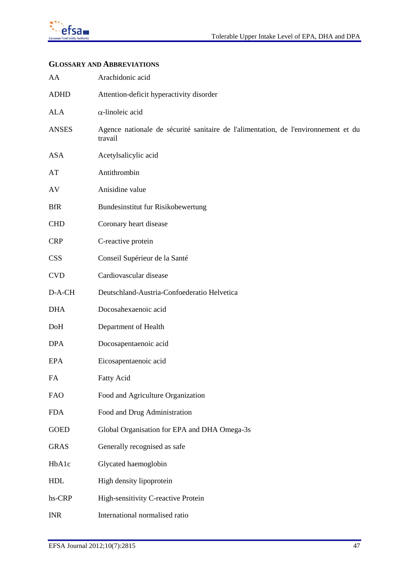

# <span id="page-46-0"></span>**GLOSSARY AND ABBREVIATIONS**

| AA           | Arachidonic acid                                                                              |
|--------------|-----------------------------------------------------------------------------------------------|
| <b>ADHD</b>  | Attention-deficit hyperactivity disorder                                                      |
| <b>ALA</b>   | $\alpha$ -linoleic acid                                                                       |
| <b>ANSES</b> | Agence nationale de sécurité sanitaire de l'alimentation, de l'environnement et du<br>travail |
| ASA          | Acetylsalicylic acid                                                                          |
| AT           | Antithrombin                                                                                  |
| AV           | Anisidine value                                                                               |
| <b>BfR</b>   | Bundesinstitut fur Risikobewertung                                                            |
| <b>CHD</b>   | Coronary heart disease                                                                        |
| <b>CRP</b>   | C-reactive protein                                                                            |
| <b>CSS</b>   | Conseil Supérieur de la Santé                                                                 |
| <b>CVD</b>   | Cardiovascular disease                                                                        |
| $D-A-CH$     | Deutschland-Austria-Confoederatio Helvetica                                                   |
| <b>DHA</b>   | Docosahexaenoic acid                                                                          |
| DoH          | Department of Health                                                                          |
| <b>DPA</b>   | Docosapentaenoic acid                                                                         |
| EPA          | Eicosapentaenoic acid                                                                         |
| FA           | <b>Fatty Acid</b>                                                                             |
| <b>FAO</b>   | Food and Agriculture Organization                                                             |
| <b>FDA</b>   | Food and Drug Administration                                                                  |
| <b>GOED</b>  | Global Organisation for EPA and DHA Omega-3s                                                  |
| <b>GRAS</b>  | Generally recognised as safe                                                                  |
| HbA1c        | Glycated haemoglobin                                                                          |
| <b>HDL</b>   | High density lipoprotein                                                                      |
| hs-CRP       | High-sensitivity C-reactive Protein                                                           |
| <b>INR</b>   | International normalised ratio                                                                |